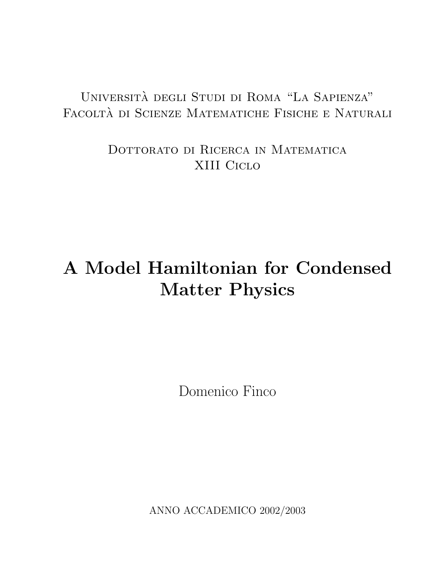## Universita degli Studi di Roma "La Sapienza" ` FACOLTÀ DI SCIENZE MATEMATICHE FISICHE E NATURALI

Dottorato di Ricerca in Matematica XIII Ciclo

# A Model Hamiltonian for Condensed Matter Physics

Domenico Finco

ANNO ACCADEMICO 2002/2003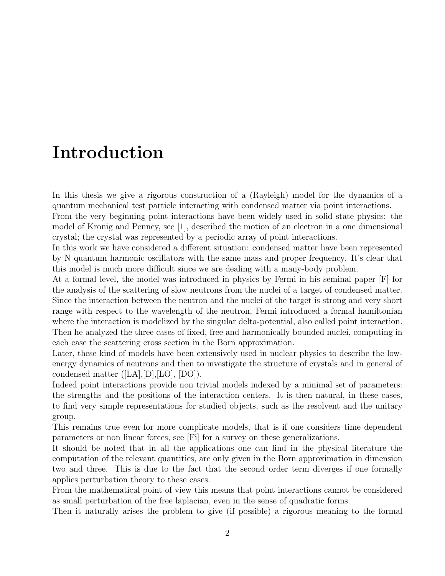## Introduction

In this thesis we give a rigorous construction of a (Rayleigh) model for the dynamics of a quantum mechanical test particle interacting with condensed matter via point interactions.

From the very beginning point interactions have been widely used in solid state physics: the model of Kronig and Penney, see [1], described the motion of an electron in a one dimensional crystal; the crystal was represented by a periodic array of point interactions.

In this work we have considered a different situation: condensed matter have been represented by N quantum harmonic oscillators with the same mass and proper frequency. It's clear that this model is much more difficult since we are dealing with a many-body problem.

At a formal level, the model was introduced in physics by Fermi in his seminal paper [F] for the analysis of the scattering of slow neutrons from the nuclei of a target of condensed matter. Since the interaction between the neutron and the nuclei of the target is strong and very short range with respect to the wavelength of the neutron, Fermi introduced a formal hamiltonian where the interaction is modelized by the singular delta-potential, also called point interaction. Then he analyzed the three cases of fixed, free and harmonically bounded nuclei, computing in each case the scattering cross section in the Born approximation.

Later, these kind of models have been extensively used in nuclear physics to describe the lowenergy dynamics of neutrons and then to investigate the structure of crystals and in general of condensed matter  $(|LA|, |D|, |LO|, |DO|)$ .

Indeed point interactions provide non trivial models indexed by a minimal set of parameters: the strengths and the positions of the interaction centers. It is then natural, in these cases, to find very simple representations for studied objects, such as the resolvent and the unitary group.

This remains true even for more complicate models, that is if one considers time dependent parameters or non linear forces, see [Fi] for a survey on these generalizations.

It should be noted that in all the applications one can find in the physical literature the computation of the relevant quantities, are only given in the Born approximation in dimension two and three. This is due to the fact that the second order term diverges if one formally applies perturbation theory to these cases.

From the mathematical point of view this means that point interactions cannot be considered as small perturbation of the free laplacian, even in the sense of quadratic forms.

Then it naturally arises the problem to give (if possible) a rigorous meaning to the formal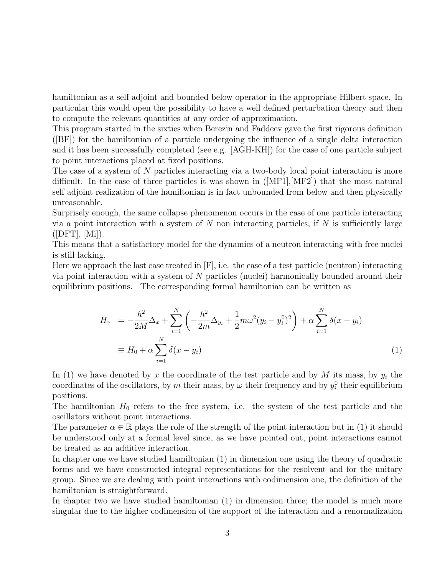hamiltonian as a self adjoint and bounded below operator in the appropriate Hilbert space. In particular this would open the possibility to have a well defined perturbation theory and then to compute the relevant quantities at any order of approximation.

This program started in the sixties when Berezin and Faddeev gave the first rigorous definition ([BF]) for the hamiltonian of a particle undergoing the influence of a single delta interaction and it has been successfully completed (see e.g. [AGH-KH]) for the case of one particle subject to point interactions placed at fixed positions.

The case of a system of N particles interacting via a two-body local point interaction is more difficult. In the case of three particles it was shown in ([MF1],[MF2]) that the most natural self adjoint realization of the hamiltonian is in fact unbounded from below and then physically unreasonable.

Surprisely enough, the same collapse phenomenon occurs in the case of one particle interacting via a point interaction with a system of  $N$  non interacting particles, if  $N$  is sufficiently large  $(|DFT|, |Mi|).$ 

This means that a satisfactory model for the dynamics of a neutron interacting with free nuclei is still lacking.

Here we approach the last case treated in  $[F]$ , i.e. the case of a test particle (neutron) interacting via point interaction with a system of  $N$  particles (nuclei) harmonically bounded around their equilibrium positions. The corresponding formal hamiltonian can be written as

$$
H_{\gamma} = -\frac{\hbar^2}{2M} \Delta_x + \sum_{i=1}^{N} \left( -\frac{\hbar^2}{2m} \Delta_{y_i} + \frac{1}{2} m \omega^2 (y_i - y_i^0)^2 \right) + \alpha \sum_{i=1}^{N} \delta(x - y_i)
$$
  

$$
\equiv H_0 + \alpha \sum_{i=1}^{N} \delta(x - y_i)
$$
 (1)

In (1) we have denoted by x the coordinate of the test particle and by M its mass, by  $y_i$  the coordinates of the oscillators, by m their mass, by  $\omega$  their frequency and by  $y_i^0$  their equilibrium positions.

The hamiltonian  $H_0$  refers to the free system, i.e. the system of the test particle and the oscillators without point interactions.

The parameter  $\alpha \in \mathbb{R}$  plays the role of the strength of the point interaction but in (1) it should be understood only at a formal level since, as we have pointed out, point interactions cannot be treated as an additive interaction.

In chapter one we have studied hamiltonian (1) in dimension one using the theory of quadratic forms and we have constructed integral representations for the resolvent and for the unitary group. Since we are dealing with point interactions with codimension one, the definition of the hamiltonian is straightforward.

In chapter two we have studied hamiltonian (1) in dimension three; the model is much more singular due to the higher codimension of the support of the interaction and a renormalization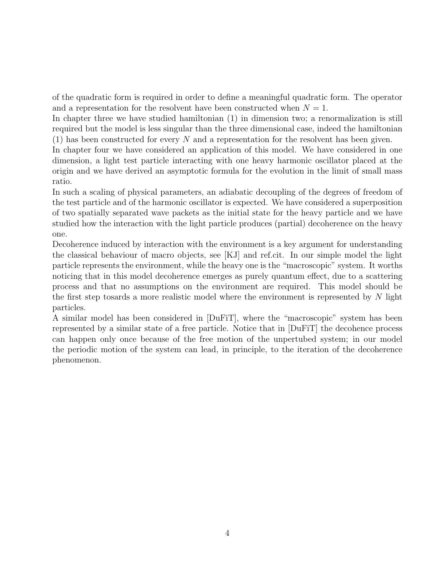of the quadratic form is required in order to define a meaningful quadratic form. The operator and a representation for the resolvent have been constructed when  $N = 1$ .

In chapter three we have studied hamiltonian (1) in dimension two; a renormalization is still required but the model is less singular than the three dimensional case, indeed the hamiltonian (1) has been constructed for every N and a representation for the resolvent has been given.

In chapter four we have considered an application of this model. We have considered in one dimension, a light test particle interacting with one heavy harmonic oscillator placed at the origin and we have derived an asymptotic formula for the evolution in the limit of small mass ratio.

In such a scaling of physical parameters, an adiabatic decoupling of the degrees of freedom of the test particle and of the harmonic oscillator is expected. We have considered a superposition of two spatially separated wave packets as the initial state for the heavy particle and we have studied how the interaction with the light particle produces (partial) decoherence on the heavy one.

Decoherence induced by interaction with the environment is a key argument for understanding the classical behaviour of macro objects, see [KJ] and ref.cit. In our simple model the light particle represents the environment, while the heavy one is the "macroscopic" system. It worths noticing that in this model decoherence emerges as purely quantum effect, due to a scattering process and that no assumptions on the environment are required. This model should be the first step tosards a more realistic model where the environment is represented by  $N$  light particles.

A similar model has been considered in [DuFiT], where the "macroscopic" system has been represented by a similar state of a free particle. Notice that in [DuFiT] the decohence process can happen only once because of the free motion of the unpertubed system; in our model the periodic motion of the system can lead, in principle, to the iteration of the decoherence phenomenon.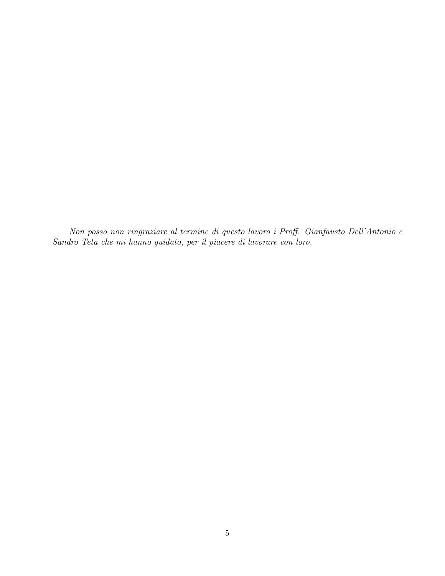Non posso non ringraziare al termine di questo lavoro i Proff. Gianfausto Dell'Antonio e Sandro Teta che mi hanno guidato, per il piacere di lavorare con loro.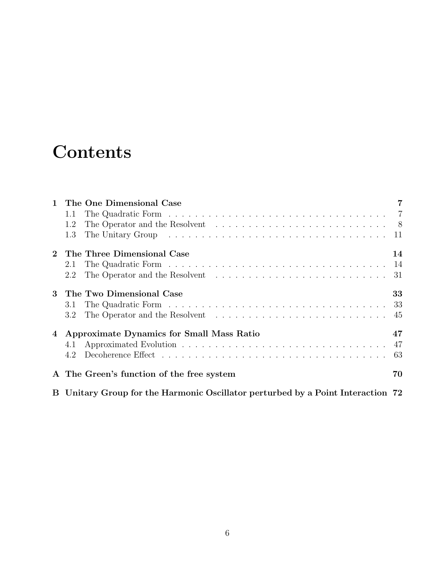# **Contents**

|              | The One Dimensional Case                                                                                  |    |
|--------------|-----------------------------------------------------------------------------------------------------------|----|
|              | 1.1                                                                                                       |    |
|              | The Operator and the Resolvent $\dots \dots \dots \dots \dots \dots \dots \dots \dots \dots \dots$<br>1.2 |    |
|              | 1.3                                                                                                       |    |
|              | The Three Dimensional Case                                                                                | 14 |
|              | 2.1                                                                                                       |    |
|              | 2.2                                                                                                       | 31 |
| $\mathbf{R}$ | The Two Dimensional Case                                                                                  | 33 |
|              | 3.1                                                                                                       |    |
|              | 3.2                                                                                                       |    |
| $4^{\circ}$  | Approximate Dynamics for Small Mass Ratio                                                                 | 47 |
|              | 4.1                                                                                                       |    |
|              | 4.2                                                                                                       |    |
|              | A The Green's function of the free system                                                                 | 70 |
|              | B Unitary Group for the Harmonic Oscillator perturbed by a Point Interaction 72                           |    |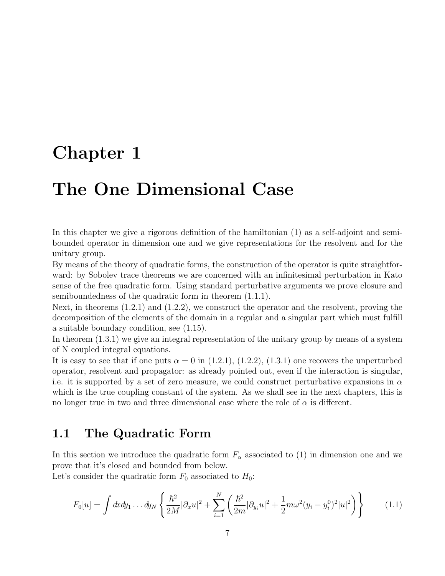## Chapter 1

## The One Dimensional Case

In this chapter we give a rigorous definition of the hamiltonian (1) as a self-adjoint and semibounded operator in dimension one and we give representations for the resolvent and for the unitary group.

By means of the theory of quadratic forms, the construction of the operator is quite straightforward: by Sobolev trace theorems we are concerned with an infinitesimal perturbation in Kato sense of the free quadratic form. Using standard perturbative arguments we prove closure and semiboundedness of the quadratic form in theorem (1.1.1).

Next, in theorems (1.2.1) and (1.2.2), we construct the operator and the resolvent, proving the decomposition of the elements of the domain in a regular and a singular part which must fulfill a suitable boundary condition, see (1.15).

In theorem  $(1.3.1)$  we give an integral representation of the unitary group by means of a system of N coupled integral equations.

It is easy to see that if one puts  $\alpha = 0$  in (1.2.1), (1.2.2), (1.3.1) one recovers the unperturbed operator, resolvent and propagator: as already pointed out, even if the interaction is singular, i.e. it is supported by a set of zero measure, we could construct perturbative expansions in  $\alpha$ which is the true coupling constant of the system. As we shall see in the next chapters, this is no longer true in two and three dimensional case where the role of  $\alpha$  is different.

## 1.1 The Quadratic Form

In this section we introduce the quadratic form  $F_{\alpha}$  associated to (1) in dimension one and we prove that it's closed and bounded from below.

Let's consider the quadratic form  $F_0$  associated to  $H_0$ :

$$
F_0[u] = \int dx dy_1 \dots dy_N \left\{ \frac{\hbar^2}{2M} |\partial_x u|^2 + \sum_{i=1}^N \left( \frac{\hbar^2}{2m} |\partial_{y_i} u|^2 + \frac{1}{2} m \omega^2 (y_i - y_i^0)^2 |u|^2 \right) \right\} \tag{1.1}
$$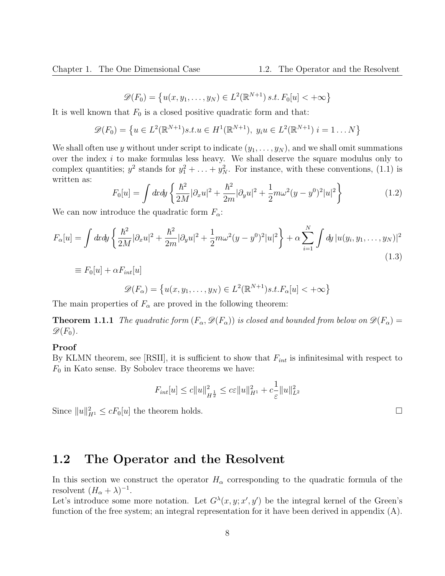$$
\mathscr{D}(F_0) = \left\{ u(x, y_1, \dots, y_N) \in L^2(\mathbb{R}^{N+1}) \, s.t. \, F_0[u] < +\infty \right\}
$$

It is well known that  $F_0$  is a closed positive quadratic form and that:

$$
\mathscr{D}(F_0) = \{ u \in L^2(\mathbb{R}^{N+1}) \, s.t. \, u \in H^1(\mathbb{R}^{N+1}), \, y_i u \in L^2(\mathbb{R}^{N+1}) \, i = 1 \dots N \}
$$

We shall often use y without under script to indicate  $(y_1, \ldots, y_N)$ , and we shall omit summations over the index i to make formulas less heavy. We shall deserve the square modulus only to complex quantities;  $y^2$  stands for  $y_1^2 + \ldots + y_N^2$ . For instance, with these conventions, (1.1) is written as:

$$
F_0[u] = \int dx dy \left\{ \frac{\hbar^2}{2M} |\partial_x u|^2 + \frac{\hbar^2}{2m} |\partial_y u|^2 + \frac{1}{2} m \omega^2 (y - y^0)^2 |u|^2 \right\}
$$
(1.2)

We can now introduce the quadratic form  $F_{\alpha}$ :

$$
F_{\alpha}[u] = \int dx dy \left\{ \frac{\hbar^2}{2M} |\partial_x u|^2 + \frac{\hbar^2}{2m} |\partial_y u|^2 + \frac{1}{2} m \omega^2 (y - y^0)^2 |u|^2 \right\} + \alpha \sum_{i=1}^N \int dy |u(y_i, y_1, \dots, y_N)|^2
$$
  
\n
$$
\equiv F_0[u] + \alpha F_{int}[u]
$$
\n(1.3)

$$
\mathscr{D}(F_{\alpha}) = \left\{ u(x, y_1, \dots, y_N) \in L^2(\mathbb{R}^{N+1}) s.t. F_{\alpha}[u] < +\infty \right\}
$$

The main properties of  $F_{\alpha}$  are proved in the following theorem:

**Theorem 1.1.1** The quadratic form  $(F_{\alpha}, \mathscr{D}(F_{\alpha}))$  is closed and bounded from below on  $\mathscr{D}(F_{\alpha})$  =  $\mathscr{D}(F_0)$ .

#### Proof

By KLMN theorem, see [RSII], it is sufficient to show that  $F_{int}$  is infinitesimal with respect to  $F_0$  in Kato sense. By Sobolev trace theorems we have:

$$
F_{int}[u] \le c||u||_{H^{\frac{1}{2}}}^{2} \le c\varepsilon||u||_{H^{1}}^{2} + c\frac{1}{\varepsilon}||u||_{L^{2}}^{2}
$$

Since  $||u||_{H^1}^2 \le cF_0[u]$  the theorem holds.

### 1.2 The Operator and the Resolvent

In this section we construct the operator  $H_{\alpha}$  corresponding to the quadratic formula of the resolvent  $(H_{\alpha} + \lambda)^{-1}$ .

Let's introduce some more notation. Let  $G^{\lambda}(x, y; x', y')$  be the integral kernel of the Green's function of the free system; an integral representation for it have been derived in appendix (A).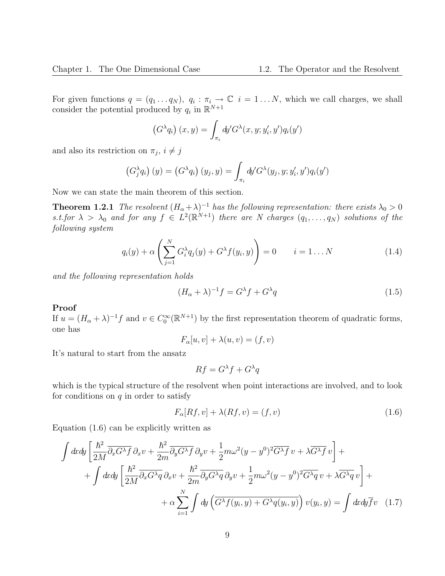For given functions  $q = (q_1 \dots q_N)$ ,  $q_i : \pi_i \to \mathbb{C}$   $i = 1 \dots N$ , which we call charges, we shall consider the potential produced by  $q_i$  in  $\mathbb{R}^{N+1}$ 

$$
(G^{\lambda}q_i)(x,y) = \int_{\pi_i} dy' G^{\lambda}(x,y;y'_i,y')q_i(y')
$$

and also its restriction on  $\pi_j$ ,  $i \neq j$ 

$$
(G_j^{\lambda}q_i)(y) = (G^{\lambda}q_i)(y_j, y) = \int_{\pi_i} dy' G^{\lambda}(y_j, y; y'_i, y') q_i(y')
$$

Now we can state the main theorem of this section.

**Theorem 1.2.1** The resolvent  $(H_{\alpha} + \lambda)^{-1}$  has the following representation: there exists  $\lambda_0 > 0$ s.t.for  $\lambda > \lambda_0$  and for any  $f \in L^2(\mathbb{R}^{N+1})$  there are N charges  $(q_1,\ldots,q_N)$  solutions of the following system

$$
q_i(y) + \alpha \left( \sum_{j=1}^N G_i^{\lambda} q_j(y) + G^{\lambda} f(y_i, y) \right) = 0 \qquad i = 1...N
$$
 (1.4)

and the following representation holds

$$
(H_{\alpha} + \lambda)^{-1}f = G^{\lambda}f + G^{\lambda}q
$$
\n(1.5)

### Proof

If  $u = (H_\alpha + \lambda)^{-1} f$  and  $v \in C_0^\infty(\mathbb{R}^{N+1})$  by the first representation theorem of quadratic forms, one has

$$
F_{\alpha}[u, v] + \lambda(u, v) = (f, v)
$$

It's natural to start from the ansatz

$$
Rf = G^{\lambda}f + G^{\lambda}q
$$

which is the typical structure of the resolvent when point interactions are involved, and to look for conditions on  $q$  in order to satisfy

$$
F_{\alpha}[Rf, v] + \lambda(Rf, v) = (f, v)
$$
\n(1.6)

Equation (1.6) can be explicitly written as

$$
\int dx dy \left[ \frac{\hbar^2}{2M} \overline{\partial_x G^\lambda f} \partial_x v + \frac{\hbar^2}{2m} \overline{\partial_y G^\lambda f} \partial_y v + \frac{1}{2} m \omega^2 (y - y^0)^2 \overline{G^\lambda f} v + \lambda \overline{G^\lambda f} v \right] +
$$
  
+ 
$$
\int dx dy \left[ \frac{\hbar^2}{2M} \overline{\partial_x G^\lambda q} \partial_x v + \frac{\hbar^2}{2m} \overline{\partial_y G^\lambda q} \partial_y v + \frac{1}{2} m \omega^2 (y - y^0)^2 \overline{G^\lambda q} v + \lambda \overline{G^\lambda q} v \right] +
$$
  
+ 
$$
\alpha \sum_{i=1}^N \int dy \left( \overline{G^\lambda f}(y_i, y) + \overline{G^\lambda q}(y_i, y) \right) v(y_i, y) = \int dx dy \overline{f} v \quad (1.7)
$$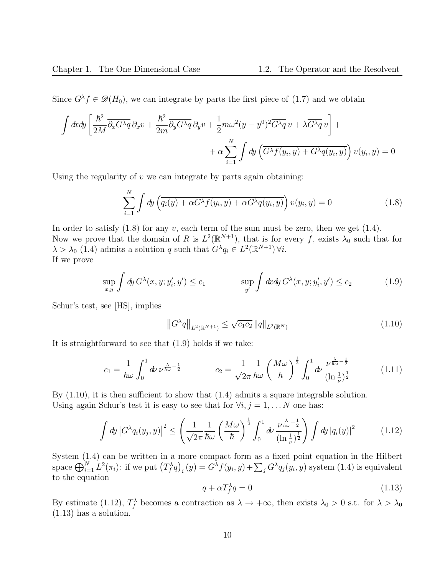Since  $G^{\lambda} f \in \mathscr{D}(H_0)$ , we can integrate by parts the first piece of (1.7) and we obtain

$$
\int dx dy \left[ \frac{\hbar^2}{2M} \overline{\partial_x G^\lambda q} \, \partial_x v + \frac{\hbar^2}{2m} \overline{\partial_y G^\lambda q} \, \partial_y v + \frac{1}{2} m \omega^2 (y - y^0)^2 \overline{G^\lambda q} \, v + \lambda \overline{G^\lambda q} \, v \right] + \left[ \omega \right] + \alpha \sum_{i=1}^N \int dy \left( \overline{G^\lambda f(y_i, y) + G^\lambda q(y_i, y)} \right) v(y_i, y) = 0
$$

Using the regularity of  $v$  we can integrate by parts again obtaining:

$$
\sum_{i=1}^{N} \int dy \left( \overline{q_i(y) + \alpha G^{\lambda} f(y_i, y) + \alpha G^{\lambda} q(y_i, y)} \right) v(y_i, y) = 0
$$
\n(1.8)

In order to satisfy  $(1.8)$  for any v, each term of the sum must be zero, then we get  $(1.4)$ . Now we prove that the domain of R is  $L^2(\mathbb{R}^{N+1})$ , that is for every f, exists  $\lambda_0$  such that for  $\lambda > \lambda_0$  (1.4) admits a solution q such that  $G^{\lambda} q_i \in L^2(\mathbb{R}^{N+1}) \forall i$ . If we prove

$$
\sup_{x,y} \int dy \, G^{\lambda}(x,y;y'_i,y') \le c_1 \qquad \qquad \sup_{y'} \int dx dy \, G^{\lambda}(x,y;y'_i,y') \le c_2 \qquad (1.9)
$$

Schur's test, see [HS], implies

$$
\left\|G^{\lambda}q\right\|_{L^{2}(\mathbb{R}^{N+1})} \leq \sqrt{c_{1}c_{2}}\left\|q\right\|_{L^{2}(\mathbb{R}^{N})}
$$
\n(1.10)

It is straightforward to see that (1.9) holds if we take:

$$
c_1 = \frac{1}{\hbar\omega} \int_0^1 d\nu \, \nu^{\frac{\lambda}{\hbar\omega} - \frac{1}{2}} \qquad c_2 = \frac{1}{\sqrt{2\pi}} \frac{1}{\hbar\omega} \left(\frac{M\omega}{\hbar}\right)^{\frac{1}{2}} \int_0^1 d\nu \, \frac{\nu^{\frac{\lambda}{\hbar\omega} - \frac{1}{2}}}{(\ln\frac{1}{\nu})^{\frac{1}{2}}} \qquad (1.11)
$$

By (1.10), it is then sufficient to show that (1.4) admits a square integrable solution. Using again Schur's test it is easy to see that for  $\forall i, j = 1, \ldots N$  one has:

$$
\int dy \left| G^{\lambda} q_i(y_j, y) \right|^2 \le \left( \frac{1}{\sqrt{2\pi}} \frac{1}{\hbar \omega} \left( \frac{M\omega}{\hbar} \right)^{\frac{1}{2}} \int_0^1 dy \frac{\nu^{\frac{\lambda}{\hbar \omega} - \frac{1}{2}}}{\left( \ln \frac{1}{\nu} \right)^{\frac{1}{2}}} \right) \int dy \left| q_i(y) \right|^2 \tag{1.12}
$$

System (1.4) can be written in a more compact form as a fixed point equation in the Hilbert space  $\bigoplus_{i=1}^N L^2(\pi_i)$ : if we put  $(T_f^{\lambda}q)_i(y) = G^{\lambda}f(y_i, y) + \sum_j G^{\lambda}q_j(y_i, y)$  system (1.4) is equivalent to the equation

$$
q + \alpha T_f^{\lambda} q = 0 \tag{1.13}
$$

By estimate (1.12),  $T_f^{\lambda}$  becomes a contraction as  $\lambda \to +\infty$ , then exists  $\lambda_0 > 0$  s.t. for  $\lambda > \lambda_0$ (1.13) has a solution.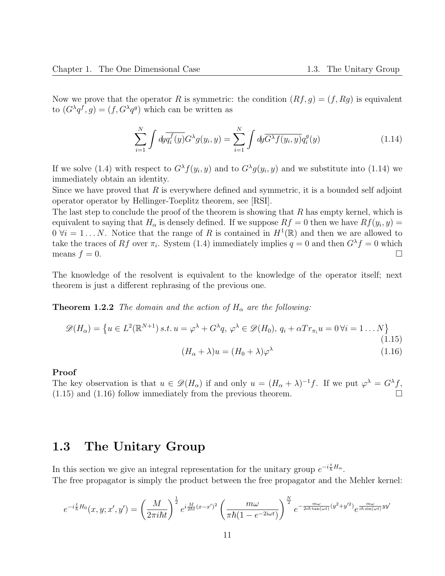Now we prove that the operator R is symmetric: the condition  $(Rf, g) = (f, Rg)$  is equivalent to  $(G^{\lambda}q^f, g) = (f, G^{\lambda}q^g)$  which can be written as

$$
\sum_{i=1}^{N} \int dy \overline{q_i^f(y)} G^{\lambda} g(y_i, y) = \sum_{i=1}^{N} \int dy \overline{G^{\lambda} f(y_i, y)} q_i^g(y) \tag{1.14}
$$

If we solve (1.4) with respect to  $G^{\lambda} f(y_i, y)$  and to  $G^{\lambda} g(y_i, y)$  and we substitute into (1.14) we immediately obtain an identity.

Since we have proved that  $R$  is everywhere defined and symmetric, it is a bounded self adjoint operator operator by Hellinger-Toeplitz theorem, see [RSI].

The last step to conclude the proof of the theorem is showing that  $R$  has empty kernel, which is equivalent to saying that  $H_{\alpha}$  is densely defined. If we suppose  $Rf = 0$  then we have  $Rf(y_i, y) =$  $0 \forall i = 1 \dots N$ . Notice that the range of R is contained in  $H^1(\mathbb{R})$  and then we are allowed to take the traces of Rf over  $\pi_i$ . System (1.4) immediately implies  $q = 0$  and then  $G^{\lambda} f = 0$  which means  $f = 0$ .

The knowledge of the resolvent is equivalent to the knowledge of the operator itself; next theorem is just a different rephrasing of the previous one.

**Theorem 1.2.2** The domain and the action of  $H_{\alpha}$  are the following:

$$
\mathscr{D}(H_{\alpha}) = \left\{ u \in L^{2}(\mathbb{R}^{N+1}) \, s.t. \, u = \varphi^{\lambda} + G^{\lambda}q, \, \varphi^{\lambda} \in \mathscr{D}(H_{0}), \, q_{i} + \alpha Tr_{\pi_{i}} u = 0 \, \forall i = 1 \dots N \right\}
$$
\n(1.15)

$$
(H_{\alpha} + \lambda)u = (H_0 + \lambda)\varphi^{\lambda}
$$
\n(1.16)

#### Proof

The key observation is that  $u \in \mathscr{D}(H_\alpha)$  if and only  $u = (H_\alpha + \lambda)^{-1}f$ . If we put  $\varphi^{\lambda} = G^{\lambda}f$ , (1.15) and (1.16) follow immediately from the previous theorem.

## 1.3 The Unitary Group

In this section we give an integral representation for the unitary group  $e^{-i\frac{t}{\hbar}H_{\alpha}}$ . The free propagator is simply the product between the free propagator and the Mehler kernel:

$$
e^{-i\frac{t}{\hbar}H_0}(x,y;x',y') = \left(\frac{M}{2\pi i\hbar t}\right)^{\frac{1}{2}} e^{i\frac{M}{2\hbar t}(x-x')^2} \left(\frac{m\omega}{\pi\hbar(1-e^{-2i\omega t})}\right)^{\frac{N}{2}} e^{-\frac{m\omega}{2i\hbar\tan(\omega t)}(y^2+y'^2)} e^{\frac{m\omega}{i\hbar\sin(\omega t)}yy'}
$$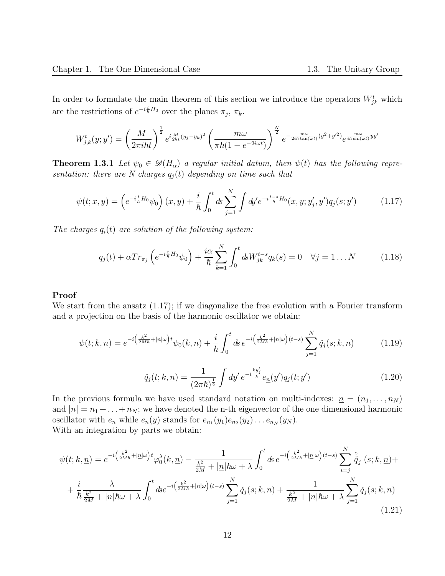In order to formulate the main theorem of this section we introduce the operators  $W_{jk}^t$  which are the restrictions of  $e^{-i\frac{t}{\hbar}H_0}$  over the planes  $\pi_j$ ,  $\pi_k$ .

$$
W_{j,k}^t(y;y') = \left(\frac{M}{2\pi i\hbar t}\right)^{\frac{1}{2}} e^{i\frac{M}{2\hbar t}(y_j - y_k)^2} \left(\frac{m\omega}{\pi\hbar(1 - e^{-2i\omega t})}\right)^{\frac{N}{2}} e^{-\frac{m\omega}{2i\hbar \tan(\omega t)}(y^2 + y'^2)} e^{\frac{m\omega}{i\hbar \sin(\omega t)}yy'}
$$

**Theorem 1.3.1** Let  $\psi_0 \in \mathscr{D}(H_\alpha)$  a regular initial datum, then  $\psi(t)$  has the following representation: there are N charges  $q_i(t)$  depending on time such that

$$
\psi(t;x,y) = \left(e^{-i\frac{t}{\hbar}H_0}\psi_0\right)(x,y) + \frac{i}{\hbar}\int_0^t ds \sum_{j=1}^N \int dy' e^{-i\frac{t-s}{\hbar}H_0}(x,y;y'_j,y')q_j(s;y') \tag{1.17}
$$

The charges  $q_i(t)$  are solution of the following system:

$$
q_j(t) + \alpha Tr_{\pi_j} \left( e^{-i \frac{t}{\hbar} H_0} \psi_0 \right) + \frac{i \alpha}{\hbar} \sum_{k=1}^N \int_0^t ds W_{jk}^{t-s} q_k(s) = 0 \quad \forall j = 1...N \tag{1.18}
$$

### Proof

We start from the ansatz  $(1.17)$ ; if we diagonalize the free evolution with a Fourier transform and a projection on the basis of the harmonic oscillator we obtain:

$$
\psi(t;k,\underline{n}) = e^{-i\left(\frac{k^2}{2M\hbar} + |\underline{n}|\omega\right)t} \psi_0(k,\underline{n}) + \frac{i}{\hbar} \int_0^t ds \, e^{-i\left(\frac{k^2}{2M\hbar} + |\underline{n}|\omega\right)(t-s)} \sum_{j=1}^N \check{q}_j(s;k,\underline{n}) \tag{1.19}
$$

$$
\check{q}_j(t;k,\underline{n}) = \frac{1}{(2\pi\hbar)^{\frac{1}{2}}} \int dy' \, e^{-i\frac{ky'_j}{\hbar}} e_{\underline{n}}(y') q_j(t;y')
$$
\n(1.20)

In the previous formula we have used standard notation on multi-indexes:  $\underline{n} = (n_1, \ldots, n_N)$ and  $|\underline{n}| = n_1 + \ldots + n_N$ ; we have denoted the n-th eigenvector of the one dimensional harmonic oscillator with  $e_n$  while  $e_n(y)$  stands for  $e_{n_1}(y_1)e_{n_2}(y_2)...e_{n_N}(y_N)$ .

With an integration by parts we obtain:

$$
\psi(t;k,\underline{n}) = e^{-i\left(\frac{k^2}{2M\hbar} + |\underline{n}|\omega\right)t} \varphi_0^{\lambda}(k,\underline{n}) - \frac{1}{\frac{k^2}{2M} + |\underline{n}|\hbar\omega + \lambda} \int_0^t ds \, e^{-i\left(\frac{k^2}{2M\hbar} + |\underline{n}|\omega\right)(t-s)} \sum_{i=j}^N \stackrel{\circ}{q}_j \left(s;k,\underline{n}\right) + \frac{i}{\hbar} \frac{\lambda}{\frac{k^2}{2M} + |\underline{n}|\hbar\omega + \lambda} \int_0^t ds \, e^{-i\left(\frac{k^2}{2M\hbar} + |\underline{n}|\omega\right)(t-s)} \sum_{j=1}^N \breve{q}_j(s;k,\underline{n}) + \frac{1}{\frac{k^2}{2M} + |\underline{n}|\hbar\omega + \lambda} \sum_{j=1}^N \breve{q}_j(s;k,\underline{n}) \tag{1.21}
$$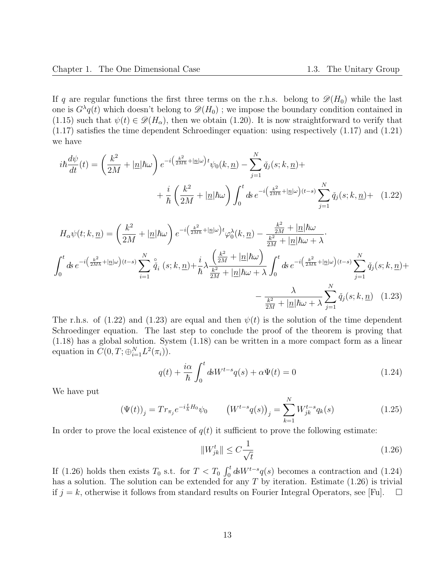If q are regular functions the first three terms on the r.h.s. belong to  $\mathscr{D}(H_0)$  while the last one is  $G^{\lambda}q(t)$  which doesn't belong to  $\mathscr{D}(H_0)$  ; we impose the boundary condition contained in (1.15) such that  $\psi(t) \in \mathscr{D}(H_\alpha)$ , then we obtain (1.20). It is now straightforward to verify that (1.17) satisfies the time dependent Schroedinger equation: using respectively (1.17) and (1.21) we have

$$
i\hbar \frac{d\psi}{dt}(t) = \left(\frac{k^2}{2M} + |\underline{n}|\hbar\omega\right) e^{-i\left(\frac{k^2}{2M\hbar} + |\underline{n}|\omega\right)t} \psi_0(k, \underline{n}) - \sum_{j=1}^N \check{q}_j(s; k, \underline{n}) + \frac{i}{\hbar} \left(\frac{k^2}{2M} + |\underline{n}|\hbar\omega\right) \int_0^t ds \, e^{-i\left(\frac{k^2}{2M\hbar} + |\underline{n}|\omega\right)(t-s)} \sum_{j=1}^N \check{q}_j(s; k, \underline{n}) + \quad (1.22)
$$

$$
H_{\alpha}\psi(t;k,\underline{n}) = \left(\frac{k^{2}}{2M} + |\underline{n}|\hbar\omega\right)e^{-i\left(\frac{k^{2}}{2M\hbar} + |\underline{n}|\omega\right)t}\varphi_{0}^{\lambda}(k,\underline{n}) - \frac{\frac{k^{2}}{2M} + |\underline{n}|\hbar\omega}{\frac{k^{2}}{2M} + |\underline{n}|\hbar\omega + \lambda}.
$$

$$
\int_{0}^{t} ds \, e^{-i\left(\frac{k^{2}}{2M\hbar} + |\underline{n}|\omega\right)(t-s)} \sum_{i=1}^{N} \frac{\omega}{\tilde{q}_{i}}\left(s;k,\underline{n}\right) + \frac{i}{\hbar}\lambda \frac{\left(\frac{k^{2}}{2M} + |\underline{n}|\hbar\omega\right)}{\frac{k^{2}}{2M} + |\underline{n}|\hbar\omega + \lambda} \int_{0}^{t} ds \, e^{-i\left(\frac{k^{2}}{2M\hbar} + |\underline{n}|\omega\right)(t-s)} \sum_{j=1}^{N} \check{q}_{j}(s;k,\underline{n}) + \frac{\lambda}{\frac{k^{2}}{2M} + |\underline{n}|\hbar\omega + \lambda} \sum_{j=1}^{N} \check{q}_{j}(s;k,\underline{n}) \quad (1.23)
$$

The r.h.s. of (1.22) and (1.23) are equal and then  $\psi(t)$  is the solution of the time dependent Schroedinger equation. The last step to conclude the proof of the theorem is proving that (1.18) has a global solution. System (1.18) can be written in a more compact form as a linear equation in  $C(0, T; \bigoplus_{i=1}^{N} L^2(\pi_i)).$ 

$$
q(t) + \frac{i\alpha}{\hbar} \int_0^t ds W^{t-s} q(s) + \alpha \Psi(t) = 0
$$
\n(1.24)

We have put

$$
\left(\Psi(t)\right)_j = Tr_{\pi_j} e^{-i\frac{t}{\hbar}H_0} \psi_0 \qquad \left(W^{t-s}q(s)\right)_j = \sum_{k=1}^N W_{jk}^{t-s} q_k(s) \tag{1.25}
$$

In order to prove the local existence of  $q(t)$  it sufficient to prove the following estimate:

$$
||W_{jk}^t|| \le C \frac{1}{\sqrt{t}} \tag{1.26}
$$

If (1.26) holds then exists  $T_0$  s.t. for  $T < T_0 \int_0^t ds W^{t-s} q(s)$  becomes a contraction and (1.24) has a solution. The solution can be extended for any  $T$  by iteration. Estimate (1.26) is trivial if  $j = k$ , otherwise it follows from standard results on Fourier Integral Operators, see [Fu].  $\Box$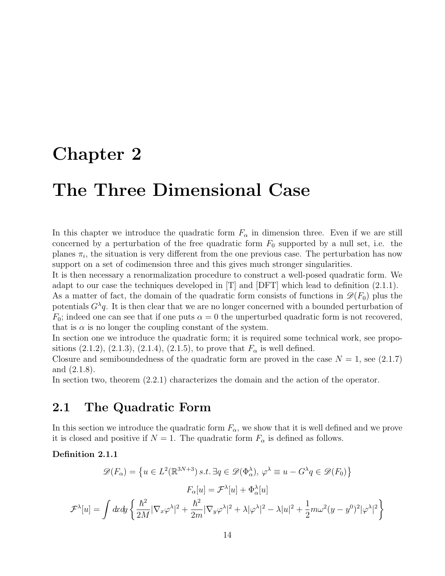## Chapter 2

## The Three Dimensional Case

In this chapter we introduce the quadratic form  $F_{\alpha}$  in dimension three. Even if we are still concerned by a perturbation of the free quadratic form  $F_0$  supported by a null set, i.e. the planes  $\pi_i$ , the situation is very different from the one previous case. The perturbation has now support on a set of codimension three and this gives much stronger singularities.

It is then necessary a renormalization procedure to construct a well-posed quadratic form. We adapt to our case the techniques developed in [T] and [DFT] which lead to definition (2.1.1).

As a matter of fact, the domain of the quadratic form consists of functions in  $\mathscr{D}(F_0)$  plus the potentials  $G^{\lambda}q$ . It is then clear that we are no longer concerned with a bounded perturbation of  $F_0$ ; indeed one can see that if one puts  $\alpha = 0$  the unperturbed quadratic form is not recovered, that is  $\alpha$  is no longer the coupling constant of the system.

In section one we introduce the quadratic form; it is required some technical work, see propositions (2.1.2), (2.1.3), (2.1.4), (2.1.5), to prove that  $F_{\alpha}$  is well defined.

Closure and semiboundedness of the quadratic form are proved in the case  $N = 1$ , see (2.1.7) and (2.1.8).

In section two, theorem (2.2.1) characterizes the domain and the action of the operator.

## 2.1 The Quadratic Form

In this section we introduce the quadratic form  $F_{\alpha}$ , we show that it is well defined and we prove it is closed and positive if  $N = 1$ . The quadratic form  $F_{\alpha}$  is defined as follows.

Definition 2.1.1

$$
\mathscr{D}(F_{\alpha}) = \left\{ u \in L^{2}(\mathbb{R}^{3N+3}) \ s.t. \ \exists q \in \mathscr{D}(\Phi_{\alpha}^{\lambda}), \ \varphi^{\lambda} \equiv u - G^{\lambda} q \in \mathscr{D}(F_{0}) \right\}
$$

$$
F_{\alpha}[u] = \mathcal{F}^{\lambda}[u] + \Phi_{\alpha}^{\lambda}[u]
$$

$$
\mathcal{F}^{\lambda}[u] = \int dx dy \left\{ \frac{\hbar^{2}}{2M} |\nabla_{x} \varphi^{\lambda}|^{2} + \frac{\hbar^{2}}{2m} |\nabla_{y} \varphi^{\lambda}|^{2} + \lambda |\varphi^{\lambda}|^{2} - \lambda |u|^{2} + \frac{1}{2} m \omega^{2} (y - y^{0})^{2} |\varphi^{\lambda}|^{2} \right\}
$$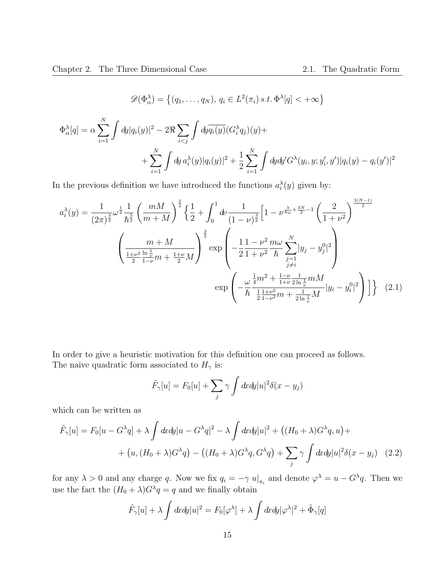$$
\mathscr{D}(\Phi_{\alpha}^{\lambda}) = \left\{ (q_1, \ldots, q_N), \, q_i \in L^2(\pi_i) \, s.t. \, \Phi^{\lambda}[q] < +\infty \right\}
$$

$$
\Phi_{\alpha}^{\lambda}[q] = \alpha \sum_{i=1}^{N} \int dy |q_i(y)|^2 - 2\Re \sum_{i < j} \int dy \overline{q_i(y)} (G_i^{\lambda} q_j)(y) + \\ + \sum_{i=1}^{N} \int dy \, a_i^{\lambda}(y) |q_i(y)|^2 + \frac{1}{2} \sum_{i=1}^{N} \int dy dy' G^{\lambda}(y_i, y; y_i', y') |q_i(y) - q_i(y')|^2
$$

In the previous definition we have introduced the functions  $a_i^{\lambda}(y)$  given by:

$$
a_i^{\lambda}(y) = \frac{1}{(2\pi)^{\frac{3}{2}}} \omega^{\frac{1}{2}} \frac{1}{\hbar^{\frac{5}{2}}} \left(\frac{mM}{m+M}\right)^{\frac{3}{2}} \left\{ \frac{1}{2} + \int_0^1 d\nu \frac{1}{(1-\nu)^{\frac{3}{2}}} \left[1 - \nu^{\frac{\lambda}{h\omega} + \frac{3N}{2} - 1} \left(\frac{2}{1+\nu^2}\right)^{\frac{3(N-1)}{2}} \right] \right\}
$$

$$
\left(\frac{m+M}{\frac{1+\nu^2}{2}\frac{\ln\frac{1}{\nu}}{1-\nu}m + \frac{1+\nu}{2}M}\right)^{\frac{3}{2}} \exp\left(-\frac{1}{2}\frac{1-\nu^2}{1+\nu^2}\frac{m\omega}{\hbar}\sum_{\substack{j=1 \ j\neq i}}^N |y_j - y_j^0|^2\right)
$$

$$
\exp\left(-\frac{\omega}{\hbar}\frac{\frac{1}{4}m^2 + \frac{1-\nu}{1+\nu}\frac{1}{2\ln\frac{1}{\nu}}mM}{\frac{1}{2}\frac{1+\nu^2}{1-\nu^2}m + \frac{1}{2\ln\frac{1}{\nu}}M}|y_i - y_i^0|^2\right)\right\} \quad (2.1)
$$

In order to give a heuristic motivation for this definition one can proceed as follows. The naive quadratic form associated to  $H_{\gamma}$  is:

$$
\tilde{F}_{\gamma}[u] = F_0[u] + \sum_j \gamma \int dx dy |u|^2 \delta(x - y_j)
$$

which can be written as

$$
\tilde{F}_{\gamma}[u] = F_0[u - G^{\lambda}q] + \lambda \int dx dy |u - G^{\lambda}q|^2 - \lambda \int dx dy |u|^2 + ((H_0 + \lambda)G^{\lambda}q, u) +
$$

$$
+ (u, (H_0 + \lambda)G^{\lambda}q) - ((H_0 + \lambda)G^{\lambda}q, G^{\lambda}q) + \sum_j \gamma \int dx dy |u|^2 \delta(x - y_j) \quad (2.2)
$$

for any  $\lambda > 0$  and any charge q. Now we fix  $q_i = -\gamma u|_{\pi_i}$  and denote  $\varphi^{\lambda} = u - G^{\lambda} q$ . Then we use the fact the  $(H_0 + \lambda)G^{\lambda}q = q$  and we finally obtain

$$
\tilde{F}_{\gamma}[u] + \lambda \int dx dy |u|^2 = F_0[\varphi^{\lambda}] + \lambda \int dx dy |\varphi^{\lambda}|^2 + \tilde{\Phi}_{\gamma}[q]
$$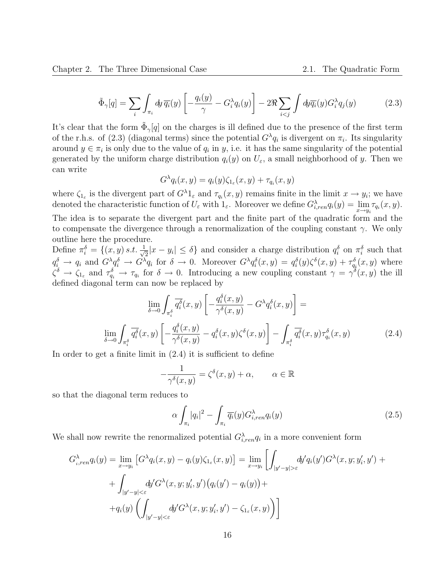$$
\tilde{\Phi}_{\gamma}[q] = \sum_{i} \int_{\pi_{i}} dy \, \overline{q_{i}}(y) \left[ -\frac{q_{i}(y)}{\gamma} - G_{i}^{\lambda} q_{i}(y) \right] - 2\Re \sum_{i < j} \int dy \overline{q_{i}}(y) G_{i}^{\lambda} q_{j}(y) \tag{2.3}
$$

It's clear that the form  $\tilde{\Phi}_{\gamma}[q]$  on the charges is ill defined due to the presence of the first term of the r.h.s. of (2.3) (diagonal terms) since the potential  $G^{\lambda}q_i$  is divergent on  $\pi_i$ . Its singularity around  $y \in \pi_i$  is only due to the value of  $q_i$  in y, i.e. it has the same singularity of the potential generated by the uniform charge distribution  $q_i(y)$  on  $U_\varepsilon$ , a small neighborhood of y. Then we can write

$$
G^{\lambda}q_i(x,y) = q_i(y)\zeta_{1_{\varepsilon}}(x,y) + \tau_{q_i}(x,y)
$$

where  $\zeta_{1_{\varepsilon}}$  is the divergent part of  $G^{\lambda}1_{\varepsilon}$  and  $\tau_{q_i}(x, y)$  remains finite in the limit  $x \to y_i$ ; we have denoted the characteristic function of  $U_{\varepsilon}$  with  $1_{\varepsilon}$ . Moreover we define  $G^{\lambda}_{i,ren}q_i(y) = \lim_{x \to y_i} \tau_{q_i}(x, y)$ . The idea is to separate the divergent part and the finite part of the quadratic form and the to compensate the divergence through a renormalization of the coupling constant  $\gamma$ . We only outline here the procedure.

Define  $\pi_i^{\delta} = \{(x, y) \, s.t. \frac{1}{\sqrt{\epsilon}}\}$  $\frac{1}{2}|x-y_i| \leq \delta$  and consider a charge distribution  $q_i^{\delta}$  on  $\pi_i^{\delta}$  such that  $q_i^{\delta} \to q_i$  and  $G^{\lambda} q_i^{\delta} \to G^{\lambda} q_i$  for  $\delta \to 0$ . Moreover  $G^{\lambda} q_i^{\delta}(x, y) = q_i^{\delta}(y) \zeta^{\delta}(x, y) + \tau_{q_i}^{\delta}(x, y)$  where  $\zeta^{\delta} \to \zeta_{1_{\varepsilon}}$  and  $\tau_{q_i}^{\delta} \to \tau_{q_i}$  for  $\delta \to 0$ . Introducing a new coupling constant  $\gamma = \gamma^{\delta}(x, y)$  the ill defined diagonal term can now be replaced by

$$
\lim_{\delta \to 0} \int_{\pi_i^{\delta}} \overline{q_i^{\delta}}(x, y) \left[ -\frac{q_i^{\delta}(x, y)}{\gamma^{\delta}(x, y)} - G^{\lambda} q_i^{\delta}(x, y) \right] =
$$
\n
$$
\lim_{\delta \to 0} \int_{\pi_i^{\delta}} \overline{q_i^{\delta}}(x, y) \left[ -\frac{q_i^{\delta}(x, y)}{\gamma^{\delta}(x, y)} - q_i^{\delta}(x, y) \zeta^{\delta}(x, y) \right] - \int_{\pi_i^{\delta}} \overline{q_i^{\delta}}(x, y) \tau_{q_i}^{\delta}(x, y) \tag{2.4}
$$

In order to get a finite limit in (2.4) it is sufficient to define

$$
-\frac{1}{\gamma^{\delta}(x,y)} = \zeta^{\delta}(x,y) + \alpha, \qquad \alpha \in \mathbb{R}
$$

so that the diagonal term reduces to

$$
\alpha \int_{\pi_i} |q_i|^2 - \int_{\pi_i} \overline{q_i}(y) G_{i,ren}^{\lambda} q_i(y) \tag{2.5}
$$

We shall now rewrite the renormalized potential  $G^{\lambda}_{i,ren}q_i$  in a more convenient form

$$
G_{i,ren}^{\lambda}q_i(y) = \lim_{x \to y_i} \left[ G^{\lambda}q_i(x, y) - q_i(y)\zeta_{1_{\varepsilon}}(x, y) \right] = \lim_{x \to y_i} \left[ \int_{|y'-y| > \varepsilon} dy' q_i(y') G^{\lambda}(x, y; y'_i, y') + + \int_{|y'-y| < \varepsilon} dy' G^{\lambda}(x, y; y'_i, y') (q_i(y') - q_i(y)) + + q_i(y) \left( \int_{|y'-y| < \varepsilon} dy' G^{\lambda}(x, y; y'_i, y') - \zeta_{1_{\varepsilon}}(x, y) \right) \right]
$$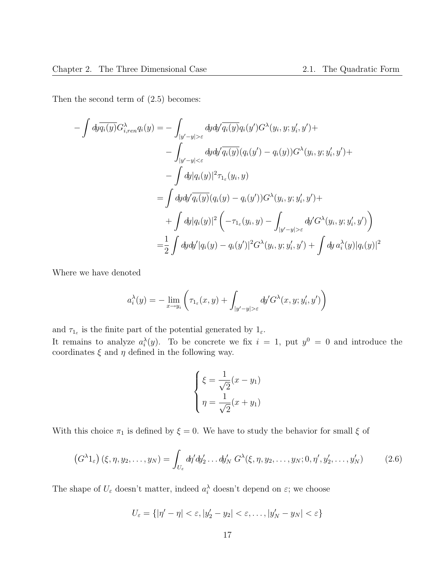Then the second term of (2.5) becomes:

$$
-\int dy \overline{q_i(y)} G^{\lambda}_{i,ren} q_i(y) = -\int_{|y'-y|>\varepsilon} dy dy' \overline{q_i(y)} q_i(y') G^{\lambda}(y_i, y; y'_i, y') +
$$
  

$$
-\int_{|y'-y|<\varepsilon} dy dy' \overline{q_i(y)} (q_i(y') - q_i(y)) G^{\lambda}(y_i, y; y'_i, y') +
$$
  

$$
-\int dy |q_i(y)|^2 \tau_{1_{\varepsilon}}(y_i, y)
$$
  

$$
=\int dy dy' \overline{q_i(y)} (q_i(y) - q_i(y')) G^{\lambda}(y_i, y; y'_i, y') +
$$
  

$$
+\int dy |q_i(y)|^2 \left( -\tau_{1_{\varepsilon}}(y_i, y) - \int_{|y'-y|>\varepsilon} dy' G^{\lambda}(y_i, y; y'_i, y') \right)
$$
  

$$
=\frac{1}{2} \int dy dy' |q_i(y) - q_i(y')|^2 G^{\lambda}(y_i, y; y'_i, y') + \int dy \ a_i^{\lambda}(y) |q_i(y)|^2
$$

Where we have denoted

$$
a_i^{\lambda}(y) = -\lim_{x \to y_i} \left( \tau_{1_{\varepsilon}}(x, y) + \int_{|y'-y| > \varepsilon} dy' G^{\lambda}(x, y; y_i', y') \right)
$$

and  $\tau_{1_{\varepsilon}}$  is the finite part of the potential generated by  $1_{\varepsilon}$ . It remains to analyze  $a_i^{\lambda}(y)$ . To be concrete we fix  $i = 1$ , put  $y^0 = 0$  and introduce the coordinates  $\xi$  and  $\eta$  defined in the following way.

$$
\begin{cases} \xi = \frac{1}{\sqrt{2}}(x - y_1) \\ \eta = \frac{1}{\sqrt{2}}(x + y_1) \end{cases}
$$

With this choice  $\pi_1$  is defined by  $\xi = 0$ . We have to study the behavior for small  $\xi$  of

$$
\left(G^{\lambda}1_{\varepsilon}\right)(\xi,\eta,y_2,\ldots,y_N)=\int_{U_{\varepsilon}}d\eta'dy_2'\ldots dy_N' G^{\lambda}(\xi,\eta,y_2,\ldots,y_N;0,\eta',y_2',\ldots,y_N')\qquad(2.6)
$$

The shape of  $U_{\varepsilon}$  doesn't matter, indeed  $a_i^{\lambda}$  doesn't depend on  $\varepsilon$ ; we choose

$$
U_{\varepsilon} = \{ |\eta' - \eta| < \varepsilon, |y_2' - y_2| < \varepsilon, \dots, |y_N' - y_N| < \varepsilon \}
$$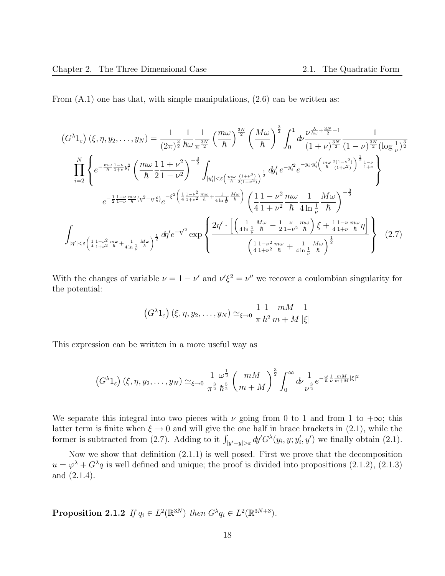From  $(A.1)$  one has that, with simple manipulations,  $(2.6)$  can be written as:

$$
(G^{\lambda}1_{\varepsilon}) (\xi, \eta, y_2, \dots, y_N) = \frac{1}{(2\pi)^{\frac{3}{2}}} \frac{1}{\hbar \omega} \frac{1}{\pi^{\frac{3N}{2}}} \left(\frac{m\omega}{\hbar}\right)^{\frac{3N}{2}} \left(\frac{M\omega}{\hbar}\right)^{\frac{3}{2}} \int_{0}^{1} d\nu \frac{\nu^{\frac{\lambda}{\hbar \omega} + \frac{3N}{2} - 1}}{(1 + \nu)^{\frac{3N}{2}}} \frac{1}{(1 - \nu)^{\frac{3N}{2}}} \frac{1}{(\log \frac{1}{\nu})^{\frac{3}{2}}}
$$

$$
\prod_{i=2}^{N} \left\{ e^{-\frac{m\omega}{\hbar} \frac{1 - \nu}{1 + \nu} y_i^2} \left(\frac{m\omega}{\hbar} \frac{1}{2} \frac{1 + \nu^2}{1 - \nu^2}\right)^{-\frac{3}{2}} \int_{|y'_i| < \varepsilon \left(\frac{m\omega}{\hbar} \frac{(1 + \nu^2)}{2(1 - \nu^2)}\right)^{\frac{1}{2}}} dy'_i e^{-y_i'^2} e^{-y_i y'_i \left(\frac{m\omega}{\hbar} \frac{2(1 - \nu^2)}{(1 + \nu^2)}\right)^{\frac{1}{2}} \frac{1 - \nu}{1 + \nu}} \right\}
$$

$$
e^{-\frac{1}{2} \frac{1 - \nu}{1 + \nu} \frac{m\omega}{\hbar} (\eta^2 - \eta \cdot \xi)} e^{-\xi^2 \left(\frac{1}{4} \frac{1 - \nu^2}{1 + \nu^2} \frac{m\omega}{\hbar} + \frac{1}{4 \ln \frac{1}{\nu}} \frac{M\omega}{\hbar}\right)} \left(\frac{1}{4} \frac{1 - \nu^2}{1 + \nu^2} \frac{m\omega}{\hbar} \frac{1}{4 \ln \frac{1}{\nu}} \frac{M\omega}{\hbar}\right)^{-\frac{3}{2}}
$$

$$
\int_{|\eta'| < \varepsilon \left(\frac{1}{4} \frac{1 - \nu^2}{1 + \nu^2} \frac{m\omega}{\hbar} + \frac{1}{4 \ln \frac{1}{\nu}} \frac{M\omega}{\hbar}\right)^{\frac{1}{2}}} d\eta' e^{-\eta'^2} \exp\left\{ \frac{2\eta
$$

With the changes of variable  $\nu = 1 - \nu'$  and  $\nu' \xi^2 = \nu''$  we recover a coulombian singularity for the potential:

$$
(G^{\lambda}1_{\varepsilon}) (\xi, \eta, y_2, \dots, y_N) \simeq_{\xi \to 0} \frac{1}{\pi} \frac{1}{\hbar^2} \frac{mM}{m+M} \frac{1}{|\xi|}
$$

This expression can be written in a more useful way as

$$
(G^{\lambda}1_{\varepsilon}) (\xi, \eta, y_2, \dots, y_N) \simeq_{\xi \to 0} \frac{1}{\pi^{\frac{3}{2}}} \frac{\omega^{\frac{1}{2}}}{\hbar^{\frac{5}{2}}} \left(\frac{mM}{m+M}\right)^{\frac{3}{2}} \int_0^{\infty} d\nu \frac{1}{\nu^{\frac{3}{2}}} e^{-\frac{\omega}{\hbar} \frac{1}{\nu} \frac{mM}{m+M} |\xi|^2}
$$

We separate this integral into two pieces with  $\nu$  going from 0 to 1 and from 1 to  $+\infty$ ; this latter term is finite when  $\xi \to 0$  and will give the one half in brace brackets in (2.1), while the former is subtracted from (2.7). Adding to it  $\int_{|y'-y|>\varepsilon} dy' G^{\lambda}(y_i, y; y'_i, y')$  we finally obtain (2.1).

Now we show that definition (2.1.1) is well posed. First we prove that the decomposition  $u = \varphi^{\lambda} + G^{\lambda}q$  is well defined and unique; the proof is divided into propositions (2.1.2), (2.1.3) and (2.1.4).

**Proposition 2.1.2** If  $q_i \in L^2(\mathbb{R}^{3N})$  then  $G^{\lambda}q_i \in L^2(\mathbb{R}^{3N+3})$ .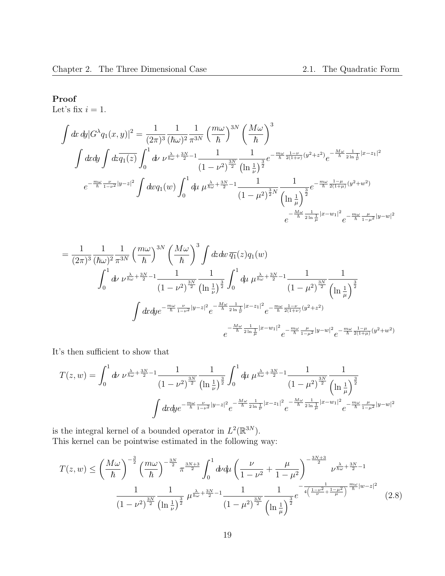### Proof

Let's fix  $i = 1$ .

$$
\int dx \, dy |G^{\lambda}q_{1}(x, y)|^{2} = \frac{1}{(2\pi)^{3}} \frac{1}{(\hbar\omega)^{2}} \frac{1}{\pi^{3N}} \left(\frac{m\omega}{\hbar}\right)^{3N} \left(\frac{M\omega}{\hbar}\right)^{3}
$$

$$
\int dx dy \int dz \overline{q_{1}(z)} \int_{0}^{1} d\nu \, \nu^{\frac{\lambda}{\hbar\omega} + \frac{3N}{2} - 1} \frac{1}{(1 - \nu^{2})^{\frac{3N}{2}}} \frac{1}{(\ln\frac{1}{\nu})^{\frac{3}{2}}} e^{-\frac{m\omega}{\hbar} \frac{1 - \nu}{2(1 + \nu)}(y^{2} + z^{2})} e^{-\frac{M\omega}{\hbar} \frac{1}{2\ln\frac{1}{\nu}}|x - z_{1}|^{2}}
$$

$$
e^{-\frac{m\omega}{\hbar} \frac{\nu}{1 - \nu^{2}}|y - z|^{2}} \int dw q_{1}(w) \int_{0}^{1} d\mu \, \mu^{\frac{\lambda}{\hbar\omega} + \frac{3N}{2} - 1} \frac{1}{(1 - \mu^{2})^{\frac{3}{2}N}} \frac{1}{(\ln\frac{1}{\mu})^{\frac{3}{2}}} e^{-\frac{m\omega}{\hbar} \frac{1 - \mu}{2(1 + \mu)}(y^{2} + w^{2})}
$$

$$
e^{-\frac{M\omega}{\hbar} \frac{1}{2\ln\frac{1}{\mu}}|x - w_{1}|^{2}} e^{-\frac{m\omega}{\hbar} \frac{\mu}{1 - \mu^{2}}|y - w|^{2}}
$$

$$
= \frac{1}{(2\pi)^3} \frac{1}{(\hbar\omega)^2} \frac{1}{\pi^{3N}} \left(\frac{m\omega}{\hbar}\right)^{3N} \left(\frac{M\omega}{\hbar}\right)^3 \int dx \, dw \, \overline{q_1}(z) q_1(w) \n\int_0^1 d\nu \, \nu^{\frac{\lambda}{\hbar\omega} + \frac{3N}{2} - 1} \frac{1}{(1 - \nu^2)^{\frac{3N}{2}}} \frac{1}{(\ln\frac{1}{\nu})^{\frac{3}{2}}} \int_0^1 d\mu \, \mu^{\frac{\lambda}{\hbar\omega} + \frac{3N}{2} - 1} \frac{1}{(1 - \mu^2)^{\frac{3N}{2}}} \frac{1}{(\ln\frac{1}{\mu})^{\frac{3}{2}}} \n\int dx \, dye^{-\frac{m\omega}{\hbar} \frac{\nu}{1 - \nu^2} |y - z|^2} e^{-\frac{M\omega}{\hbar} \frac{1}{2\ln\frac{1}{\nu}} |x - z_1|^2} e^{-\frac{m\omega}{\hbar} \frac{1 - \nu}{2(1 + \nu)} (y^2 + z^2)} \n\qquad e^{-\frac{M\omega}{\hbar} \frac{1}{2\ln\frac{1}{\mu}} |x - w_1|^2} e^{-\frac{m\omega}{\hbar} \frac{\mu}{1 - \mu^2} |y - w|^2} e^{-\frac{m\omega}{\hbar} \frac{1 - \mu}{2(1 + \mu)} (y^2 + w^2)}
$$

It's then sufficient to show that

$$
T(z,w) = \int_0^1 dv \, \nu^{\frac{\lambda}{\hbar\omega} + \frac{3N}{2} - 1} \frac{1}{(1 - \nu^2)^{\frac{3N}{2}}} \frac{1}{(\ln\frac{1}{\nu})^{\frac{3}{2}}} \int_0^1 d\mu \, \mu^{\frac{\lambda}{\hbar\omega} + \frac{3N}{2} - 1} \frac{1}{(1 - \mu^2)^{\frac{3N}{2}}} \frac{1}{(\ln\frac{1}{\mu})^{\frac{3}{2}}}
$$

$$
\int dx dy e^{-\frac{m\omega}{\hbar} \frac{\nu}{1 - \nu^2} |y - z|^2} e^{-\frac{M\omega}{\hbar} \frac{1}{2\ln\frac{1}{\nu}} |x - z_1|^2} e^{-\frac{M\omega}{\hbar} \frac{1}{2\ln\frac{1}{\mu}} |x - w_1|^2} e^{-\frac{m\omega}{\hbar} \frac{\mu}{1 - \mu^2} |y - w|^2}
$$

is the integral kernel of a bounded operator in  $L^2(\mathbb{R}^{3N})$ . This kernel can be pointwise estimated in the following way:

$$
T(z, w) \le \left(\frac{M\omega}{\hbar}\right)^{-\frac{3}{2}} \left(\frac{m\omega}{\hbar}\right)^{-\frac{3N}{2}} \pi^{\frac{3N+3}{2}} \int_0^1 d\nu d\mu \left(\frac{\nu}{1-\nu^2} + \frac{\mu}{1-\mu^2}\right)^{-\frac{3N+3}{2}} \nu^{\frac{\lambda}{\hbar\omega} + \frac{3N}{2} - 1} \n\frac{1}{(1-\nu^2)^{\frac{3N}{2}}} \frac{1}{\left(\ln\frac{1}{\nu}\right)^{\frac{3}{2}}} \mu^{\frac{\lambda}{\hbar\omega} + \frac{3N}{2} - 1} \frac{1}{(1-\mu^2)^{\frac{3N}{2}}} \frac{1}{\left(\ln\frac{1}{\mu}\right)^{\frac{3}{2}}} e^{-\frac{1}{4\left(\frac{1-\nu^2}{\nu} + \frac{1-\mu^2}{\mu}\right)} \frac{m\omega}{\hbar} |w-z|^2}
$$
\n(2.8)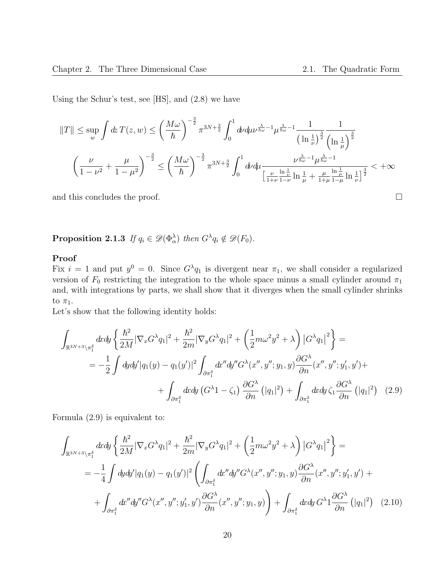Using the Schur's test, see [HS], and (2.8) we have

$$
||T|| \le \sup_{w} \int dx \, T(z, w) \le \left(\frac{M\omega}{\hbar}\right)^{-\frac{3}{2}} \pi^{3N + \frac{3}{2}} \int_{0}^{1} d\nu d\mu \nu^{\frac{\lambda}{\hbar\omega} - 1} \mu^{\frac{\lambda}{\hbar\omega} - 1} \frac{1}{\left(\ln\frac{1}{\nu}\right)^{\frac{3}{2}}} \frac{1}{\left(\ln\frac{1}{\mu}\right)^{\frac{3}{2}}}
$$

$$
\left(\frac{\nu}{1 - \nu^{2}} + \frac{\mu}{1 - \mu^{2}}\right)^{-\frac{3}{2}} \le \left(\frac{M\omega}{\hbar}\right)^{-\frac{3}{2}} \pi^{3N + \frac{3}{2}} \int_{0}^{1} d\nu d\mu \frac{\nu^{\frac{\lambda}{\hbar\omega} - 1} \mu^{\frac{\lambda}{\hbar\omega} - 1}}{\left[\frac{\nu}{1 + \nu}\frac{\ln\frac{1}{\mu}}{1 - \nu}\ln\frac{1}{\mu} + \frac{\mu}{1 + \mu}\frac{\ln\frac{1}{\mu}}{1 - \mu}\ln\frac{1}{\nu}\right]^{\frac{3}{2}}} < +\infty
$$

and this concludes the proof.  $\Box$ 

**Proposition 2.1.3** If  $q_i \in \mathscr{D}(\Phi_\alpha^\lambda)$  then  $G^\lambda q_i \notin \mathscr{D}(F_0)$ .

### Proof

Fix  $i = 1$  and put  $y^0 = 0$ . Since  $G^{\lambda}q_1$  is divergent near  $\pi_1$ , we shall consider a regularized version of  $F_0$  restricting the integration to the whole space minus a small cylinder around  $\pi_1$ and, with integrations by parts, we shall show that it diverges when the small cylinder shrinks to  $\pi_1$ .

Let's show that the following identity holds:

$$
\int_{\mathbb{R}^{3N+3}\setminus\pi_1^\delta} dx dy \left\{ \frac{\hbar^2}{2M} |\nabla_x G^\lambda q_1|^2 + \frac{\hbar^2}{2m} |\nabla_y G^\lambda q_1|^2 + \left(\frac{1}{2} m\omega^2 y^2 + \lambda\right) |G^\lambda q_1|^2 \right\} =
$$
\n
$$
= -\frac{1}{2} \int dy dy' |q_1(y) - q_1(y')|^2 \int_{\partial\pi_1^\delta} dx'' dy'' G^\lambda(x'', y''; y_1, y) \frac{\partial G^\lambda}{\partial n}(x'', y''; y'_1, y') +
$$
\n
$$
+ \int_{\partial\pi_1^\delta} dx dy \left( G^\lambda 1 - \zeta_1 \right) \frac{\partial G^\lambda}{\partial n} \left( |q_1|^2 \right) + \int_{\partial\pi_1^\delta} dx dy \zeta_1 \frac{\partial G^\lambda}{\partial n} \left( |q_1|^2 \right) \tag{2.9}
$$

Formula (2.9) is equivalent to:

$$
\int_{\mathbb{R}^{3N+3}\setminus\pi_1^\delta} dx dy \left\{ \frac{\hbar^2}{2M} |\nabla_x G^\lambda q_1|^2 + \frac{\hbar^2}{2m} |\nabla_y G^\lambda q_1|^2 + \left(\frac{1}{2} m\omega^2 y^2 + \lambda\right) |G^\lambda q_1|^2 \right\} =
$$
\n
$$
= -\frac{1}{4} \int dy dy' |q_1(y) - q_1(y')|^2 \left( \int_{\partial \pi_1^\delta} dx'' dy'' G^\lambda(x'', y''; y_1, y) \frac{\partial G^\lambda}{\partial n}(x'', y''; y'_1, y') +
$$
\n
$$
+ \int_{\partial \pi_1^\delta} dx'' dy'' G^\lambda(x'', y''; y'_1, y') \frac{\partial G^\lambda}{\partial n}(x'', y''; y_1, y) \right) + \int_{\partial \pi_1^\delta} dx dy G^\lambda 1 \frac{\partial G^\lambda}{\partial n} (|q_1|^2) \quad (2.10)
$$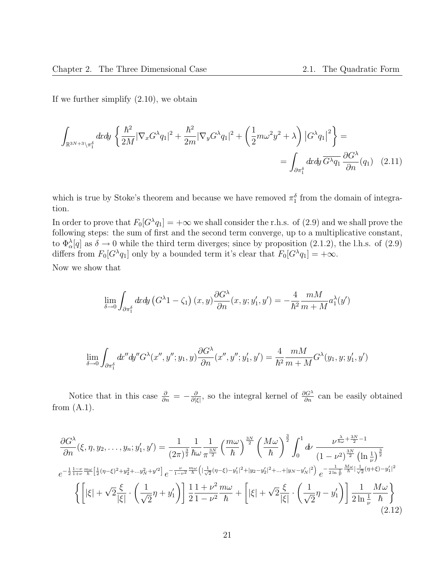If we further simplify (2.10), we obtain

$$
\int_{\mathbb{R}^{3N+3}\setminus\pi_1^\delta} dx dy \left\{ \frac{\hbar^2}{2M} |\nabla_x G^\lambda q_1|^2 + \frac{\hbar^2}{2m} |\nabla_y G^\lambda q_1|^2 + \left(\frac{1}{2} m\omega^2 y^2 + \lambda\right) |G^\lambda q_1|^2 \right\} =
$$
\n
$$
= \int_{\partial\pi_1^\delta} dx dy \overline{G^\lambda q_1} \frac{\partial G^\lambda}{\partial n} (q_1) \quad (2.11)
$$

which is true by Stoke's theorem and because we have removed  $\pi_1^{\delta}$  from the domain of integration.

In order to prove that  $F_0[G^{\lambda}q_1] = +\infty$  we shall consider the r.h.s. of (2.9) and we shall prove the following steps: the sum of first and the second term converge, up to a multiplicative constant, to  $\Phi_{\alpha}^{\lambda}[q]$  as  $\delta \to 0$  while the third term diverges; since by proposition (2.1.2), the l.h.s. of (2.9) differs from  $F_0[G^{\lambda}q_1]$  only by a bounded term it's clear that  $F_0[G^{\lambda}q_1] = +\infty$ .

Now we show that

$$
\lim_{\delta \to 0} \int_{\partial \pi_1^{\delta}} dx dy \left( G^{\lambda} 1 - \zeta_1 \right) (x, y) \frac{\partial G^{\lambda}}{\partial n} (x, y; y_1', y') = -\frac{4}{\hbar^2} \frac{mM}{m+M} a_1^{\lambda}(y')
$$

$$
\lim_{\delta \to 0} \int_{\partial \pi_1^{\delta}} dx'' dy'' G^{\lambda}(x'', y''; y_1, y) \frac{\partial G^{\lambda}}{\partial n}(x'', y''; y'_1, y') = \frac{4}{\hbar^2} \frac{mM}{m+M} G^{\lambda}(y_1, y; y'_1, y')
$$

Notice that in this case  $\frac{\partial}{\partial n} = -\frac{\partial}{\partial |\alpha|}$  $\frac{\partial}{\partial |\xi|}$ , so the integral kernel of  $\frac{\partial G^{\lambda}}{\partial n}$  can be easily obtained from  $(A.1)$ .

$$
\frac{\partial G^{\lambda}}{\partial n}(\xi, \eta, y_2, \dots, y_n; y_1', y') = \frac{1}{(2\pi)^{\frac{3}{2}}} \frac{1}{\hbar \omega} \frac{1}{\pi^{\frac{3N}{2}}} \left(\frac{m\omega}{\hbar}\right)^{\frac{3N}{2}} \left(\frac{M\omega}{\hbar}\right)^{\frac{3}{2}} \int_0^1 d\nu \frac{\nu^{\frac{\lambda}{\hbar \omega} + \frac{3N}{2} - 1}}{(1 - \nu^2)^{\frac{3N}{2}}} \left(\ln \frac{1}{\nu}\right)^{\frac{3}{2}}
$$
  
\n
$$
e^{-\frac{1}{2} \frac{1 - \nu}{1 + \nu} \frac{m\omega}{\hbar} \left[\frac{1}{2}(\eta - \xi)^2 + y_2^2 + \dots y_N^2 + y'^2\right]} e^{-\frac{\nu}{1 - \nu^2} \frac{m\omega}{\hbar} \left(\left|\frac{1}{\sqrt{2}}(\eta - \xi) - y_1'\right|^2 + \left|y_2 - y_2'\right|^2 + \dots + \left|y_N - y_N'\right|^2\right)} e^{-\frac{1}{2 \ln \frac{1}{\nu}} \frac{M\omega}{\hbar} \left|\frac{1}{\sqrt{2}}(\eta + \xi) - y_1'\right|^2}
$$
  
\n
$$
\left\{ \left[|\xi| + \sqrt{2} \frac{\xi}{|\xi|} \cdot \left(\frac{1}{\sqrt{2}}\eta + y_1'\right)\right] \frac{1}{2} \frac{1 + \nu^2}{1 - \nu^2} \frac{m\omega}{\hbar} + \left[|\xi| + \sqrt{2} \frac{\xi}{|\xi|} \cdot \left(\frac{1}{\sqrt{2}}\eta - y_1'\right)\right] \frac{1}{2 \ln \frac{1}{\nu}} \frac{M\omega}{\hbar} \right\}
$$
\n(2.12)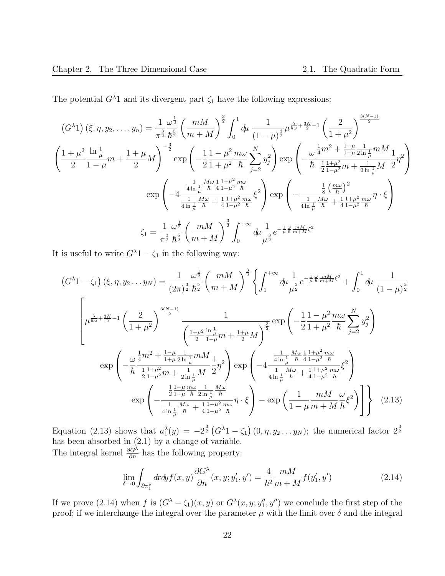The potential  $G^{\lambda}1$  and its divergent part  $\zeta_1$  have the following expressions:

$$
(G^{\lambda 1}) (\xi, \eta, y_2, \dots, y_n) = \frac{1}{\pi^{\frac{3}{2}}} \frac{\omega^{\frac{1}{2}}}{\hbar^{\frac{5}{2}}} \left(\frac{mM}{m+M}\right)^{\frac{3}{2}} \int_0^1 d\mu \frac{1}{(1-\mu)^{\frac{3}{2}}} \mu^{\frac{\lambda}{h\nu} + \frac{3N}{2} - 1} \left(\frac{2}{1+\mu^2}\right)^{\frac{3(N-1)}{2}}
$$

$$
\left(\frac{1+\mu^2}{2}\frac{\ln\frac{1}{\mu}}{1-\mu}m + \frac{1+\mu}{2}M\right)^{-\frac{3}{2}} \exp\left(-\frac{1}{2}\frac{1-\mu^2}{1+\mu^2}\frac{m\omega}{\hbar}\sum_{j=2}^N y_j^2\right) \exp\left(-\frac{\omega^{\frac{1}{4}m^2 + \frac{1-\mu}{1+\mu}\frac{1}{2\ln\frac{1}{\mu}}mM}{\hbar^{\frac{1}{2}\frac{1+\mu^2}{1-\mu^2}m + \frac{1}{2\ln\frac{1}{\mu}}M}}\frac{1}{2}\eta^2\right)
$$

$$
\exp\left(-4\frac{\frac{1}{4\ln\frac{1}{\mu}}\frac{M\omega}{\hbar}\frac{1+\mu^2}{4\ln\frac{1}{\mu}\frac{m\omega}{\hbar}}}{\frac{1}{4\ln\frac{1}{\mu}\frac{M\omega}{\hbar} + \frac{1}{4\ln\frac{1}{\mu}\frac{m^2}{\hbar}}}\xi^2\right) \exp\left(-\frac{\frac{1}{8}\left(\frac{m\omega}{\hbar}\right)^2}{\frac{1}{4\ln\frac{1}{\mu}\frac{M\omega}{\hbar} + \frac{1}{4\ln\frac{1}{\mu}\frac{m^2}{\hbar}}\frac{m}{\hbar} + \frac{1}{4\ln\frac{1}{\mu}\frac{m^2}{\hbar}}\eta \cdot \xi\right)}
$$

$$
\zeta_1 = \frac{1}{\pi^{\frac{3}{2}}}\frac{\omega^{\frac{1}{2}}}{\hbar^{\frac{5}{2}}}\left(\frac{mM}{m+M}\right)^{\frac{3}{2}}\int_0^{+\infty} d\mu \frac{1}{\mu^{\frac{3}{2}}}e^{-\frac{1}{\mu}\frac{\omega}{\hbar}\frac{mM}{
$$

It is useful to write  $G^{\lambda}1 - \zeta_1$  in the following way:

$$
(G^{\lambda}1 - \zeta_{1}) (\xi, \eta, y_{2}...y_{N}) = \frac{1}{(2\pi)^{\frac{3}{2}}} \frac{\omega^{\frac{1}{2}}}{\hbar^{\frac{5}{2}}} \left(\frac{mM}{m+M}\right)^{\frac{3}{2}} \left\{ \int_{1}^{+\infty} d\mu \frac{1}{\mu^{\frac{3}{2}}} e^{-\frac{1}{\mu} \frac{\omega}{h} \frac{mM}{m+M} \xi^{2}} + \int_{0}^{1} d\mu \frac{1}{(1-\mu)^{\frac{3}{2}}}
$$

$$
\left[\mu^{\frac{\lambda}{h\omega} + \frac{3N}{2} - 1} \left(\frac{2}{1+\mu^{2}}\right)^{\frac{3(N-1)}{2}} \frac{1}{\left(\frac{1+\mu^{2}}{2} \frac{\ln \frac{1}{\mu}}{1-\mu} m + \frac{1+\mu}{2} M\right)^{\frac{3}{2}}} \exp\left(-\frac{1}{2} \frac{1-\mu^{2}}{1+\mu^{2}} \frac{m\omega}{\hbar} \sum_{j=2}^{N} y_{j}^{2}\right) \right]
$$

$$
\exp\left(-\frac{\omega}{\hbar} \frac{\frac{1}{4}m^{2} + \frac{1-\mu}{1+\mu} \frac{1}{2} \ln \frac{1}{\mu} mM}{\frac{1+\mu^{2}}{2} m + \frac{1}{2} \ln \frac{1}{\mu} M} \frac{1}{2} \eta^{2}\right) \exp\left(-4 \frac{\frac{1}{4} \ln \frac{1}{\mu} \frac{M\omega}{\hbar} \frac{1}{4} \frac{1+\mu^{2}}{1-\mu^{2}} \frac{m\omega}{\hbar}}{\frac{1+\mu^{2}}{4} \frac{M\omega}{\hbar} + \frac{1}{4} \frac{1+\mu^{2}}{1-\mu^{2}} \frac{m\omega}{\hbar}} \xi^{2}\right)
$$

$$
\exp\left(-\frac{\frac{1}{2} \frac{1-\mu}{1+\mu} \frac{m\omega}{\hbar} \frac{1}{2} \ln \frac{1}{\mu} \frac{M\omega}{\hbar}}{\frac{1+\mu^{2}}{4} \frac{1-\mu^{2}}{1-\mu^{2}} \frac{m\omega}{\hbar}} \eta \cdot \xi\right) - \exp\left(\frac{1}{1-\mu} \frac{mM}{m+M} \frac{\omega}{\
$$

Equation (2.13) shows that  $a_1^{\lambda}(y) = -2^{\frac{3}{2}} (G^{\lambda}1 - \zeta_1)(0, \eta, y_2 \dots y_N)$ ; the numerical factor  $2^{\frac{3}{2}}$ has been absorbed in (2.1) by a change of variable. The integral kernel  $\frac{\partial G^{\lambda}}{\partial n}$  has the following property:

$$
\lim_{\delta \to 0} \int_{\partial \pi_1^{\delta}} dx dy f(x, y) \frac{\partial G^{\lambda}}{\partial n}(x, y; y_1', y') = \frac{4}{\hbar^2} \frac{mM}{m+M} f(y_1', y') \tag{2.14}
$$

If we prove (2.14) when f is  $(G^{\lambda} - \zeta_1)(x, y)$  or  $G^{\lambda}(x, y; y''_1, y'')$  we conclude the first step of the proof; if we interchange the integral over the parameter  $\mu$  with the limit over  $\delta$  and the integral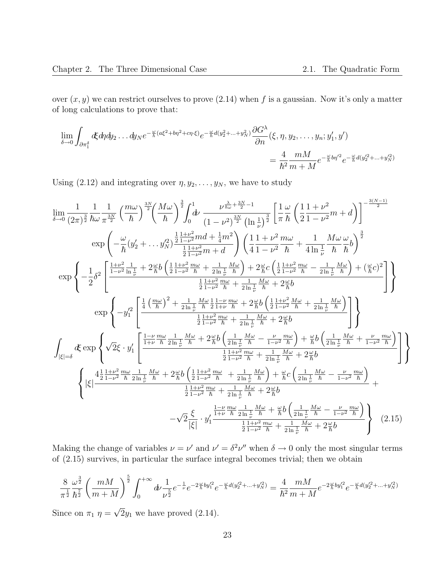over  $(x, y)$  we can restrict ourselves to prove  $(2.14)$  when f is a gaussian. Now it's only a matter of long calculations to prove that:

$$
\lim_{\delta \to 0} \int_{\partial \pi_1^{\delta}} d\xi d\eta dy_2 \dots dy_N e^{-\frac{\omega}{\hbar}(a\xi^2 + b\eta^2 + c\eta \cdot \xi)} e^{-\frac{\omega}{\hbar}d(y_2^2 + \dots + y_N^2)} \frac{\partial G^{\lambda}}{\partial n}(\xi, \eta, y_2, \dots, y_n; y_1', y')
$$
\n
$$
= \frac{4}{\hbar^2} \frac{mM}{m+M} e^{-\frac{\omega}{\hbar}b\eta'^2} e^{-\frac{\omega}{\hbar}d(y_2'^2 + \dots + y_N'^2)}
$$

Using (2.12) and integrating over  $\eta$ ,  $y_2, \ldots, y_N$ , we have to study

$$
\lim_{\delta \to 0} \frac{1}{(2\pi)^{\frac{3}{2}}} \frac{1}{\hbar\omega} \frac{1}{\pi^{\frac{3N}{2}}} \left(\frac{m\omega}{\hbar}\right)^{\frac{3N}{2}} \left(\frac{M\omega}{\hbar}\right)^{\frac{3}{2}} \int_{0}^{1} d\nu \frac{\nu^{\frac{\lambda}{h\omega} + \frac{3N}{2} - 1}}{(1 - \nu^{2})^{\frac{3N}{2}}} \left[\frac{1}{\pi} \frac{\omega}{\hbar} \left(\frac{1}{2} \frac{1 + \nu^{2}}{1 - \nu^{2}} m + d\right)\right]^{-\frac{3(N-1)}{2}}
$$
\n
$$
\exp\left(-\frac{\omega}{\hbar} (y_{2}^{\prime} + \dots y_{N}^{\prime 2})^{\frac{1 + \nu^{2}}{2}} \frac{\frac{1 + \nu^{2}}{1 - \nu^{2}} m d + \frac{1}{4} m^{2}}{\frac{1}{2} \frac{1 + \nu^{2}}{1 - \nu^{2}} m + d}\right) \left(\frac{1}{4} \frac{1 + \nu^{2}}{1 - \nu^{2}} \frac{m\omega}{\hbar} + \frac{1}{4} \frac{M\omega}{\hbar} \frac{\omega}{\hbar} \right)^{\frac{3}{2}}
$$
\n
$$
\exp\left\{-\frac{1}{2} \delta^{2} \left[\frac{\frac{1 + \nu^{2}}{1 - \nu^{2}} \frac{1}{\hbar\hbar} + 2 \frac{\omega}{\hbar} b \left(\frac{1}{2} \frac{1 + \nu^{2}}{1 - \nu^{2}} m + \frac{1}{2} \frac{M\omega}{\hbar} \frac{M\omega}{\hbar} + 2 \frac{\omega}{\hbar} c \left(\frac{1}{2} \frac{1 + \nu^{2}}{1 - \nu^{2}} \frac{m}{\hbar} - \frac{1}{2} \frac{M\omega}{\hbar} \frac{K}{\hbar} \right) + \left(\frac{\omega}{\hbar} c\right)^{2} \right]\right\}
$$
\n
$$
\exp\left\{-y_{1}^{\prime 2} \left[\frac{\frac{1}{4} \left(\frac{m\omega}{\hbar}\right)^{2} + \frac{1}{2} \frac{1}{\hbar} \frac{M\omega}{\hbar} \frac{1 - \nu}{2}} \frac{1 - \nu}{\hbar} \frac
$$

Making the change of variables  $\nu = \nu'$  and  $\nu' = \delta^2 \nu''$  when  $\delta \to 0$  only the most singular terms of (2.15) survives, in particular the surface integral becomes trivial; then we obtain

$$
\frac{8}{\pi^{\frac{1}{2}}} \frac{\omega^{\frac{3}{2}}}{\hbar^{\frac{7}{2}}} \left(\frac{mM}{m+M}\right)^{\frac{5}{2}} \int_0^{+\infty} d\nu \frac{1}{\nu^{\frac{5}{2}}} e^{-\frac{1}{\nu}} e^{-2\frac{\omega}{\hbar}by_1'^2} e^{-\frac{\omega}{\hbar}d(y_2'^2 + \dots + y_N'^2)} = \frac{4}{\hbar^2} \frac{mM}{m+M} e^{-2\frac{\omega}{\hbar}by_1'^2} e^{-\frac{\omega}{\hbar}d(y_2'^2 + \dots + y_N'^2)}
$$

Since on  $\pi_1$   $\eta =$ √  $2y_1$  we have proved  $(2.14)$ .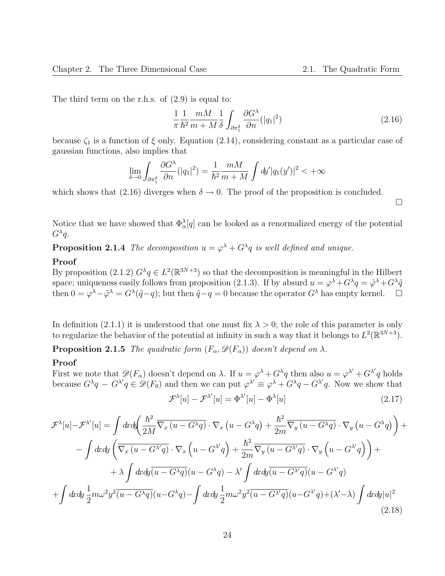The third term on the r.h.s. of (2.9) is equal to:

$$
\frac{1}{\pi} \frac{1}{\hbar^2} \frac{mM}{m+M} \frac{1}{\delta} \int_{\partial \pi_1^\delta} \frac{\partial G^\lambda}{\partial n} (|q_1|^2) \tag{2.16}
$$

because  $\zeta_1$  is a function of  $\xi$  only. Equation (2.14), considering constant as a particular case of gaussian functions, also implies that

$$
\lim_{\delta \to 0} \int_{\partial \pi_1^{\delta}} \frac{\partial G^{\lambda}}{\partial n} (|q_1|^2) = \frac{1}{\hbar^2} \frac{mM}{m+M} \int dy' |q_1(y')|^2 < +\infty
$$

which shows that (2.16) diverges when  $\delta \to 0$ . The proof of the proposition is concluded.

 $\Box$ 

Notice that we have showed that  $\Phi_\alpha^{\lambda}[q]$  can be looked as a renormalized energy of the potential  $G^{\lambda}q$ .

**Proposition 2.1.4** The decomposition  $u = \varphi^{\lambda} + G^{\lambda}q$  is well defined and unique.

### Proof

By proposition (2.1.2)  $G^{\lambda}q \in L^2(\mathbb{R}^{3N+3})$  so that the decomposition is meaningful in the Hilbert space; uniqueness easily follows from proposition (2.1.3). If by absurd  $u = \varphi^{\lambda} + G^{\lambda}q = \tilde{\varphi}^{\lambda} + G^{\lambda}\tilde{q}$ then  $0 = \varphi^{\lambda} - \tilde{\varphi}^{\lambda} = G^{\lambda}(\tilde{q} - q)$ ; but then  $\tilde{q} - q = 0$  because the operator  $G^{\lambda}$  has empty kernel.  $\square$ 

In definition (2.1.1) it is understood that one must fix  $\lambda > 0$ ; the role of this parameter is only to regularize the behavior of the potential at infinity in such a way that it belongs to  $L^2(\mathbb{R}^{3N+3})$ .

**Proposition 2.1.5** The quadratic form  $(F_{\alpha}, \mathscr{D}(F_{\alpha}))$  doesn't depend on  $\lambda$ .

#### Proof

First we note that  $\mathscr{D}(F_\alpha)$  doesn't depend on  $\lambda$ . If  $u = \varphi^\lambda + G^\lambda q$  then also  $u = \varphi^{\lambda'} + G^{\lambda'} q$  holds because  $G^{\lambda}q - G^{\lambda'}q \in \mathscr{D}(F_0)$  and then we can put  $\varphi^{\lambda'} \equiv \varphi^{\lambda} + G^{\lambda}q - G^{\lambda'}q$ . Now we show that

$$
\mathcal{F}^{\lambda}[u] - \mathcal{F}^{\lambda'}[u] = \Phi^{\lambda'}[u] - \Phi^{\lambda}[u] \tag{2.17}
$$

$$
\mathcal{F}^{\lambda}[u] - \mathcal{F}^{\lambda'}[u] = \int dx \phi \left( \frac{\hbar^2}{2M} \overline{\nabla_x (u - G^{\lambda}q)} \cdot \nabla_x (u - G^{\lambda}q) + \frac{\hbar^2}{2m} \overline{\nabla_y (u - G^{\lambda}q)} \cdot \nabla_y (u - G^{\lambda}q) \right) +
$$
  

$$
- \int dx dy \left( \overline{\nabla_x (u - G^{\lambda'}q)} \cdot \nabla_x \left( u - G^{\lambda'}q \right) + \frac{\hbar^2}{2m} \overline{\nabla_y (u - G^{\lambda'}q)} \cdot \nabla_y \left( u - G^{\lambda'}q \right) \right) +
$$
  

$$
+ \lambda \int dx dy \overline{(u - G^{\lambda}q)} (u - G^{\lambda}q) - \lambda' \int dx dy \overline{(u - G^{\lambda'}q)} (u - G^{\lambda'}q)
$$
  

$$
+ \int dx dy \frac{1}{2} m \omega^2 y^2 \overline{(u - G^{\lambda}q)} (u - G^{\lambda}q) - \int dx dy \frac{1}{2} m \omega^2 y^2 \overline{(u - G^{\lambda'}q)} (u - G^{\lambda'}q) + (\lambda' - \lambda) \int dx dy |u|^2
$$
(2.18)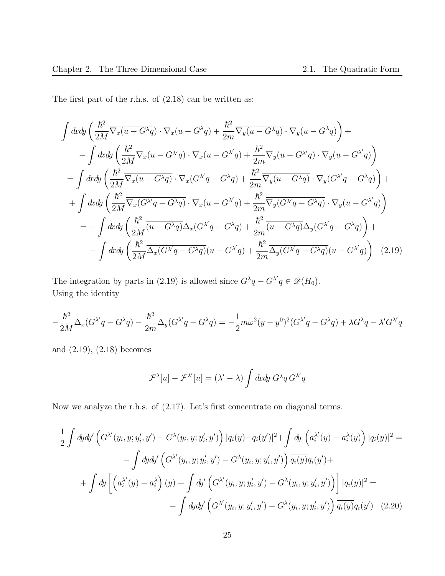The first part of the r.h.s. of (2.18) can be written as:

$$
\int dx dy \left( \frac{\hbar^2}{2M} \overline{\nabla_x (u - G^\lambda q)} \cdot \nabla_x (u - G^\lambda q) + \frac{\hbar^2}{2m} \overline{\nabla_y (u - G^\lambda q)} \cdot \nabla_y (u - G^\lambda q) \right) +
$$
\n
$$
- \int dx dy \left( \frac{\hbar^2}{2M} \overline{\nabla_x (u - G^{\lambda'} q)} \cdot \nabla_x (u - G^{\lambda'} q) + \frac{\hbar^2}{2m} \overline{\nabla_y (u - G^{\lambda'} q)} \cdot \nabla_y (u - G^{\lambda'} q) \right)
$$
\n
$$
= \int dx dy \left( \frac{\hbar^2}{2M} \overline{\nabla_x (u - G^\lambda q)} \cdot \nabla_x (G^{\lambda'} q - G^\lambda q) + \frac{\hbar^2}{2m} \overline{\nabla_y (u - G^\lambda q)} \cdot \nabla_y (G^{\lambda'} q - G^\lambda q) \right) +
$$
\n
$$
+ \int dx dy \left( \frac{\hbar^2}{2M} \overline{\nabla_x (G^{\lambda'} q - G^\lambda q)} \cdot \nabla_x (u - G^{\lambda'} q) + \frac{\hbar^2}{2m} \overline{\nabla_y (G^{\lambda'} q - G^\lambda q)} \cdot \nabla_y (u - G^{\lambda'} q) \right)
$$
\n
$$
= - \int dx dy \left( \frac{\hbar^2}{2M} \overline{(u - G^\lambda q)} \Delta_x (G^{\lambda'} q - G^\lambda q) + \frac{\hbar^2}{2m} \overline{(u - G^\lambda q)} \Delta_y (G^{\lambda'} q - G^\lambda q) \right) +
$$
\n
$$
- \int dx dy \left( \frac{\hbar^2}{2M} \overline{\Delta_x (G^{\lambda'} q - G^\lambda q)} (u - G^{\lambda'} q) + \frac{\hbar^2}{2m} \overline{\Delta_y (G^{\lambda'} q - G^\lambda q)} (u - G^{\lambda'} q) \right) (2.19)
$$

The integration by parts in (2.19) is allowed since  $G^{\lambda}q - G^{\lambda'}q \in \mathcal{D}(H_0)$ . Using the identity

$$
-\frac{\hbar^2}{2M}\Delta_x(G^{\lambda'}q - G^{\lambda}q) - \frac{\hbar^2}{2m}\Delta_y(G^{\lambda'}q - G^{\lambda}q) = -\frac{1}{2}m\omega^2(y - y^0)^2(G^{\lambda'}q - G^{\lambda}q) + \lambda G^{\lambda}q - \lambda'G^{\lambda'}q
$$

and (2.19), (2.18) becomes

$$
\mathcal{F}^{\lambda}[u] - \mathcal{F}^{\lambda'}[u] = (\lambda' - \lambda) \int dx dy \, \overline{G^{\lambda}q} \, G^{\lambda'}q
$$

Now we analyze the r.h.s. of (2.17). Let's first concentrate on diagonal terms.

$$
\frac{1}{2} \int dy dy' \left( G^{\lambda'}(y_i, y; y_i', y') - G^{\lambda}(y_i, y; y_i', y') \right) |q_i(y) - q_i(y')|^2 + \int dy \left( a_i^{\lambda'}(y) - a_i^{\lambda}(y) \right) |q_i(y)|^2 =
$$
\n
$$
- \int dy dy' \left( G^{\lambda'}(y_i, y; y_i', y') - G^{\lambda}(y_i, y; y_i', y') \right) \overline{q_i(y)} q_i(y') +
$$
\n
$$
+ \int dy \left[ \left( a_i^{\lambda'}(y) - a_i^{\lambda} \right)(y) + \int dy' \left( G^{\lambda'}(y_i, y; y_i', y') - G^{\lambda}(y_i, y; y_i', y') \right) \right] |q_i(y)|^2 =
$$
\n
$$
- \int dy dy' \left( G^{\lambda'}(y_i, y; y_i', y') - G^{\lambda}(y_i, y; y_i', y') \right) \overline{q_i(y)} q_i(y') \quad (2.20)
$$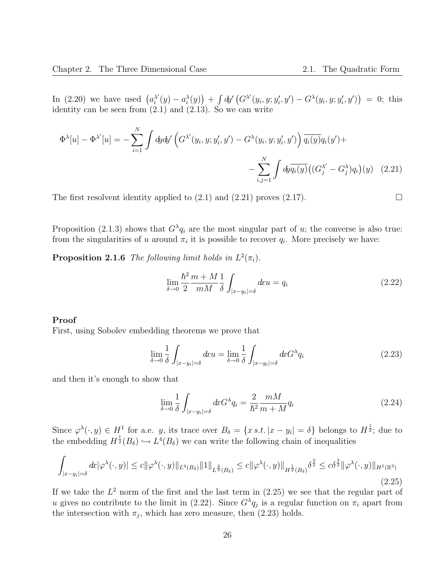In (2.20) we have used  $(a_i^{\lambda'}$  $\delta^{\lambda'}_i(y) - a_i^{\lambda}(y) \big) \, + \, \int dy' \, \big( G^{\lambda'}(y_i,y;y_i',y') - G^{\lambda}(y_i,y;y_i',y') \big) \; = \; 0; \, \text{ this}$ identity can be seen from  $(2.1)$  and  $(2.13)$ . So we can write

$$
\Phi^{\lambda}[u] - \Phi^{\lambda'}[u] = -\sum_{i=1}^{N} \int dy dy' \left( G^{\lambda'}(y_i, y; y_i', y') - G^{\lambda}(y_i, y; y_i', y') \right) \overline{q_i(y)} q_i(y') + -\sum_{i,j=1}^{N} \int dy \overline{q_i(y)} \left( (G^{\lambda'}_j - G^{\lambda'}_j) q_i \right)(y) \tag{2.21}
$$

The first resolvent identity applied to  $(2.1)$  and  $(2.21)$  proves  $(2.17)$ .

Proposition (2.1.3) shows that  $G^{\lambda}q_i$  are the most singular part of u; the converse is also true: from the singularities of u around  $\pi_i$  it is possible to recover  $q_i$ . More precisely we have:

**Proposition 2.1.6** The following limit holds in  $L^2(\pi_i)$ .

$$
\lim_{\delta \to 0} \frac{\hbar^2}{2} \frac{m+M}{mM} \frac{1}{\delta} \int_{|x-y_i| = \delta} dx u = q_i
$$
\n(2.22)

#### Proof

First, using Sobolev embedding theorems we prove that

$$
\lim_{\delta \to 0} \frac{1}{\delta} \int_{|x-y_i| = \delta} dx u = \lim_{\delta \to 0} \frac{1}{\delta} \int_{|x-y_i| = \delta} dx G^{\lambda} q_i
$$
\n(2.23)

and then it's enough to show that

$$
\lim_{\delta \to 0} \frac{1}{\delta} \int_{|x-y_i| = \delta} dx G^{\lambda} q_i = \frac{2}{\hbar^2} \frac{mM}{m+M} q_i
$$
\n(2.24)

Since  $\varphi^{\lambda}(\cdot,y) \in H^1$  for a.e. y, its trace over  $B_{\delta} = \{x \, s.t. \, |x - y_i| = \delta\}$  belongs to  $H^{\frac{1}{2}}$ ; due to the embedding  $H^{\frac{1}{2}}(B_{\delta}) \hookrightarrow L^{4}(B_{\delta})$  we can write the following chain of inequalities

$$
\int_{|x-y_i|=\delta} dx |\varphi^{\lambda}(\cdot,y)| \le c ||\varphi^{\lambda}(\cdot,y)||_{L^4(B_\delta)} ||1||_{L^{\frac{4}{3}}(B_\delta)} \le c ||\varphi^{\lambda}(\cdot,y)||_{H^{\frac{1}{2}}(B_\delta)} \delta^{\frac{3}{2}} \le c \delta^{\frac{3}{2}} ||\varphi^{\lambda}(\cdot,y)||_{H^1(\mathbb{R}^3)}
$$
\n(2.25)

If we take the  $L^2$  norm of the first and the last term in  $(2.25)$  we see that the regular part of u gives no contribute to the limit in (2.22). Since  $G^{\lambda}q_j$  is a regular function on  $\pi_i$  apart from the intersection with  $\pi_j$ , which has zero measure, then  $(2.23)$  holds.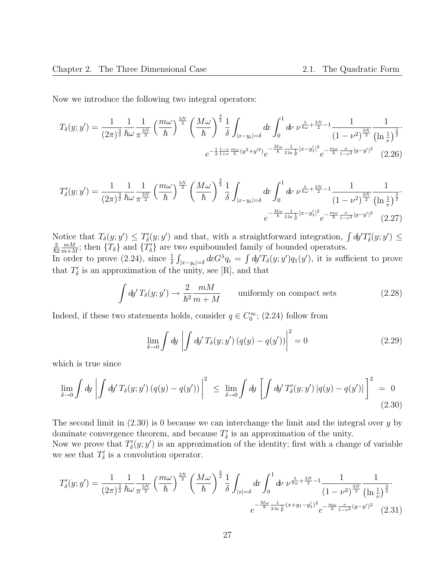Now we introduce the following two integral operators:

$$
T_{\delta}(y; y') = \frac{1}{(2\pi)^{\frac{3}{2}}} \frac{1}{\hbar\omega} \frac{1}{\pi^{\frac{3N}{2}}} \left(\frac{m\omega}{\hbar}\right)^{\frac{3N}{2}} \left(\frac{M\omega}{\hbar}\right)^{\frac{3}{2}} \frac{1}{\delta} \int_{|x-y_i|=\delta} dx \int_0^1 d\nu \, \nu^{\frac{\lambda}{\hbar\omega}+\frac{3N}{2}-1} \frac{1}{(1-\nu^2)^{\frac{3N}{2}}} \frac{1}{(\ln\frac{1}{\nu})^{\frac{3}{2}}}.
$$

$$
e^{-\frac{1}{2}\frac{1-\nu}{1+\nu}\frac{m\omega}{\hbar}(y^2+y'^2)} e^{-\frac{M\omega}{\hbar}\frac{1}{2\ln\frac{1}{\nu}}|x-y'_1|^2} e^{-\frac{m\omega}{\hbar}\frac{\nu}{1-\nu^2}|y-y'|^2} \quad (2.26)
$$

$$
T'_{\delta}(y;y') = \frac{1}{(2\pi)^{\frac{3}{2}}} \frac{1}{\hbar\omega} \frac{1}{\pi^{\frac{3N}{2}}} \left(\frac{m\omega}{\hbar}\right)^{\frac{3N}{2}} \left(\frac{M\omega}{\hbar}\right)^{\frac{3}{2}} \frac{1}{\delta} \int_{|x-y_i|=\delta} dx \int_0^1 d\nu \, \nu^{\frac{\lambda}{\hbar\omega} + \frac{3N}{2} - 1} \frac{1}{(1 - \nu^2)^{\frac{3N}{2}}} \frac{1}{(\ln\frac{1}{\nu})^{\frac{3}{2}}}.
$$
\n
$$
e^{-\frac{M\omega}{\hbar} \frac{1}{2\ln\frac{1}{\nu}}|x-y_1'|^2} e^{-\frac{m\omega}{\hbar} \frac{\nu}{1-\nu^2}|y-y'|^2} (2.27)
$$

Notice that  $T_\delta(y; y') \leq T'_\delta(y; y')$  and that, with a straightforward integration,  $\int dy' T'_\delta(y; y') \leq$  $\frac{2}{\hbar 2} \frac{mM}{m + \Lambda}$  $\frac{mM}{m+M}$ ; then  $\{T_\delta\}$  and  $\{T'_\delta\}$  are two equibounded family of bounded operators.

In order to prove (2.24), since  $\frac{1}{\delta}\int_{|x-y_i|=\delta}dxG^{\lambda}q_i = \int dy'T_{\delta}(y;y')q_1(y')$ , it is sufficient to prove that  $T'_{\delta}$  is an approximation of the unity, see [R], and that

$$
\int dy' T_{\delta}(y; y') \to \frac{2}{\hbar^2} \frac{mM}{m+M} \qquad \text{uniformly on compact sets} \tag{2.28}
$$

Indeed, if these two statements holds, consider  $q \in C_0^{\infty}$ ; (2.24) follow from

$$
\lim_{\delta \to 0} \int dy \left| \int dy' T_{\delta}(y; y') (q(y) - q(y')) \right|^2 = 0
$$
\n(2.29)

which is true since

$$
\lim_{\delta \to 0} \int dy \left| \int dy' T_{\delta}(y; y') \left( q(y) - q(y') \right) \right|^2 \leq \lim_{\delta \to 0} \int dy \left[ \int dy' T'_{\delta}(y; y') \left| q(y) - q(y') \right| \right]^2 = 0
$$
\n(2.30)

The second limit in  $(2.30)$  is 0 because we can interchange the limit and the integral over y by dominate convergence theorem, and because  $T'_{\delta}$  is an approximation of the unity. Now we prove that  $T'_{\delta}(y; y')$  is an approximation of the identity; first with a change of variable we see that  $T'_{\delta}$  is a convolution operator.

$$
T'_{\delta}(y;y') = \frac{1}{(2\pi)^{\frac{3}{2}}} \frac{1}{\hbar\omega} \frac{1}{\pi^{\frac{3N}{2}}} \left(\frac{m\omega}{\hbar}\right)^{\frac{3N}{2}} \left(\frac{M\omega}{\hbar}\right)^{\frac{3}{2}} \frac{1}{\delta} \int_{|x|=\delta} dx \int_{0}^{1} d\nu \, \nu^{\frac{\lambda}{\hbar\omega}+\frac{3N}{2}-1} \frac{1}{(1-\nu^{2})^{\frac{3N}{2}}} \frac{1}{(\ln\frac{1}{\nu})^{\frac{3}{2}}}.
$$

$$
e^{-\frac{M\omega}{\hbar} \frac{1}{2\ln\frac{1}{\nu}}(x+y_{1}-y'_{1})^{2}} e^{-\frac{m\omega}{\hbar} \frac{\nu}{1-\nu^{2}}(y-y')^{2}} (2.31)
$$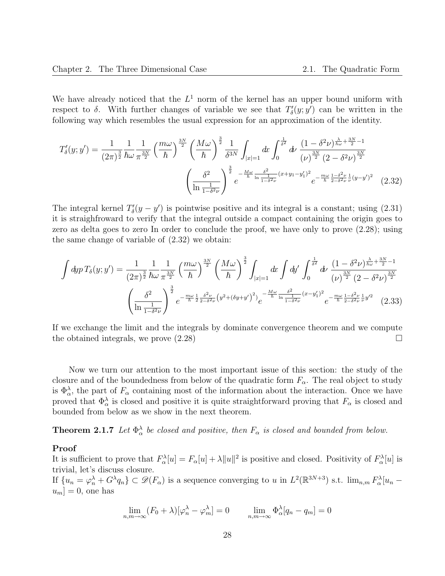We have already noticed that the  $L^1$  norm of the kernel has an upper bound uniform with respect to  $\delta$ . With further changes of variable we see that  $T'_{\delta}(y; y')$  can be written in the following way which resembles the usual expression for an approximation of the identity.

$$
T'_{\delta}(y;y') = \frac{1}{(2\pi)^{\frac{3}{2}}} \frac{1}{\hbar\omega} \frac{1}{\pi^{\frac{3N}{2}}} \left(\frac{m\omega}{\hbar}\right)^{\frac{3N}{2}} \left(\frac{M\omega}{\hbar}\right)^{\frac{3}{2}} \frac{1}{\delta^{3N}} \int_{|x|=1} dx \int_{0}^{\frac{1}{\delta^{2}}} \frac{(1-\delta^{2}\nu)^{\frac{\lambda}{\hbar\omega}+\frac{3N}{2}-1}}{(\nu)^{\frac{3N}{2}} (2-\delta^{2}\nu)^{\frac{3N}{2}}} \left(\frac{\delta^{2}}{\ln\frac{1}{1-\delta^{2}\nu}}\right)^{\frac{3}{2}} e^{-\frac{M\omega}{\hbar}\frac{\delta^{2}}{\ln\frac{1}{1-\delta^{2}\nu}}(x+y_{1}-y_{1}')^{2}} e^{-\frac{m\omega}{\hbar}\frac{1-\delta^{2}\nu}{2-\delta^{2}\nu}\frac{1}{\nu}(y-y')^{2}} \quad (2.32)
$$

The integral kernel  $T'_{\delta}(y - y')$  is pointwise positive and its integral is a constant; using (2.31) it is straighfroward to verify that the integral outside a compact containing the origin goes to zero as delta goes to zero In order to conclude the proof, we have only to prove (2.28); using the same change of variable of (2.32) we obtain:

$$
\int dp \, T_{\delta}(y; y') = \frac{1}{(2\pi)^{\frac{3}{2}}} \frac{1}{\hbar \omega} \frac{1}{\pi^{\frac{3N}{2}}} \left(\frac{m\omega}{\hbar}\right)^{\frac{3N}{2}} \left(\frac{M\omega}{\hbar}\right)^{\frac{3}{2}} \int_{|x|=1} dx \int dy' \int_0^{\frac{1}{\delta^2}} dy \frac{(1-\delta^2 \nu)^{\frac{\lambda}{\hbar \omega} + \frac{3N}{2} - 1}}{(\nu)^{\frac{3N}{2}} (2 - \delta^2 \nu)^{\frac{3N}{2}}} \left(\frac{\delta^2}{\ln \frac{1}{1 - \delta^2 \nu}}\right)^{\frac{3}{2}} e^{-\frac{m\omega}{\hbar} \frac{1}{2} \frac{\delta^2 \nu}{2 - \delta^2 \nu} (y^2 + (\delta y + y')^2)} e^{-\frac{M\omega}{\hbar} \frac{\delta^2}{\ln \frac{1}{1 - \delta^2 \nu}} (x - y'_1)^2} e^{-\frac{m\omega}{\hbar} \frac{1 - \delta^2 \nu}{2 - \delta^2 \nu} \frac{1}{\nu} y'^2} (2.33)
$$

If we exchange the limit and the integrals by dominate convergence theorem and we compute the obtained integrals, we prove  $(2.28)$ 

Now we turn our attention to the most important issue of this section: the study of the closure and of the boundedness from below of the quadratic form  $F_{\alpha}$ . The real object to study is  $\Phi_{\alpha}^{\lambda}$ , the part of  $F_{\alpha}$  containing most of the information about the interaction. Once we have proved that  $\Phi_\alpha^{\lambda}$  is closed and positive it is quite straightforward proving that  $F_\alpha$  is closed and bounded from below as we show in the next theorem.

**Theorem 2.1.7** Let  $\Phi_{\alpha}^{\lambda}$  be closed and positive, then  $F_{\alpha}$  is closed and bounded from below.

#### Proof

It is sufficient to prove that  $F_\alpha^\lambda[u] = F_\alpha[u] + \lambda ||u||^2$  is positive and closed. Positivity of  $F_\alpha^\lambda[u]$  is trivial, let's discuss closure.

If  $\{u_n = \varphi_n^{\lambda} + G^{\lambda} q_n\} \subset \mathscr{D}(F_{\alpha})$  is a sequence converging to u in  $L^2(\mathbb{R}^{3N+3})$  s.t.  $\lim_{n,m} F_{\alpha}^{\lambda}[u_n |u_m|=0$ , one has

$$
\lim_{n,m \to \infty} (F_0 + \lambda)[\varphi_n^{\lambda} - \varphi_m^{\lambda}] = 0 \qquad \lim_{n,m \to \infty} \Phi_{\alpha}^{\lambda}[q_n - q_m] = 0
$$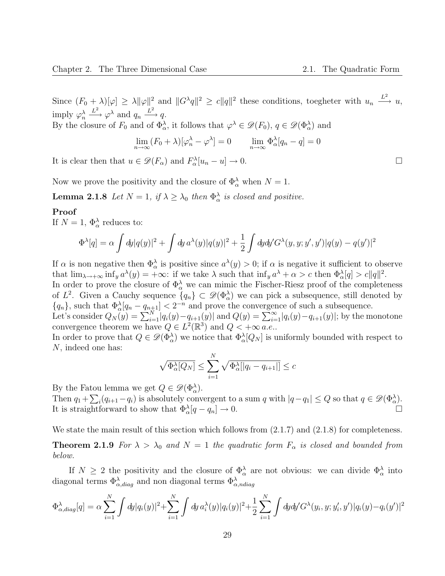Since  $(F_0 + \lambda)[\varphi] \ge \lambda ||\varphi||^2$  and  $||G^{\lambda}q||^2 \ge c||q||^2$  these conditions, toegheter with  $u_n \stackrel{L^2}{\longrightarrow} u$ , imply  $\varphi_n^{\lambda}$  $\stackrel{L^2}{\longrightarrow} \varphi^{\lambda}$  and  $q_n \stackrel{L^2}{\longrightarrow} q$ .

By the closure of  $F_0$  and of  $\Phi_\alpha^{\lambda}$ , it follows that  $\varphi^{\lambda} \in \mathscr{D}(F_0)$ ,  $q \in \mathscr{D}(\Phi_\alpha^{\lambda})$  and

$$
\lim_{n \to \infty} (F_0 + \lambda)[\varphi_n^{\lambda} - \varphi^{\lambda}] = 0 \qquad \lim_{n \to \infty} \Phi_{\alpha}^{\lambda}[q_n - q] = 0
$$

It is clear then that  $u \in \mathscr{D}(F_\alpha)$  and  $F_\alpha^{\lambda}[u_n - u] \to 0$ .

Now we prove the positivity and the closure of  $\Phi_{\alpha}^{\lambda}$  when  $N=1$ .

**Lemma 2.1.8** Let  $N = 1$ , if  $\lambda \geq \lambda_0$  then  $\Phi_\alpha^{\lambda}$  is closed and positive.

### Proof

If  $N=1, \Phi_{\alpha}^{\lambda}$  reduces to:

$$
\Phi^{\lambda}[q] = \alpha \int dy |q(y)|^2 + \int dy \, a^{\lambda}(y) |q(y)|^2 + \frac{1}{2} \int dy dy' G^{\lambda}(y, y; y', y') |q(y) - q(y')|^2
$$

If  $\alpha$  is non negative then  $\Phi_\alpha^{\lambda}$  is positive since  $a^{\lambda}(y) > 0$ ; if  $\alpha$  is negative it sufficient to observe that  $\lim_{\lambda \to +\infty} \inf_y a^{\lambda}(y) = +\infty$ : if we take  $\lambda$  such that  $\inf_y a^{\lambda} + \alpha > c$  then  $\Phi_{\alpha}^{\lambda}[q] > c ||q||^2$ .

In order to prove the closure of  $\Phi_\alpha^{\lambda}$  we can mimic the Fischer-Riesz proof of the completeness of  $L^2$ . Given a Cauchy sequence  $\{q_n\} \subset \mathscr{D}(\Phi_\alpha^\lambda)$  we can pick a subsequence, still denoted by  $\{q_n\}$ , such that  $\Phi_\alpha^\lambda[q_n - q_{n+1}] < 2^{-n}$  and prove the convergence of such a subsequence.

Let's consider  $Q_N(y) = \sum_{i=1}^N |q_i(y) - q_{i+1}(y)|$  and  $Q(y) = \sum_{i=1}^{\infty} |q_i(y) - q_{i+1}(y)|$ ; by the monotone convergence theorem we have  $Q \in L^2(\mathbb{R}^3)$  and  $Q < +\infty$  a.e..

In order to prove that  $Q \in \mathscr{D}(\Phi_\alpha^\lambda)$  we notice that  $\Phi_\alpha^\lambda[Q_N]$  is uniformly bounded with respect to N, indeed one has:

$$
\sqrt{\Phi_{\alpha}^{\lambda}[Q_N]} \le \sum_{i=1}^N \sqrt{\Phi_{\alpha}^{\lambda}[|q_i - q_{i+1}|]} \le c
$$

By the Fatou lemma we get  $Q \in \mathscr{D}(\Phi_\alpha^\lambda)$ .

Then  $q_1 + \sum_i (q_{i+1} - q_i)$  is absolutely convergent to a sum q with  $|q - q_1| \leq Q$  so that  $q \in \mathscr{D}(\Phi_\alpha^\lambda)$ . It is straightforward to show that  $\Phi_{\alpha}^{\lambda}[q-q_n] \to 0$ .

We state the main result of this section which follows from  $(2.1.7)$  and  $(2.1.8)$  for completeness. **Theorem 2.1.9** For  $\lambda > \lambda_0$  and  $N = 1$  the quadratic form  $F_\alpha$  is closed and bounded from below.

If  $N \geq 2$  the positivity and the closure of  $\Phi_\alpha^{\lambda}$  are not obvious: we can divide  $\Phi_\alpha^{\lambda}$  into diagonal terms  $\Phi_{\alpha,diag}^{\lambda}$  and non diagonal terms  $\Phi_{\alpha,ndiag}^{\lambda}$ 

$$
\Phi_{\alpha,diag}^{\lambda}[q] = \alpha \sum_{i=1}^{N} \int dy |q_i(y)|^2 + \sum_{i=1}^{N} \int dy \, a_i^{\lambda}(y) |q_i(y)|^2 + \frac{1}{2} \sum_{i=1}^{N} \int dy dy' G^{\lambda}(y_i, y; y_i', y') |q_i(y) - q_i(y')|^2
$$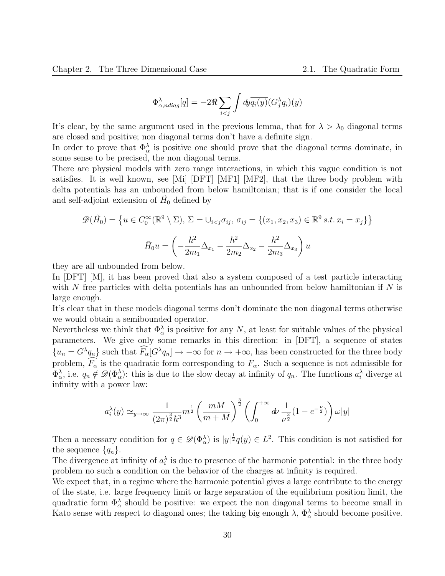$$
\Phi_{\alpha,ndiag}^{\lambda}[q] = -2\Re \sum_{i < j} \int dy \overline{q_i(y)} (G_j^{\lambda} q_i)(y)
$$

It's clear, by the same argument used in the previous lemma, that for  $\lambda > \lambda_0$  diagonal terms are closed and positive; non diagonal terms don't have a definite sign.

In order to prove that  $\Phi_\alpha^{\lambda}$  is positive one should prove that the diagonal terms dominate, in some sense to be precised, the non diagonal terms.

There are physical models with zero range interactions, in which this vague condition is not satisfies. It is well known, see [Mi] [DFT] [MF1] [MF2], that the three body problem with delta potentials has an unbounded from below hamiltonian; that is if one consider the local and self-adjoint extension of  $H_0$  defined by

$$
\mathscr{D}(\tilde{H}_0) = \left\{ u \in C_0^{\infty}(\mathbb{R}^9 \setminus \Sigma), \ \Sigma = \cup_{i < j} \sigma_{ij}, \ \sigma_{ij} = \left\{ (x_1, x_2, x_3) \in \mathbb{R}^9 \ s.t. \ x_i = x_j \right\} \right\}
$$
\n
$$
\tilde{H}_0 u = \left( -\frac{\hbar^2}{2m_1} \Delta_{x_1} - \frac{\hbar^2}{2m_2} \Delta_{x_2} - \frac{\hbar^2}{2m_3} \Delta_{x_3} \right) u
$$

they are all unbounded from below.

In [DFT] [M], it has been proved that also a system composed of a test particle interacting with N free particles with delta potentials has an unbounded from below hamiltonian if N is large enough.

It's clear that in these models diagonal terms don't dominate the non diagonal terms otherwise we would obtain a semibounded operator.

Nevertheless we think that  $\Phi_\alpha^{\lambda}$  is positive for any N, at least for suitable values of the physical parameters. We give only some remarks in this direction: in [DFT], a sequence of states  ${u_n = G^{\lambda} q_n}$  such that  $F_{\alpha}[G^{\lambda} q_n] \to -\infty$  for  $n \to +\infty$ , has been constructed for the three body problem,  $\widehat{F_{\alpha}}$  is the quadratic form corresponding to  $F_{\alpha}$ . Such a sequence is not admissible for  $\Phi_\alpha^{\lambda}$ , i.e.  $q_n \notin \mathscr{D}(\Phi_\alpha^{\lambda})$ : this is due to the slow decay at infinity of  $q_n$ . The functions  $a_i^{\lambda}$  diverge at infinity with a power law:

$$
a_i^{\lambda}(y) \simeq_{y \to \infty} \frac{1}{(2\pi)^{\frac{3}{2}} \hbar^3} m^{\frac{1}{2}} \left(\frac{mM}{m+M}\right)^{\frac{3}{2}} \left(\int_0^{+\infty} d\nu \frac{1}{\nu^{\frac{3}{2}}}(1 - e^{-\frac{\nu}{2}})\right) \omega |y|
$$

Then a necessary condition for  $q \in \mathscr{D}(\Phi_\alpha^\lambda)$  is  $|y|^{\frac{1}{2}}q(y) \in L^2$ . This condition is not satisfied for the sequence  $\{q_n\}.$ 

The divergence at infinity of  $a_i^{\lambda}$  is due to presence of the harmonic potential: in the three body problem no such a condition on the behavior of the charges at infinity is required.

We expect that, in a regime where the harmonic potential gives a large contribute to the energy of the state, i.e. large frequency limit or large separation of the equilibrium position limit, the quadratic form  $\Phi_{\alpha}^{\lambda}$  should be positive: we expect the non diagonal terms to become small in Kato sense with respect to diagonal ones; the taking big enough  $\lambda$ ,  $\Phi_{\alpha}^{\lambda}$  should become positive.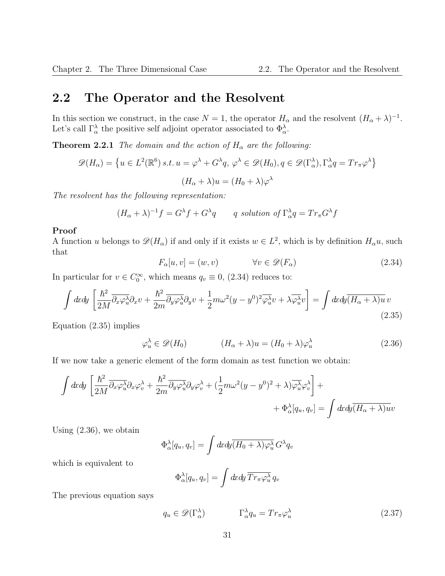## 2.2 The Operator and the Resolvent

In this section we construct, in the case  $N = 1$ , the operator  $H_{\alpha}$  and the resolvent  $(H_{\alpha} + \lambda)^{-1}$ . Let's call  $\Gamma_{\alpha}^{\lambda}$  the positive self adjoint operator associated to  $\Phi_{\alpha}^{\lambda}$ .

**Theorem 2.2.1** The domain and the action of  $H_{\alpha}$  are the following:

$$
\mathscr{D}(H_{\alpha}) = \left\{ u \in L^{2}(\mathbb{R}^{6}) \, s.t. \, u = \varphi^{\lambda} + G^{\lambda}q, \, \varphi^{\lambda} \in \mathscr{D}(H_{0}), q \in \mathscr{D}(\Gamma_{\alpha}^{\lambda}), \Gamma_{\alpha}^{\lambda}q = Tr_{\pi}\varphi^{\lambda} \right\}
$$
\n
$$
(H_{\alpha} + \lambda)u = (H_{0} + \lambda)\varphi^{\lambda}
$$

The resolvent has the following representation:

$$
(H_{\alpha} + \lambda)^{-1}f = G^{\lambda}f + G^{\lambda}q \qquad q \text{ solution of } \Gamma_{\alpha}^{\lambda}q = Tr_{\pi}G^{\lambda}f
$$

#### Proof

A function u belongs to  $\mathscr{D}(H_\alpha)$  if and only if it exists  $w \in L^2$ , which is by definition  $H_\alpha u$ , such that

$$
F_{\alpha}[u, v] = (w, v) \qquad \forall v \in \mathcal{D}(F_{\alpha}) \qquad (2.34)
$$

In particular for  $v \in C_0^{\infty}$ , which means  $q_v \equiv 0$ , (2.34) reduces to:

$$
\int dx dy \left[ \frac{\hbar^2}{2M} \overline{\partial_x \varphi_u^{\lambda}} \partial_x v + \frac{\hbar^2}{2m} \overline{\partial_y \varphi_u^{\lambda}} \partial_y v + \frac{1}{2} m \omega^2 (y - y^0)^2 \overline{\varphi_u^{\lambda}} v + \lambda \overline{\varphi_u^{\lambda}} v \right] = \int dx dy \overline{(H_\alpha + \lambda) u} \, v
$$
\n(2.35)

Equation (2.35) implies

$$
\varphi_u^{\lambda} \in \mathscr{D}(H_0) \qquad (H_{\alpha} + \lambda)u = (H_0 + \lambda)\varphi_u^{\lambda} \qquad (2.36)
$$

If we now take a generic element of the form domain as test function we obtain:

$$
\int dx dy \left[ \frac{\hbar^2}{2M} \overline{\partial_x \varphi_u^{\lambda}} \partial_x \varphi_v^{\lambda} + \frac{\hbar^2}{2m} \overline{\partial_y \varphi_u^{\lambda}} \partial_y \varphi_v^{\lambda} + (\frac{1}{2} m \omega^2 (y - y^0)^2 + \lambda) \overline{\varphi_u^{\lambda}} \varphi_v^{\lambda} \right] +
$$
  
+  $\Phi_\alpha^{\lambda}[q_u, q_v] = \int dx dy \overline{(H_\alpha + \lambda)uv}$ 

Using (2.36), we obtain

$$
\Phi_{\alpha}^{\lambda}[q_u, q_v] = \int dx dy \overline{(H_0 + \lambda)\varphi_u^{\lambda}} G^{\lambda} q_v
$$

which is equivalent to

$$
\Phi_{\alpha}^{\lambda}[q_u, q_v] = \int dx dy \, \overline{Tr_{\pi} \varphi_u^{\lambda}} \, q_v
$$

The previous equation says

$$
q_u \in \mathscr{D}(\Gamma_\alpha^\lambda) \qquad \qquad \Gamma_\alpha^\lambda q_u = Tr_\pi \varphi_u^\lambda \qquad (2.37)
$$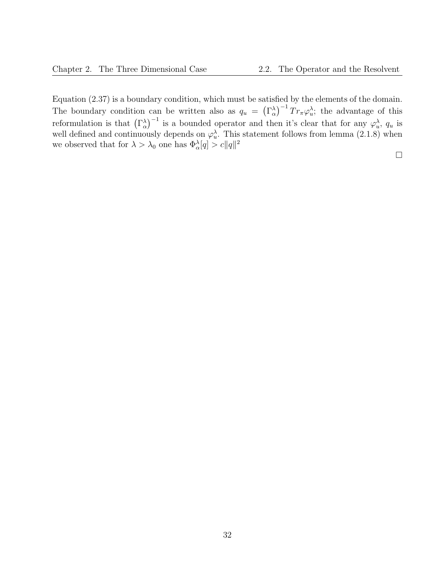Equation (2.37) is a boundary condition, which must be satisfied by the elements of the domain. The boundary condition can be written also as  $q_u = (\Gamma_\alpha^{\lambda})^{-1} Tr_\pi \varphi_u^{\lambda}$ ; the advantage of this reformulation is that  $(\Gamma_\alpha^{\lambda})^{-1}$  is a bounded operator and then it's clear that for any  $\varphi_u^{\lambda}, q_u$  is well defined and continuously depends on  $\varphi_u^{\lambda}$ . This statement follows from lemma (2.1.8) when we observed that for  $\lambda > \lambda_0$  one has  $\Phi_{\alpha}^{\lambda}[q] > c ||q||^2$ 

 $\Box$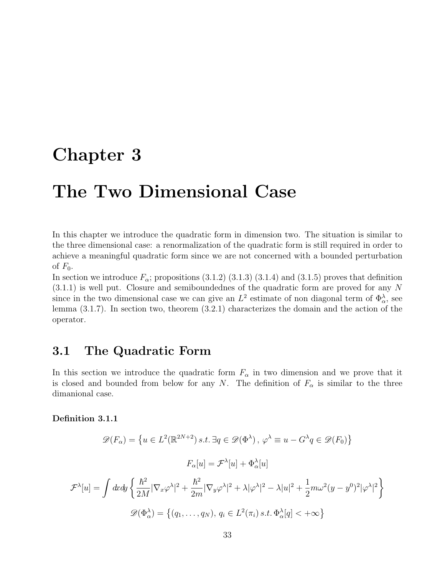## Chapter 3

## The Two Dimensional Case

In this chapter we introduce the quadratic form in dimension two. The situation is similar to the three dimensional case: a renormalization of the quadratic form is still required in order to achieve a meaningful quadratic form since we are not concerned with a bounded perturbation of  $F_0$ .

In section we introduce  $F_{\alpha}$ ; propositions (3.1.2) (3.1.3) (3.1.4) and (3.1.5) proves that definition  $(3.1.1)$  is well put. Closure and semiboundednes of the quadratic form are proved for any N since in the two dimensional case we can give an  $L^2$  estimate of non diagonal term of  $\Phi_\alpha^{\lambda}$ , see lemma (3.1.7). In section two, theorem (3.2.1) characterizes the domain and the action of the operator.

## 3.1 The Quadratic Form

In this section we introduce the quadratic form  $F_{\alpha}$  in two dimension and we prove that it is closed and bounded from below for any N. The definition of  $F_{\alpha}$  is similar to the three dimanional case.

Definition 3.1.1

$$
\mathscr{D}(F_{\alpha}) = \left\{ u \in L^{2}(\mathbb{R}^{2N+2}) \, s.t. \, \exists q \in \mathscr{D}(\Phi^{\lambda}), \, \varphi^{\lambda} \equiv u - G^{\lambda} q \in \mathscr{D}(F_{0}) \right\}
$$
\n
$$
F_{\alpha}[u] = \mathcal{F}^{\lambda}[u] + \Phi_{\alpha}^{\lambda}[u]
$$
\n
$$
\mathcal{F}^{\lambda}[u] = \int dx dy \left\{ \frac{\hbar^{2}}{2M} |\nabla_{x} \varphi^{\lambda}|^{2} + \frac{\hbar^{2}}{2m} |\nabla_{y} \varphi^{\lambda}|^{2} + \lambda |\varphi^{\lambda}|^{2} - \lambda |u|^{2} + \frac{1}{2} m \omega^{2} (y - y^{0})^{2} |\varphi^{\lambda}|^{2} \right\}
$$
\n
$$
\mathscr{D}(\Phi_{\alpha}^{\lambda}) = \left\{ (q_{1}, \dots, q_{N}), \, q_{i} \in L^{2}(\pi_{i}) \, s.t. \, \Phi_{\alpha}^{\lambda}[q] < +\infty \right\}
$$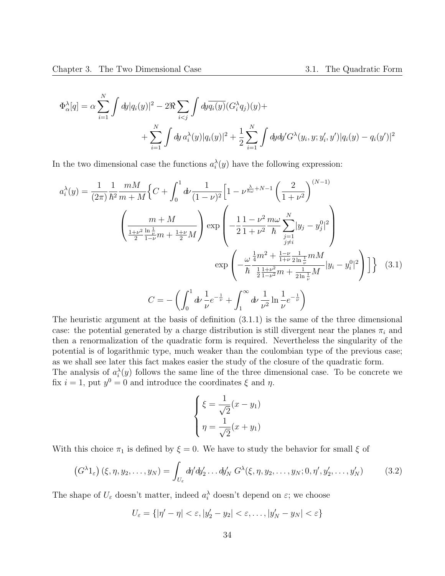$$
\Phi_{\alpha}^{\lambda}[q] = \alpha \sum_{i=1}^{N} \int dy |q_i(y)|^2 - 2\Re \sum_{i < j} \int dy \overline{q_i(y)} (G_i^{\lambda} q_j)(y) + \\ + \sum_{i=1}^{N} \int dy \, a_i^{\lambda}(y) |q_i(y)|^2 + \frac{1}{2} \sum_{i=1}^{N} \int dy dy' G^{\lambda}(y_i, y; y_i', y') |q_i(y) - q_i(y')|^2
$$

In the two dimensional case the functions  $a_i^{\lambda}(y)$  have the following expression:

$$
a_i^{\lambda}(y) = \frac{1}{(2\pi)} \frac{1}{\hbar^2} \frac{mM}{m+M} \Big\{ C + \int_0^1 dv \frac{1}{(1-\nu)^2} \Big[ 1 - \nu^{\frac{\lambda}{\hbar\omega}+N-1} \left( \frac{2}{1+\nu^2} \right)^{(N-1)} \Big] \Big\}
$$

$$
\left( \frac{m+M}{\frac{1+\nu^2}{2} \frac{\ln \frac{1}{\nu}}{1-\nu} m + \frac{1+\nu}{2} M} \right) \exp \left( -\frac{1}{2} \frac{1-\nu^2}{1+\nu^2} \frac{m\omega}{\hbar} \sum_{\substack{j=1 \ j \neq i}}^N |y_j - y_j^0|^2 \right) \Big\}
$$

$$
\exp \left( -\frac{\omega}{\hbar} \frac{\frac{1}{4}m^2 + \frac{1-\nu}{1+\nu} \frac{1}{2\ln \frac{1}{\nu}} mM}{\frac{1}{2} \frac{1+\nu^2}{1-\nu^2} m + \frac{1}{2\ln \frac{1}{\nu}} M} |y_i - y_i^0|^2 \right) \Big] \Big\} \quad (3.1)
$$

$$
C = -\left( \int_0^1 dv \frac{1}{\nu} e^{-\frac{1}{\nu}} + \int_1^\infty dv \frac{1}{\nu^2} \ln \frac{1}{\nu} e^{-\frac{1}{\nu}} \right)
$$

The heuristic argument at the basis of definition (3.1.1) is the same of the three dimensional case: the potential generated by a charge distribution is still divergent near the planes  $\pi_i$  and then a renormalization of the quadratic form is required. Nevertheless the singularity of the potential is of logarithmic type, much weaker than the coulombian type of the previous case; as we shall see later this fact makes easier the study of the closure of the quadratic form. The analysis of  $a_i^{\lambda}(y)$  follows the same line of the three dimensional case. To be concrete we

fix  $i = 1$ , put  $y^0 = 0$  and introduce the coordinates  $\xi$  and  $\eta$ .

$$
\begin{cases} \xi = \frac{1}{\sqrt{2}}(x - y_1) \\ \eta = \frac{1}{\sqrt{2}}(x + y_1) \end{cases}
$$

With this choice  $\pi_1$  is defined by  $\xi = 0$ . We have to study the behavior for small  $\xi$  of

$$
\left(G^{\lambda}1_{\varepsilon}\right)(\xi,\eta,y_2,\ldots,y_N)=\int_{U_{\varepsilon}}d\eta'dy_2'\ldots dy_N' G^{\lambda}(\xi,\eta,y_2,\ldots,y_N;0,\eta',y_2',\ldots,y_N')\tag{3.2}
$$

The shape of  $U_{\varepsilon}$  doesn't matter, indeed  $a_i^{\lambda}$  doesn't depend on  $\varepsilon$ ; we choose

$$
U_{\varepsilon} = \{ |\eta' - \eta| < \varepsilon, |y_2' - y_2| < \varepsilon, \dots, |y_N' - y_N| < \varepsilon \}
$$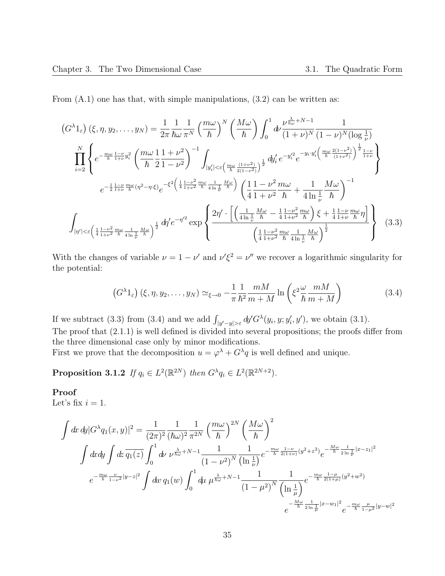From  $(A.1)$  one has that, with simple manipulations,  $(3.2)$  can be written as:

$$
(G^{\lambda}1_{\varepsilon}) (\xi, \eta, y_2, \dots, y_N) = \frac{1}{2\pi} \frac{1}{\hbar\omega} \frac{1}{\pi^N} \left(\frac{m\omega}{\hbar}\right)^N \left(\frac{M\omega}{\hbar}\right) \int_0^1 d\nu \frac{\nu^{\frac{\lambda}{\hbar\omega} + N - 1}}{(1 + \nu)^N} \frac{1}{(1 - \nu)^N (\log \frac{1}{\nu})}
$$

$$
\prod_{i=2}^N \left\{ e^{-\frac{m\omega}{\hbar} \frac{1 - \nu}{1 + \nu} y_i^2} \left(\frac{m\omega}{\hbar} \frac{1 + \nu^2}{2} \frac{1 - \nu^2}{1 - \nu^2}\right)^{-1} \int_{|y_i'| < \varepsilon \left(\frac{m\omega}{\hbar} \frac{(1 + \nu^2)}{2(1 - \nu^2)}\right)^{\frac{1}{2}}} dy_i' e^{-y_i'^2} e^{-y_i \cdot y_i' \left(\frac{m\omega}{\hbar} \frac{2(1 - \nu^2)}{(1 + \nu^2)}\right)^{\frac{1}{2}} \frac{1 - \nu}{1 + \nu}} \right\}
$$

$$
e^{-\frac{1}{2} \frac{1 - \nu}{1 + \nu} \frac{m\omega}{\hbar} (\eta^2 - \eta \cdot \xi)} e^{-\xi^2 \left(\frac{1}{4} \frac{1 - \nu^2}{1 + \nu^2} \frac{m\omega}{\hbar} \frac{1}{4 \ln \frac{M\omega}{\hbar}}\right)} \left(\frac{1}{4} \frac{1 - \nu^2}{1 + \nu^2} \frac{m\omega}{\hbar} + \frac{1}{4 \ln \frac{1}{\nu}} \frac{M\omega}{\hbar}\right)^{-1}
$$

$$
\int_{|\eta'| < \varepsilon \left(\frac{1}{4} \frac{1 - \nu^2}{1 + \nu^2} \frac{m\omega}{\hbar} \frac{1}{4 \ln \frac{1}{\nu}} \frac{M\omega}{\hbar}\right)^{\frac{1}{2}} d\eta' e^{-\eta'^2} \exp\left\{\frac{2\eta' \cdot \left[\left(\frac{1}{4 \ln \frac{1}{\nu}} \frac{M\omega}{\hbar} - \frac{1}{4} \frac{1 - \nu^2}{1 + \nu^2} \frac{m\omega}{\hbar} \right) \xi + \
$$

With the changes of variable  $\nu = 1 - \nu'$  and  $\nu' \xi^2 = \nu''$  we recover a logarithmic singularity for the potential:

$$
\left(G^{\lambda}1_{\varepsilon}\right)(\xi,\eta,y_2,\ldots,y_N) \simeq_{\xi \to 0} -\frac{1}{\pi} \frac{1}{\hbar^2} \frac{mM}{m+M} \ln\left(\xi^2 \frac{\omega}{\hbar} \frac{mM}{m+M}\right) \tag{3.4}
$$

If we subtract (3.3) from (3.4) and we add  $\int_{|y'-y|>\varepsilon} dy' G^{\lambda}(y_i, y; y_i', y')$ , we obtain (3.1).

The proof that (2.1.1) is well defined is divided into several propositions; the proofs differ from the three dimensional case only by minor modifications.

First we prove that the decomposition  $u = \varphi^{\lambda} + G^{\lambda} q$  is well defined and unique.

**Proposition 3.1.2** If  $q_i \in L^2(\mathbb{R}^{2N})$  then  $G^{\lambda}q_i \in L^2(\mathbb{R}^{2N+2})$ .

### Proof

Let's fix  $i = 1$ .

$$
\int dx \, dy |G^{\lambda}q_{1}(x,y)|^{2} = \frac{1}{(2\pi)^{2}} \frac{1}{(\hbar\omega)^{2}} \frac{1}{\pi^{2N}} \left(\frac{m\omega}{\hbar}\right)^{2N} \left(\frac{M\omega}{\hbar}\right)^{2}
$$

$$
\int dx dy \int dx \, \overline{q_{1}(z)} \int_{0}^{1} d\nu \, \nu^{\frac{\lambda}{\hbar\omega}+N-1} \frac{1}{(1-\nu^{2})^{N}} \frac{1}{(\ln\frac{1}{\nu})} e^{-\frac{m\omega}{\hbar} \frac{1-\nu}{2(1+\nu)}(y^{2}+z^{2})} e^{-\frac{M\omega}{\hbar} \frac{1}{2\ln\frac{1}{\nu}}|x-z_{1}|^{2}}
$$

$$
e^{-\frac{m\omega}{\hbar} \frac{\nu}{1-\nu^{2}}|y-z|^{2}} \int dw \, q_{1}(w) \int_{0}^{1} d\mu \, \mu^{\frac{\lambda}{\hbar\omega}+N-1} \frac{1}{(1-\mu^{2})^{N}} \frac{1}{(\ln\frac{1}{\mu})} e^{-\frac{m\omega}{\hbar} \frac{1-\mu}{2(1+\mu)}(y^{2}+w^{2})}
$$

$$
e^{-\frac{M\omega}{\hbar} \frac{1}{2\ln\frac{1}{\mu}}|x-w_{1}|^{2}} e^{-\frac{m\omega}{\hbar} \frac{\mu}{2\ln\frac{1}{\mu}}|x-w_{1}|^{2}} e^{-\frac{m\omega}{\hbar} \frac{\mu}{1-\mu^{2}}|y-w|^{2}}
$$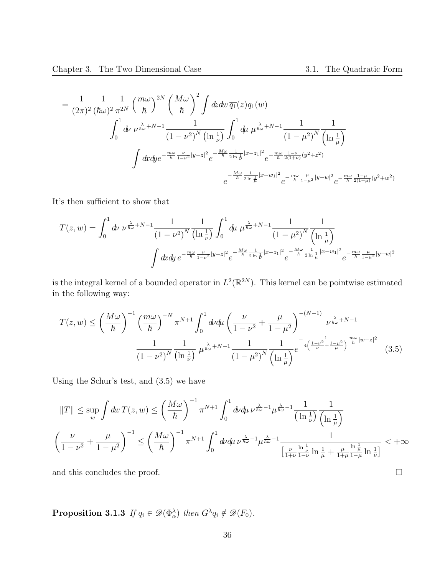$$
= \frac{1}{(2\pi)^2} \frac{1}{(\hbar\omega)^2} \frac{1}{\pi^{2N}} \left(\frac{m\omega}{\hbar}\right)^{2N} \left(\frac{M\omega}{\hbar}\right)^2 \int dx \, dw \, \overline{q_1}(z) q_1(w) \n\int_0^1 d\nu \, \nu^{\frac{\lambda}{\hbar\omega}+N-1} \frac{1}{(1-\nu^2)^N} \frac{1}{\left(\ln\frac{1}{\nu}\right)} \int_0^1 d\mu \, \mu^{\frac{\lambda}{\hbar\omega}+N-1} \frac{1}{(1-\mu^2)^N} \frac{1}{\left(\ln\frac{1}{\mu}\right)} \n\int dx \, dy e^{-\frac{m\omega}{\hbar} \frac{\nu}{1-\nu^2} |y-z|^2} e^{-\frac{M\omega}{\hbar} \frac{1}{2\ln\frac{1}{\nu}} |x-z_1|^2} e^{-\frac{m\omega}{\hbar} \frac{1-\nu}{2(1+\nu)} (y^2+z^2)} \n\int e^{-\frac{M\omega}{\hbar} \frac{1}{2\ln\frac{1}{\mu}} |x-w_1|^2} e^{-\frac{m\omega}{\hbar} \frac{\mu}{1-\mu^2} |y-w|^2} e^{-\frac{m\omega}{\hbar} \frac{1-\mu}{2(1+\mu)} (y^2+w^2)}
$$

It's then sufficient to show that

$$
T(z, w) = \int_0^1 dv \, \nu^{\frac{\lambda}{\hbar\omega} + N - 1} \frac{1}{(1 - \nu^2)^N} \frac{1}{(\ln \frac{1}{\nu})} \int_0^1 d\mu \, \mu^{\frac{\lambda}{\hbar\omega} + N - 1} \frac{1}{(1 - \mu^2)^N} \frac{1}{(\ln \frac{1}{\mu})}
$$

$$
\int dx dy \, e^{-\frac{m\omega}{\hbar} \frac{\nu}{1 - \nu^2} |y - z|^2} e^{-\frac{M\omega}{\hbar} \frac{1}{2\ln \frac{1}{\nu}} |x - z_1|^2} e^{-\frac{M\omega}{\hbar} \frac{1}{2\ln \frac{1}{\mu}} |x - w_1|^2} e^{-\frac{m\omega}{\hbar} \frac{\mu}{1 - \mu^2} |y - w|^2}
$$

is the integral kernel of a bounded operator in  $L^2(\mathbb{R}^{2N})$ . This kernel can be pointwise estimated in the following way:

$$
T(z, w) \le \left(\frac{M\omega}{\hbar}\right)^{-1} \left(\frac{m\omega}{\hbar}\right)^{-N} \pi^{N+1} \int_0^1 d\nu d\mu \left(\frac{\nu}{1-\nu^2} + \frac{\mu}{1-\mu^2}\right)^{-(N+1)} \nu^{\frac{\lambda}{\hbar\omega}+N-1} \frac{1}{(1-\nu^2)^N} \frac{1}{(1-\nu^2)^N} \frac{1}{\left(\ln\frac{1}{\mu}\right)} e^{-\frac{1}{4\left(\frac{1-\nu^2}{\nu} + \frac{1-\mu^2}{\mu}\right)} \frac{m\omega}{\hbar} |w-z|^2} \tag{3.5}
$$

Using the Schur's test, and (3.5) we have

$$
||T|| \le \sup_{w} \int dw \, T(z, w) \le \left(\frac{M\omega}{\hbar}\right)^{-1} \pi^{N+1} \int_{0}^{1} dv d\mu \, \nu^{\frac{\lambda}{\hbar\omega}-1} \mu^{\frac{\lambda}{\hbar\omega}-1} \frac{1}{\left(\ln\frac{1}{\mu}\right)} \frac{1}{\left(\ln\frac{1}{\mu}\right)}
$$

$$
\left(\frac{\nu}{1-\nu^{2}}+\frac{\mu}{1-\mu^{2}}\right)^{-1} \le \left(\frac{M\omega}{\hbar}\right)^{-1} \pi^{N+1} \int_{0}^{1} dv d\mu \, \nu^{\frac{\lambda}{\hbar\omega}-1} \mu^{\frac{\lambda}{\hbar\omega}-1} \frac{1}{\left[\frac{\nu}{1+\nu}\frac{\ln\frac{1}{\nu}}{1-\nu}\ln\frac{1}{\mu}+\frac{\mu}{1+\mu}\frac{\ln\frac{1}{\mu}}{1-\mu}\ln\frac{1}{\nu}\right]} < +\infty
$$

and this concludes the proof.  $\Box$ 

**Proposition 3.1.3** If  $q_i \in \mathscr{D}(\Phi_\alpha^\lambda)$  then  $G^\lambda q_i \notin \mathscr{D}(F_0)$ .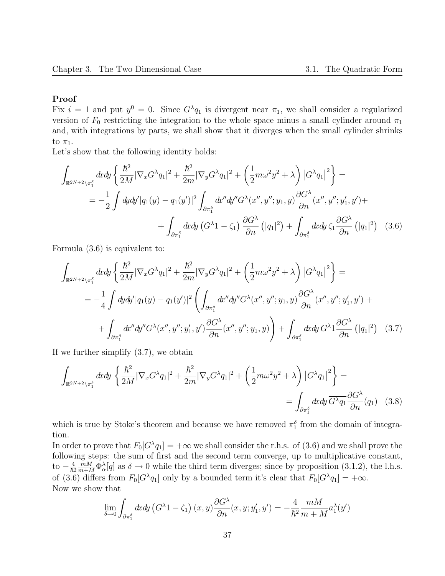#### Proof

Fix  $i = 1$  and put  $y^0 = 0$ . Since  $G^{\lambda}q_1$  is divergent near  $\pi_1$ , we shall consider a regularized version of  $F_0$  restricting the integration to the whole space minus a small cylinder around  $\pi_1$ and, with integrations by parts, we shall show that it diverges when the small cylinder shrinks to  $\pi_1$ .

Let's show that the following identity holds:

$$
\int_{\mathbb{R}^{2N+2}\setminus\pi_1^\delta} dxdy \left\{ \frac{\hbar^2}{2M} |\nabla_x G^\lambda q_1|^2 + \frac{\hbar^2}{2m} |\nabla_y G^\lambda q_1|^2 + \left(\frac{1}{2} m\omega^2 y^2 + \lambda\right) |G^\lambda q_1|^2 \right\} =
$$
\n
$$
= -\frac{1}{2} \int dy dy' |q_1(y) - q_1(y')|^2 \int_{\partial\pi_1^\delta} dx'' dy'' G^\lambda(x'', y''; y_1, y) \frac{\partial G^\lambda}{\partial n}(x'', y''; y'_1, y') +
$$
\n
$$
+ \int_{\partial\pi_1^\delta} dx dy \left( G^\lambda 1 - \zeta_1 \right) \frac{\partial G^\lambda}{\partial n} (|q_1|^2) + \int_{\partial\pi_1^\delta} dx dy \zeta_1 \frac{\partial G^\lambda}{\partial n} (|q_1|^2) \quad (3.6)
$$

Formula (3.6) is equivalent to:

$$
\int_{\mathbb{R}^{2N+2}\setminus\pi_1^\delta} dxdy \left\{ \frac{\hbar^2}{2M} |\nabla_x G^\lambda q_1|^2 + \frac{\hbar^2}{2m} |\nabla_y G^\lambda q_1|^2 + \left(\frac{1}{2} m\omega^2 y^2 + \lambda\right) |G^\lambda q_1|^2 \right\} =
$$
\n
$$
= -\frac{1}{4} \int dy dy' |q_1(y) - q_1(y')|^2 \left( \int_{\partial \pi_1^\delta} dx'' dy'' G^\lambda(x'', y''; y_1, y) \frac{\partial G^\lambda}{\partial n}(x'', y''; y'_1, y') +
$$
\n
$$
+ \int_{\partial \pi_1^\delta} dx'' dy'' G^\lambda(x'', y''; y'_1, y') \frac{\partial G^\lambda}{\partial n}(x'', y''; y_1, y) \right) + \int_{\partial \pi_1^\delta} dx dy G^\lambda 1 \frac{\partial G^\lambda}{\partial n} (|q_1|^2) \quad (3.7)
$$

If we further simplify (3.7), we obtain

$$
\int_{\mathbb{R}^{2N+2}\setminus\pi_1^\delta} dxdy \left\{ \frac{\hbar^2}{2M} |\nabla_x G^\lambda q_1|^2 + \frac{\hbar^2}{2m} |\nabla_y G^\lambda q_1|^2 + \left(\frac{1}{2} m\omega^2 y^2 + \lambda\right) |G^\lambda q_1|^2 \right\} =
$$
\n
$$
= \int_{\partial\pi_1^\delta} dxdy \overline{G^\lambda q_1} \frac{\partial G^\lambda}{\partial n} (q_1) \quad (3.8)
$$

which is true by Stoke's theorem and because we have removed  $\pi_1^{\delta}$  from the domain of integration.

In order to prove that  $F_0[G^{\lambda}q_1] = +\infty$  we shall consider the r.h.s. of (3.6) and we shall prove the following steps: the sum of first and the second term converge, up to multiplicative constant, to  $-\frac{4}{\hbar^2}\frac{m}{m+M}\Phi_\alpha^\lambda[q]$  as  $\delta \to 0$  while the third term diverges; since by proposition (3.1.2), the l.h.s. of (3.6) differs from  $F_0[G^{\lambda}q_1]$  only by a bounded term it's clear that  $F_0[G^{\lambda}q_1] = +\infty$ . Now we show that

$$
\lim_{\delta \to 0} \int_{\partial \pi_1^{\delta}} dx dy \left( G^{\lambda} 1 - \zeta_1 \right) (x, y) \frac{\partial G^{\lambda}}{\partial n} (x, y; y_1', y') = -\frac{4}{\hbar^2} \frac{mM}{m+M} a_1^{\lambda}(y')
$$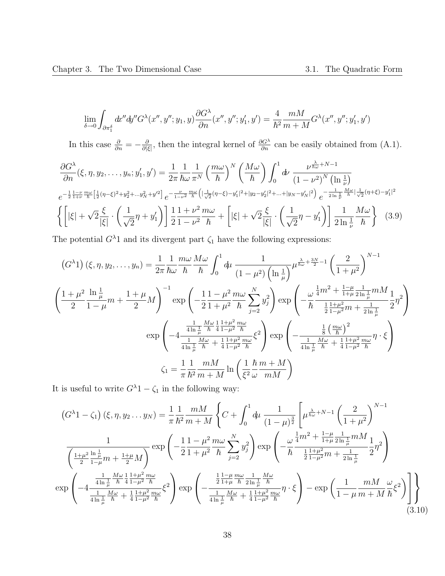$$
\lim_{\delta \to 0} \int_{\partial \pi_1^{\delta}} dx'' dy'' G^{\lambda}(x'', y''; y_1, y) \frac{\partial G^{\lambda}}{\partial n}(x'', y''; y'_1, y') = \frac{4}{\hbar^2} \frac{mM}{m+M} G^{\lambda}(x'', y''; y'_1, y')
$$

In this case  $\frac{\partial}{\partial n} = -\frac{\partial}{\partial |n}$  $\frac{\partial}{\partial |\xi|}$ , then the integral kernel of  $\frac{\partial G^{\lambda}}{\partial n}$  can be easily obtained from (A.1).

$$
\frac{\partial G^{\lambda}}{\partial n}(\xi, \eta, y_2, \dots, y_n; y_1', y') = \frac{1}{2\pi} \frac{1}{\hbar \omega} \frac{1}{\pi^N} \left(\frac{m\omega}{\hbar}\right)^N \left(\frac{M\omega}{\hbar}\right) \int_0^1 d\nu \frac{\nu^{\frac{\lambda}{\hbar \omega} + N - 1}}{(1 - \nu^2)^N \left(\ln \frac{1}{\nu}\right)}
$$
\n
$$
e^{-\frac{1}{2} \frac{1 - \nu}{1 + \nu} \frac{m\omega}{\hbar} \left[\frac{1}{2} (\eta - \xi)^2 + y_2^2 + \dots y_N^2 + y'^2\right]} e^{-\frac{\nu}{1 - \nu^2} \frac{m\omega}{\hbar} \left(\left|\frac{1}{\sqrt{2}} (\eta - \xi) - y_1'\right|^2 + \left|y_2 - y_2'\right|^2 + \dots + \left|y_N - y_N'\right|^2\right)} e^{-\frac{1}{2 \ln \frac{1}{\nu} \frac{M\omega}{\hbar} \left|\frac{1}{\sqrt{2}} (\eta + \xi) - y_1'\right|^2}
$$
\n
$$
\left\{ \left[ |\xi| + \sqrt{2} \frac{\xi}{|\xi|} \cdot \left(\frac{1}{\sqrt{2}} \eta + y_1'\right) \right] \frac{1}{2} \frac{1 + \nu^2}{1 - \nu^2} \frac{m\omega}{\hbar} + \left[ |\xi| + \sqrt{2} \frac{\xi}{|\xi|} \cdot \left(\frac{1}{\sqrt{2}} \eta - y_1'\right) \right] \frac{1}{2 \ln \frac{1}{\nu}} \frac{M\omega}{\hbar} \right\} \tag{3.9}
$$

The potential  $G^{\lambda}1$  and its divergent part  $\zeta_1$  have the following expressions:

$$
(G^{\lambda}1)(\xi, \eta, y_2, \dots, y_n) = \frac{1}{2\pi} \frac{1}{\hbar\omega} \frac{m\omega}{\hbar} \frac{M\omega}{\hbar} \int_0^1 d\mu \frac{1}{(1-\mu^2) \left(\ln\frac{1}{\mu}\right)} \mu^{\frac{\lambda}{\hbar\omega} + \frac{3N}{2} - 1} \left(\frac{2}{1+\mu^2}\right)^{N-1}
$$

$$
\left(\frac{1+\mu^2}{2} \frac{\ln\frac{1}{\mu}}{1-\mu} m + \frac{1+\mu}{2} M\right)^{-1} \exp\left(-\frac{1}{2} \frac{1-\mu^2}{1+\mu^2} \frac{m\omega}{\hbar} \sum_{j=2}^N y_j^2\right) \exp\left(-\frac{\omega^{\frac{1}{4}m^2 + \frac{1-\mu}{1+\mu}\frac{1}{2\ln\frac{1}{\mu}}mM}{\frac{1}{2} \frac{1+\mu^2}{1-\mu^2}m + \frac{1}{2\ln\frac{1}{\mu}} - 2}\eta^2\right)
$$

$$
\exp\left(-4 \frac{\frac{1}{4\ln\frac{1}{\mu}} \frac{M\omega}{\hbar} \frac{1}{4} \frac{1+\mu^2}{1-\mu^2} \frac{m\omega}{\hbar}}{\frac{1+\mu^2}{4\ln\frac{1}{\mu}} \frac{M\omega}{\hbar}} \xi^2\right) \exp\left(-\frac{\frac{1}{8} \left(\frac{m\omega}{\hbar}\right)^2}{\frac{1}{4\ln\frac{1}{\mu}} \frac{M\omega}{\hbar} + \frac{1}{4} \frac{1+\mu^2}{1-\mu^2} \frac{m\omega}{\hbar}} \eta \cdot \xi\right)
$$

$$
\zeta_1 = \frac{1}{\pi} \frac{1}{\hbar^2} \frac{mM}{m+M} \ln\left(\frac{1}{\xi^2} \frac{\hbar}{\omega} \frac{m+M}{mM}\right)
$$

It is useful to write  $G^{\lambda}1 - \zeta_1$  in the following way:

$$
(G^{\lambda}1 - \zeta_{1})(\xi, \eta, y_{2}...y_{N}) = \frac{1}{\pi} \frac{1}{\hbar^{2}} \frac{mM}{m+M} \left\{ C + \int_{0}^{1} d\mu \frac{1}{(1-\mu)^{\frac{3}{2}}} \left[ \mu^{\frac{\lambda}{h\omega}+N-1} \left( \frac{2}{1+\mu^{2}} \right)^{N-1} \right] \frac{1}{(1-\mu)^{2}} \frac{1}{\mu^{2}} \left[ \mu^{\frac{\lambda}{h\omega}+N-1} \left( \frac{2}{1+\mu^{2}} \right)^{N-1} \right] \frac{1}{\left( \frac{1+\mu^{2}}{2} \frac{\ln \frac{1}{\mu}}{\frac{\mu}{\mu}m + \frac{1+\mu}{2}M} \right)} \exp\left( -\frac{1}{2} \frac{1-\mu^{2}}{1+\mu^{2}} \frac{m\omega}{\hbar} \sum_{j=2}^{N} y_{j}^{2} \right) \exp\left( -\frac{\omega}{\hbar} \frac{\frac{1}{4}m^{2} + \frac{1-\mu}{1+\mu} \frac{1}{2}mM}{\frac{1}{2} \ln \frac{1}{\mu}m + \frac{1}{2}m^{2}}}{\left( \frac{1}{4} \frac{1}{\hbar} \frac{\frac{1}{\mu}m\omega}{\frac{1}{\mu} \frac{1}{\mu} \frac{1+\mu^{2}}{\hbar} \frac{m\omega}{4}} \right)} \exp\left( -4 \frac{\frac{1}{4} \frac{1+\mu^{2}}{\mu} \frac{m\omega}{\hbar}}{\frac{1}{4} \ln \frac{1}{\mu} \frac{M\omega}{\hbar}}}{\frac{1}{4} \ln \frac{1}{\mu} \frac{M\omega}{\hbar} + \frac{1}{4} \frac{1+\mu^{2}}{\hbar} \frac{m\omega}{\hbar}} \right\} \exp\left( -\frac{\frac{1}{2} \frac{1-\mu}{1+\mu} \frac{m\omega}{\hbar} \frac{1}{2} \ln \frac{M\omega}{\hbar}}{\frac{1}{4} \ln \frac{1}{\mu} \frac{M\omega}{\hbar}} + \frac{1}{4} \frac{1+\mu^{2}}{1-\mu^{2}} \frac{m\omega}{\hbar}} \eta \cdot \xi \right) - \exp\left( \frac{1}{1-\mu} \frac{mM}{m
$$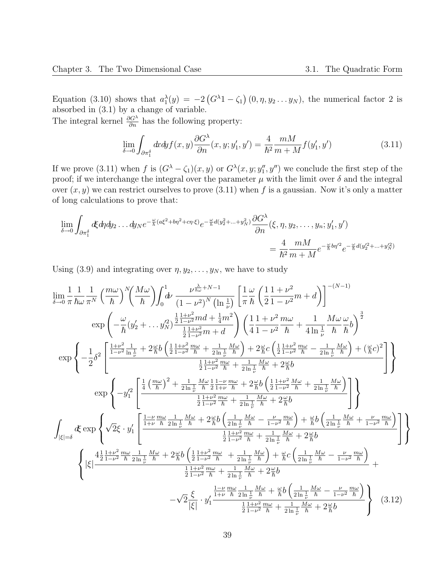Equation (3.10) shows that  $a_1^{\lambda}(y) = -2(G^{\lambda}1 - \zeta_1)(0, \eta, y_2 \dots y_N)$ , the numerical factor 2 is absorbed in  $(3.1)$  by a change of variable.

The integral kernel  $\frac{\partial G^{\lambda}}{\partial n}$  has the following property:

$$
\lim_{\delta \to 0} \int_{\partial \pi_1^{\delta}} dx dy f(x, y) \frac{\partial G^{\lambda}}{\partial n}(x, y; y_1', y') = \frac{4}{\hbar^2} \frac{mM}{m+M} f(y_1', y') \tag{3.11}
$$

If we prove (3.11) when f is  $(G^{\lambda} - \zeta_1)(x, y)$  or  $G^{\lambda}(x, y; y''_1, y'')$  we conclude the first step of the proof; if we interchange the integral over the parameter  $\mu$  with the limit over  $\delta$  and the integral over  $(x, y)$  we can restrict ourselves to prove  $(3.11)$  when f is a gaussian. Now it's only a matter of long calculations to prove that:

$$
\lim_{\delta \to 0} \int_{\partial \pi_1^{\delta}} d\xi d\eta dy_2 \dots dy_N e^{-\frac{\omega}{\hbar}(a\xi^2 + b\eta^2 + c\eta \cdot \xi)} e^{-\frac{\omega}{\hbar}d(y_2^2 + \dots + y_N^2)} \frac{\partial G^{\lambda}}{\partial n}(\xi, \eta, y_2, \dots, y_n; y_1', y')
$$
\n
$$
= \frac{4}{\hbar^2} \frac{mM}{m+M} e^{-\frac{\omega}{\hbar}b\eta'^2} e^{-\frac{\omega}{\hbar}d(y_2'^2 + \dots + y_N'^2)}
$$

Using (3.9) and integrating over  $\eta$ ,  $y_2, \ldots, y_N$ , we have to study

$$
\lim_{\delta \to 0} \frac{1}{\pi} \frac{1}{\hbar \omega} \frac{1}{\pi^N} \left( \frac{m\omega}{\hbar} \right)^N \left( \frac{M\omega}{\hbar} \right) \int_0^1 dv \frac{\nu^{\frac{\lambda}{h \omega} + N - 1}}{(1 - \nu^2)^N (\ln \frac{1}{\nu})} \left[ \frac{1}{\pi} \frac{\omega}{\hbar} \left( \frac{1 + \nu^2}{2 \ln \nu^2 m + d} \right) \right]^{-(N-1)} \exp \left( -\frac{\omega}{\hbar} (y_2' + \dots y_N'^2) \frac{\frac{1}{2} \frac{1 + \nu^2}{1 - \nu^2} m d + \frac{1}{4} m^2}{\frac{1 + \nu^2}{2 \ln \nu^2} m + d} \right) \left( \frac{1}{4} \frac{1 + \nu^2}{1 - \nu^2} \frac{m\omega}{\hbar} + \frac{1}{4 \ln \frac{1}{\nu}} \frac{M\omega}{\hbar} \frac{\omega}{\hbar} \right)^{\frac{3}{2}} \exp \left\{ -\frac{1}{2} \delta^2 \left[ \frac{\frac{1 + \nu^2}{1 - \nu^2} \frac{1}{\ln \frac{1}{\nu}} + 2 \frac{\omega}{\hbar} b \left( \frac{1}{2 \ln \nu^2} m + \frac{1}{2 \ln \frac{1}{\nu}} \frac{M\omega}{\hbar} \right) + 2 \frac{\omega}{\hbar} c \left( \frac{1 + \nu^2}{2 \ln \frac{\nu^2}{\nu}} \frac{m\omega}{\hbar} - \frac{1}{2 \ln \frac{1}{\nu}} \frac{M\omega}{\hbar} \right) + \left( \frac{\omega}{\hbar} c \right)^2 \right] \right\}
$$
  
\n
$$
\exp \left\{ -y_1'^2 \left[ \frac{\frac{1}{4} \left( \frac{m\omega}{\hbar} \right)^2 + \frac{1}{2 \ln \frac{1}{\nu}} \frac{M\omega}{\hbar} \frac{1 - \nu^2}{2 \ln \nu} \frac{m\omega}{\hbar} + 2 \frac{\omega}{\hbar} b \left( \frac{1 + \nu^2}{2 \ln \nu^2} \frac{m\omega}{\hbar} + \frac{1}{2 \ln \frac{1}{\nu}} \frac{M\omega}{\hbar} \right)
$$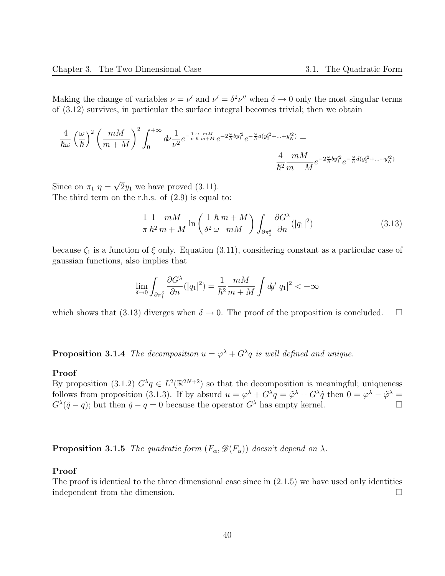Making the change of variables  $\nu = \nu'$  and  $\nu' = \delta^2 \nu''$  when  $\delta \to 0$  only the most singular terms of (3.12) survives, in particular the surface integral becomes trivial; then we obtain

$$
\frac{4}{\hbar\omega} \left(\frac{\omega}{\hbar}\right)^2 \left(\frac{mM}{m+M}\right)^2 \int_0^{+\infty} d\nu \frac{1}{\nu^2} e^{-\frac{1}{\nu} \frac{\omega}{\hbar} \frac{mM}{m+M}} e^{-2\frac{\omega}{\hbar} by_1'^2} e^{-\frac{\omega}{\hbar} d(y_2'^2 + \dots + y_N'^2)} = \frac{4}{\hbar^2} \frac{mM}{m+M} e^{-2\frac{\omega}{\hbar} by_1'^2} e^{-\frac{\omega}{\hbar} d(y_2'^2 + \dots + y_N'^2)}
$$

Since on  $\pi_1$   $\eta =$ √  $2y_1$  we have proved  $(3.11)$ . The third term on the r.h.s. of (2.9) is equal to:

$$
\frac{1}{\pi} \frac{1}{\hbar^2} \frac{mM}{m+M} \ln\left(\frac{1}{\delta^2} \frac{\hbar}{\omega} \frac{m+M}{mM}\right) \int_{\partial \pi_1^\delta} \frac{\partial G^\lambda}{\partial n} (|q_1|^2) \tag{3.13}
$$

because  $\zeta_1$  is a function of  $\xi$  only. Equation (3.11), considering constant as a particular case of gaussian functions, also implies that

$$
\lim_{\delta \to 0} \int_{\partial \pi_1^{\delta}} \frac{\partial G^{\lambda}}{\partial n} (|q_1|^2) = \frac{1}{\hbar^2} \frac{mM}{m+M} \int dy' |q_1|^2 < +\infty
$$

which shows that (3.13) diverges when  $\delta \to 0$ . The proof of the proposition is concluded.  $\square$ 

**Proposition 3.1.4** The decomposition  $u = \varphi^{\lambda} + G^{\lambda}q$  is well defined and unique.

#### Proof

By proposition (3.1.2)  $G^{\lambda}q \in L^2(\mathbb{R}^{2N+2})$  so that the decomposition is meaningful; uniqueness follows from proposition (3.1.3). If by absurd  $u = \varphi^{\lambda} + G^{\lambda}q = \tilde{\varphi}^{\lambda} + G^{\lambda}\tilde{q}$  then  $0 = \varphi^{\lambda} - \tilde{\varphi}^{\lambda} =$  $G^{\lambda}(\tilde{q}-q)$ ; but then  $\tilde{q}-q=0$  because the operator  $G^{\lambda}$  has empty kernel.

**Proposition 3.1.5** The quadratic form  $(F_{\alpha}, \mathscr{D}(F_{\alpha}))$  doesn't depend on  $\lambda$ .

#### Proof

The proof is identical to the three dimensional case since in (2.1.5) we have used only identities independent from the dimension.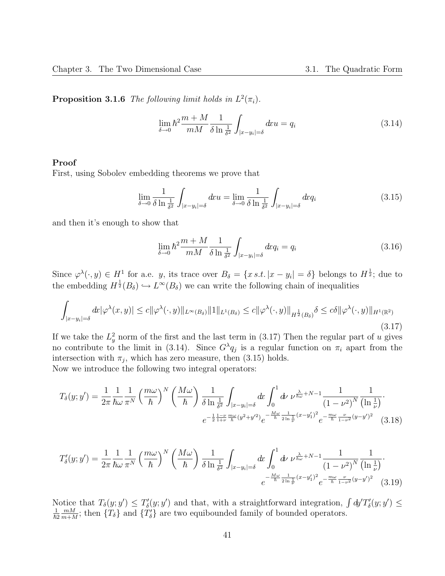**Proposition 3.1.6** The following limit holds in  $L^2(\pi_i)$ .

$$
\lim_{\delta \to 0} \hbar^2 \frac{m+M}{mM} \frac{1}{\delta \ln \frac{1}{\delta^2}} \int_{|x-y_i| = \delta} dx u = q_i
$$
\n(3.14)

#### Proof

First, using Sobolev embedding theorems we prove that

$$
\lim_{\delta \to 0} \frac{1}{\delta \ln \frac{1}{\delta^2}} \int_{|x-y_i| = \delta} dx u = \lim_{\delta \to 0} \frac{1}{\delta \ln \frac{1}{\delta^2}} \int_{|x-y_i| = \delta} dx q_i
$$
\n(3.15)

and then it's enough to show that

$$
\lim_{\delta \to 0} \hbar^2 \frac{m+M}{mM} \frac{1}{\delta \ln \frac{1}{\delta^2}} \int_{|x-y_i| = \delta} dx q_i = q_i
$$
\n(3.16)

Since  $\varphi^{\lambda}(\cdot,y) \in H^1$  for a.e. y, its trace over  $B_{\delta} = \{x \, s.t. \, |x - y_i| = \delta\}$  belongs to  $H^{\frac{1}{2}}$ ; due to the embedding  $H^{\frac{1}{2}}(B_\delta) \hookrightarrow L^\infty(B_\delta)$  we can write the following chain of inequalities

$$
\int_{|x-y_i|=\delta} dx |\varphi^{\lambda}(x,y)| \le c \|\varphi^{\lambda}(\cdot,y)\|_{L^{\infty}(B_{\delta})} \|1\|_{L^1(B_{\delta})} \le c \|\varphi^{\lambda}(\cdot,y)\|_{H^{\frac{1}{2}}(B_{\delta})} \delta \le c\delta \|\varphi^{\lambda}(\cdot,y)\|_{H^1(\mathbb{R}^2)}\tag{3.17}
$$

If we take the  $L_y^2$  norm of the first and the last term in (3.17) Then the regular part of u gives no contribute to the limit in (3.14). Since  $G^{\lambda}q_j$  is a regular function on  $\pi_i$  apart from the intersection with  $\pi_j$ , which has zero measure, then (3.15) holds. Now we introduce the following two integral operators:

$$
T_{\delta}(y; y') = \frac{1}{2\pi} \frac{1}{\hbar\omega} \frac{1}{\pi^N} \left(\frac{m\omega}{\hbar}\right)^N \left(\frac{M\omega}{\hbar}\right) \frac{1}{\delta \ln\frac{1}{\delta^2}} \int_{|x-y_i|=\delta} dx \int_0^1 d\nu \, \nu^{\frac{\lambda}{\hbar\omega}+N-1} \frac{1}{(1-\nu^2)^N} \frac{1}{(\ln\frac{1}{\nu})}.
$$

$$
e^{-\frac{1}{2}\frac{1-\nu}{1+\nu} \frac{m\omega}{\hbar} (y^2+y'^2)} e^{-\frac{M\omega}{\hbar} \frac{1}{2\ln\frac{1}{\nu}} (x-y'_1)^2} e^{-\frac{m\omega}{\hbar} \frac{\nu}{1-\nu^2} (y-y')^2} (3.18)
$$

$$
T'_{\delta}(y;y') = \frac{1}{2\pi} \frac{1}{\hbar\omega} \frac{1}{\pi^N} \left(\frac{m\omega}{\hbar}\right)^N \left(\frac{M\omega}{\hbar}\right) \frac{1}{\delta \ln\frac{1}{\delta^2}} \int_{|x-y_i|=\delta} dx \int_0^1 d\nu \, \nu^{\frac{\lambda}{\hbar\omega}+N-1} \frac{1}{(1-\nu^2)^N} \frac{1}{(\ln\frac{1}{\nu})}.
$$

$$
e^{-\frac{M\omega}{\hbar} \frac{1}{2\ln\frac{1}{\nu}}(x-y_1')^2} e^{-\frac{m\omega}{\hbar} \frac{\nu}{1-\nu^2}(y-y')^2} (3.19)
$$

Notice that  $T_\delta(y; y') \leq T'_\delta(y; y')$  and that, with a straightforward integration,  $\int dy' T'_\delta(y; y') \leq$  $\frac{1}{\hbar 2} \frac{mM}{m + \Lambda}$  $\frac{mM}{m+M}$ ; then  $\{T_\delta\}$  and  $\{T'_\delta\}$  are two equibounded family of bounded operators.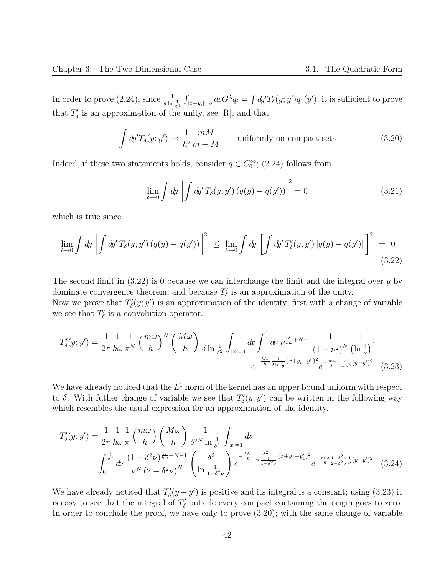In order to prove (2.24), since  $\frac{1}{\delta \ln \frac{1}{\delta^2}}$  $\int_{|x-y_i|=\delta} dx G^{\lambda} q_i = \int dy' T_{\delta}(y;y') q_1(y')$ , it is sufficient to prove that  $T'_{\delta}$  is an approximation of the unity, see [R], and that

$$
\int dy' T_{\delta}(y; y') \to \frac{1}{\hbar^2} \frac{mM}{m+M} \qquad \text{uniformly on compact sets} \tag{3.20}
$$

Indeed, if these two statements holds, consider  $q \in C_0^{\infty}$ ; (2.24) follows from

$$
\lim_{\delta \to 0} \int dy \left| \int dy' T_{\delta}(y; y') (q(y) - q(y')) \right|^2 = 0
$$
\n(3.21)

which is true since

$$
\lim_{\delta \to 0} \int dy \left| \int dy' T_{\delta}(y; y') (q(y) - q(y')) \right|^2 \leq \lim_{\delta \to 0} \int dy \left[ \int dy' T'_{\delta}(y; y') | q(y) - q(y') | \right]^2 = 0
$$
\n(3.22)

The second limit in  $(3.22)$  is 0 because we can interchange the limit and the integral over y by dominate convergence theorem, and because  $T'_{\delta}$  is an approximation of the unity.

Now we prove that  $T'_{\delta}(y; y')$  is an approximation of the identity; first with a change of variable we see that  $T'_{\delta}$  is a convolution operator.

$$
T'_{\delta}(y; y') = \frac{1}{2\pi} \frac{1}{\hbar \omega} \frac{1}{\pi^N} \left(\frac{m\omega}{\hbar}\right)^N \left(\frac{M\omega}{\hbar}\right) \frac{1}{\delta \ln \frac{1}{\delta^2}} \int_{|x| = \delta} dx \int_0^1 dy \, \nu^{\frac{\lambda}{\hbar \omega} + N - 1} \frac{1}{(1 - \nu^2)^N} \frac{1}{(\ln \frac{1}{\nu})}.
$$

$$
e^{-\frac{M\omega}{\hbar} \frac{1}{2\ln \frac{1}{\nu}} (x + y_i - y_1')^2} e^{-\frac{m\omega}{\hbar} \frac{\nu}{1 - \nu^2} (y - y')^2} (3.23)
$$

We have already noticed that the  $L^1$  norm of the kernel has an upper bound uniform with respect to  $\delta$ . With futher change of variable we see that  $T'_{\delta}(y; y')$  can be written in the following way which resembles the usual expression for an approximation of the identity.

$$
T'_{\delta}(y; y') = \frac{1}{2\pi} \frac{1}{\hbar \omega} \frac{1}{\pi} \left(\frac{m\omega}{\hbar}\right) \left(\frac{M\omega}{\hbar}\right) \frac{1}{\delta^{2N} \ln\frac{1}{\delta^2}} \int_{|x|=1} dx
$$
  

$$
\int_0^{\frac{1}{\delta^2}} d\nu \frac{(1-\delta^2 \nu)^{\frac{\lambda}{\hbar \omega}+N-1}}{\nu^N (2-\delta^2 \nu)^N} \left(\frac{\delta^2}{\ln\frac{1}{1-\delta^2 \nu}}\right) e^{-\frac{M\omega}{\hbar} \frac{\delta^2}{\ln\frac{1}{1-\delta^2 \nu}} (x+y_1-y_1')^2} e^{-\frac{m\omega}{\hbar} \frac{1-\delta^2 \nu}{2-\delta^2 \nu} \frac{1}{\nu} (y-y')^2} (3.24)
$$

We have already noticed that  $T'_{\delta}(y-y')$  is positive and its integral is a constant; using (3.23) it is easy to see that the integral of  $T'_{\delta}$  outside every compact containing the origin goes to zero. In order to conclude the proof, we have only to prove (3.20); with the same change of variable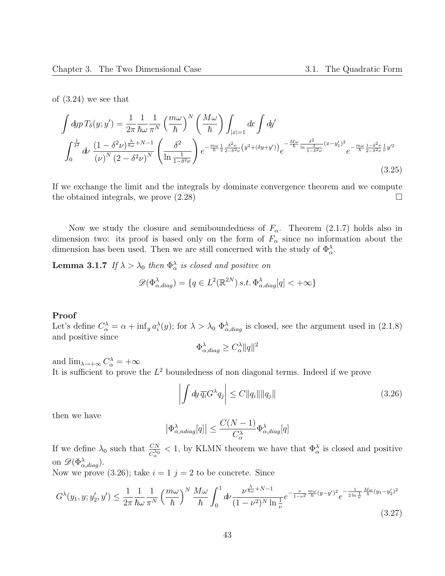of (3.24) we see that

$$
\int dy p \, T_{\delta}(y; y') = \frac{1}{2\pi} \frac{1}{\hbar \omega} \frac{1}{\pi^N} \left(\frac{m\omega}{\hbar}\right)^N \left(\frac{M\omega}{\hbar}\right) \int_{|x|=1} dx \int dy'
$$
\n
$$
\int_0^{\frac{1}{\delta^2}} dy \, \frac{(1 - \delta^2 \nu)^{\frac{\lambda}{\hbar \omega} + N - 1}}{(\nu)^N (2 - \delta^2 \nu)^N} \left(\frac{\delta^2}{\ln \frac{1}{1 - \delta^2 \nu}}\right) e^{-\frac{m\omega}{\hbar} \frac{1}{2} \frac{\delta^2 \nu}{2 - \delta^2 \nu} (y^2 + (\delta y + y'))} e^{-\frac{M\omega}{\hbar} \frac{\delta^2}{\ln \frac{1}{1 - \delta^2 \nu}} (x - y'_1)^2} e^{-\frac{m\omega}{\hbar} \frac{1 - \delta^2 \nu}{2 - \delta^2 \nu} \frac{1}{\nu} y'^2}
$$
\n(3.25)

If we exchange the limit and the integrals by dominate convergence theorem and we compute the obtained integrals, we prove  $(2.28)$ 

Now we study the closure and semiboundedness of  $F_{\alpha}$ . Theorem (2.1.7) holds also in dimension two: its proof is based only on the form of  $F_{\alpha}$  since no information about the dimension has been used. Then we are still concerned with the study of  $\Phi_\alpha^{\lambda}$ .

**Lemma 3.1.7** If  $\lambda > \lambda_0$  then  $\Phi_\alpha^{\lambda}$  is closed and positive on

$$
\mathscr{D}(\Phi^\lambda_{\alpha,diag})=\{q\in L^2(\mathbb{R}^{2N})\,s.t.\,\Phi^\lambda_{\alpha,diag}[q]<+\infty\}
$$

#### Proof

Let's define  $C_{\alpha}^{\lambda} = \alpha + \inf_{y} a_i^{\lambda}(y)$ ; for  $\lambda > \lambda_0 \Phi_{\alpha, diag}^{\lambda}$  is closed, see the argument used in (2.1.8) and positive since

$$
\Phi_{\alpha,diag}^{\lambda} \ge C_{\alpha}^{\lambda} ||q||^2
$$

and  $\lim_{\lambda \to +\infty} C_{\alpha}^{\lambda} = +\infty$ It is sufficient to prove the  $L^2$  boundedness of non diagonal terms. Indeed if we prove

$$
\left| \int dy \,\overline{q_i} G^{\lambda} q_j \right| \le C \|q_i\| \|q_j\| \tag{3.26}
$$

then we have

$$
\left|\Phi^{\lambda}_{\alpha,ndiag}[q]\right| \leq \frac{C(N-1)}{C^{\lambda}_{\alpha}}\Phi^{\lambda}_{\alpha,diag}[q]
$$

If we define  $\lambda_0$  such that  $\frac{CN}{C_{\alpha}^{\lambda_0}} < 1$ , by KLMN theorem we have that  $\Phi_{\alpha}^{\lambda}$  is closed and positive on  $\mathscr{D}(\Phi^\lambda_{\alpha, diag})$ .

Now we prove (3.26); take  $i = 1$   $j = 2$  to be concrete. Since

$$
G^{\lambda}(y_1, y; y_2', y') \le \frac{1}{2\pi} \frac{1}{\hbar \omega} \frac{1}{\pi^N} \left(\frac{m\omega}{\hbar}\right)^N \frac{M\omega}{\hbar} \int_0^1 d\nu \frac{\nu^{\frac{\lambda}{\hbar \omega} + N - 1}}{(1 - \nu^2)^N \ln \frac{1}{\nu}} e^{-\frac{\nu}{1 - \nu^2} \frac{m\omega}{\hbar} (y - y')^2} e^{-\frac{1}{2\ln \frac{1}{\nu}} \frac{M\omega}{\hbar} (y_1 - y_2')^2}
$$
\n(3.27)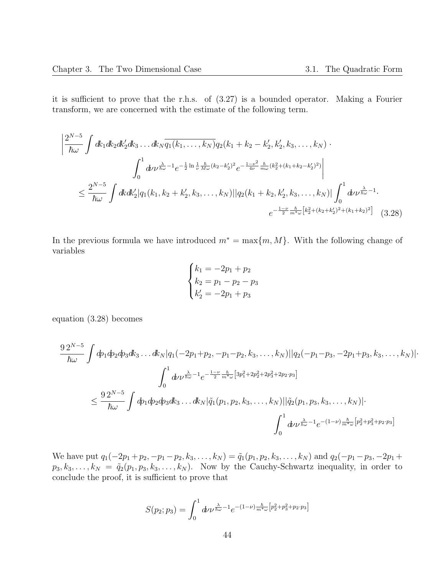it is sufficient to prove that the r.h.s. of (3.27) is a bounded operator. Making a Fourier transform, we are concerned with the estimate of the following term.

$$
\left| \frac{2^{N-5}}{\hbar \omega} \int dk_1 dk_2 dk'_2 dk_3 \dots dk_N \overline{q_1(k_1, \dots, k_N)} q_2(k_1 + k_2 - k'_2, k'_2, k_3, \dots, k_N) \cdot \right|
$$
  

$$
\int_0^1 d\nu \nu^{\frac{\lambda}{\hbar \omega} - 1} e^{-\frac{1}{2} \ln \frac{1}{\nu} \frac{\hbar}{M \omega} (k_2 - k'_2)^2} e^{-\frac{1 - \nu^2}{4\nu} \frac{\hbar}{m \omega} (k_2^2 + (k_1 + k_2 - k'_2)^2)} \right|
$$
  

$$
\leq \frac{2^{N-5}}{\hbar \omega} \int dk d k'_2 |q_1(k_1, k_2 + k'_2, k_3, \dots, k_N)| |q_2(k_1 + k_2, k'_2, k_3, \dots, k_N)| \int_0^1 d\nu \nu^{\frac{\lambda}{\hbar \omega} - 1}.
$$
  

$$
e^{-\frac{1 - \nu}{2} \frac{\hbar}{m \omega} \left[ k_2^2 + (k_2 + k'_2)^2 + (k_1 + k_2)^2 \right]} \quad (3.28)
$$

In the previous formula we have introduced  $m^* = \max\{m, M\}$ . With the following change of variables

$$
\begin{cases}\nk_1 = -2p_1 + p_2 \\
k_2 = p_1 - p_2 - p_3 \\
k'_2 = -2p_1 + p_3\n\end{cases}
$$

equation (3.28) becomes

$$
\frac{9 \, 2^{N-5}}{\hbar \omega} \int \phi_1 \phi_2 \phi_3 dk_3 \dots dk_N |q_1(-2p_1+p_2,-p_1-p_2,k_3,\dots,k_N)||q_2(-p_1-p_3,-2p_1+p_3,k_3,\dots,k_N)|\cdot
$$
  

$$
\int_0^1 d\nu \frac{\lambda}{\hbar \omega} e^{-\frac{1-\nu}{2} \frac{\hbar}{m^* \omega} \left[3p_1^2+2p_2^2+2p_3^2+2p_2\cdot p_3\right]}}{\hbar \omega} \le \frac{9 \, 2^{N-5}}{\hbar \omega} \int d p_1 d p_2 d p_3 dk_3 \dots dk_N |\tilde{q}_1(p_1,p_2,k_3,\dots,k_N)||\tilde{q}_2(p_1,p_3,k_3,\dots,k_N)|\cdot
$$
  

$$
\int_0^1 d\nu \frac{\lambda}{\hbar \omega} e^{-\frac{1}{2}(-1-\nu) \frac{\hbar}{m^* \omega} \left[p_2^2+p_3^2+p_2\cdot p_3\right]}
$$

We have put  $q_1(-2p_1+p_2, -p_1-p_2, k_3, \ldots, k_N) = \tilde{q}_1(p_1, p_2, k_3, \ldots, k_N)$  and  $q_2(-p_1-p_3, -2p_1+p_2, k_3, \ldots, k_N)$  $p_3, k_3, \ldots, k_N = \tilde{q}_2(p_1, p_3, k_3, \ldots, k_N)$ . Now by the Cauchy-Schwartz inequality, in order to conclude the proof, it is sufficient to prove that

$$
S(p_2; p_3) = \int_0^1 d\nu \nu^{\frac{\lambda}{\hbar\omega} - 1} e^{-(1-\nu)\frac{\hbar}{m^*\omega} \left[ p_2^2 + p_3^2 + p_2 \cdot p_3 \right]}
$$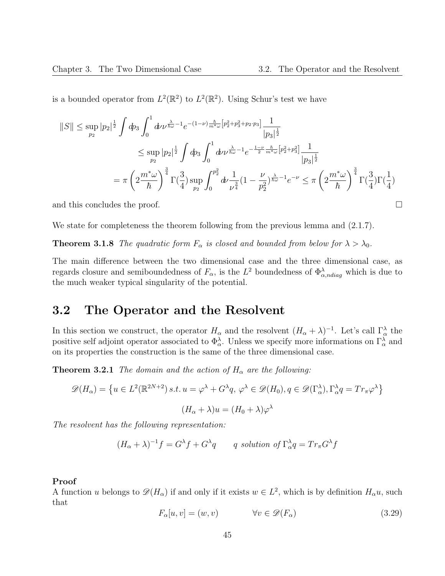is a bounded operator from  $L^2(\mathbb{R}^2)$  to  $L^2(\mathbb{R}^2)$ . Using Schur's test we have

$$
||S|| \le \sup_{p_2} |p_2|^{\frac{1}{2}} \int dp_3 \int_0^1 d\nu \nu^{\frac{\lambda}{\hbar\omega} - 1} e^{-(1-\nu)\frac{\hbar}{m^*\omega} \left[p_2^2 + p_3^2 + p_2 \cdot p_3\right]} \frac{1}{|p_3|^{\frac{1}{2}}}
$$
  

$$
\le \sup_{p_2} |p_2|^{\frac{1}{2}} \int dp_3 \int_0^1 d\nu \nu^{\frac{\lambda}{\hbar\omega} - 1} e^{-\frac{1-\nu}{2} \frac{\hbar}{m^*\omega} \left[p_2^2 + p_3^2\right]} \frac{1}{|p_3|^{\frac{1}{2}}}
$$
  

$$
= \pi \left(2 \frac{m^*\omega}{\hbar}\right)^{\frac{3}{4}} \Gamma(\frac{3}{4}) \sup_{p_2} \int_0^{p_2^2} d\nu \frac{1}{\nu^{\frac{3}{4}}} (1 - \frac{\nu}{p_2^2})^{\frac{\lambda}{\hbar\omega} - 1} e^{-\nu} \le \pi \left(2 \frac{m^*\omega}{\hbar}\right)^{\frac{3}{4}} \Gamma(\frac{3}{4}) \Gamma(\frac{1}{4})
$$

and this concludes the proof.  $\Box$ 

We state for completeness the theorem following from the previous lemma and  $(2.1.7)$ .

**Theorem 3.1.8** The quadratic form  $F_{\alpha}$  is closed and bounded from below for  $\lambda > \lambda_0$ .

The main difference between the two dimensional case and the three dimensional case, as regards closure and semiboundedness of  $F_{\alpha}$ , is the  $L^2$  boundedness of  $\Phi_{\alpha,ndiag}^{\lambda}$  which is due to the much weaker typical singularity of the potential.

### 3.2 The Operator and the Resolvent

In this section we construct, the operator  $H_{\alpha}$  and the resolvent  $(H_{\alpha} + \lambda)^{-1}$ . Let's call  $\Gamma_{\alpha}^{\lambda}$  the positive self adjoint operator associated to  $\Phi_\alpha^{\lambda}$ . Unless we specify more informations on  $\Gamma_\alpha^{\lambda}$  and on its properties the construction is the same of the three dimensional case.

**Theorem 3.2.1** The domain and the action of  $H_{\alpha}$  are the following:

$$
\mathscr{D}(H_{\alpha}) = \left\{ u \in L^{2}(\mathbb{R}^{2N+2}) \, s.t. \, u = \varphi^{\lambda} + G^{\lambda}q, \, \varphi^{\lambda} \in \mathscr{D}(H_{0}), q \in \mathscr{D}(\Gamma_{\alpha}^{\lambda}), \Gamma_{\alpha}^{\lambda}q = Tr_{\pi}\varphi^{\lambda} \right\}
$$
\n
$$
(H_{\alpha} + \lambda)u = (H_{0} + \lambda)\varphi^{\lambda}
$$

The resolvent has the following representation:

$$
(H_{\alpha} + \lambda)^{-1}f = G^{\lambda}f + G^{\lambda}q \qquad q \text{ solution of } \Gamma_{\alpha}^{\lambda}q = Tr_{\pi}G^{\lambda}f
$$

#### Proof

A function u belongs to  $\mathscr{D}(H_\alpha)$  if and only if it exists  $w \in L^2$ , which is by definition  $H_\alpha u$ , such that

$$
F_{\alpha}[u, v] = (w, v) \qquad \qquad \forall v \in \mathcal{D}(F_{\alpha}) \tag{3.29}
$$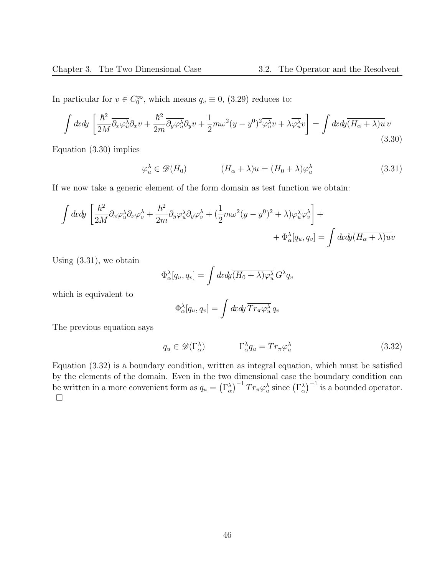In particular for  $v \in C_0^{\infty}$ , which means  $q_v \equiv 0$ , (3.29) reduces to:

$$
\int dx dy \left[ \frac{\hbar^2}{2M} \overline{\partial_x \varphi_u^{\lambda}} \partial_x v + \frac{\hbar^2}{2m} \overline{\partial_y \varphi_u^{\lambda}} \partial_y v + \frac{1}{2} m \omega^2 (y - y^0)^2 \overline{\varphi_u^{\lambda}} v + \lambda \overline{\varphi_u^{\lambda}} v \right] = \int dx dy \overline{(H_\alpha + \lambda) u} \, v \tag{3.30}
$$

Equation (3.30) implies

$$
\varphi_u^{\lambda} \in \mathscr{D}(H_0) \qquad (H_{\alpha} + \lambda)u = (H_0 + \lambda)\varphi_u^{\lambda} \qquad (3.31)
$$

If we now take a generic element of the form domain as test function we obtain:

$$
\int dx dy \left[ \frac{\hbar^2}{2M} \overline{\partial_x \varphi_u^{\lambda}} \partial_x \varphi_v^{\lambda} + \frac{\hbar^2}{2m} \overline{\partial_y \varphi_u^{\lambda}} \partial_y \varphi_v^{\lambda} + (\frac{1}{2} m \omega^2 (y - y^0)^2 + \lambda) \overline{\varphi_u^{\lambda}} \varphi_v^{\lambda} \right] +
$$
  
+  $\Phi_\alpha^{\lambda} [q_u, q_v] = \int dx dy \overline{(H_\alpha + \lambda)uv}$ 

Using (3.31), we obtain

$$
\Phi_{\alpha}^{\lambda}[q_u, q_v] = \int dx dy \overline{(H_0 + \lambda)\varphi_u^{\lambda}} G^{\lambda} q_v
$$

which is equivalent to

$$
\Phi_{\alpha}^{\lambda}[q_u, q_v] = \int dx dy \, \overline{Tr_{\pi} \varphi_u^{\lambda}} q_v
$$

The previous equation says

$$
q_u \in \mathscr{D}(\Gamma_\alpha^\lambda) \qquad \qquad \Gamma_\alpha^\lambda q_u = Tr_\pi \varphi_u^\lambda \tag{3.32}
$$

Equation (3.32) is a boundary condition, written as integral equation, which must be satisfied by the elements of the domain. Even in the two dimensional case the boundary condition can be written in a more convenient form as  $q_u = (\Gamma_\alpha^{\lambda})^{-1} Tr_\pi \varphi_u^{\lambda}$  since  $(\Gamma_\alpha^{\lambda})^{-1}$  is a bounded operator.  $\Box$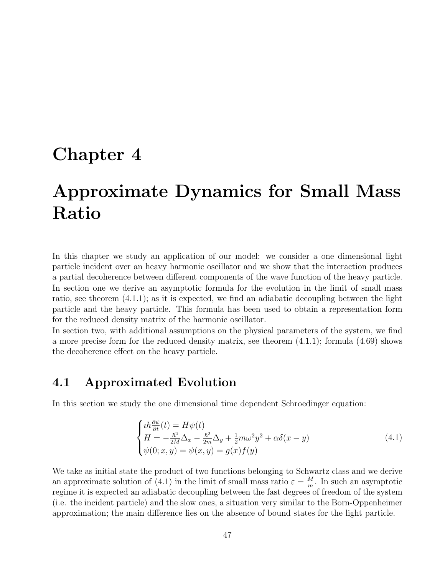### Chapter 4

## Approximate Dynamics for Small Mass Ratio

In this chapter we study an application of our model: we consider a one dimensional light particle incident over an heavy harmonic oscillator and we show that the interaction produces a partial decoherence between different components of the wave function of the heavy particle. In section one we derive an asymptotic formula for the evolution in the limit of small mass ratio, see theorem (4.1.1); as it is expected, we find an adiabatic decoupling between the light particle and the heavy particle. This formula has been used to obtain a representation form for the reduced density matrix of the harmonic oscillator.

In section two, with additional assumptions on the physical parameters of the system, we find a more precise form for the reduced density matrix, see theorem (4.1.1); formula (4.69) shows the decoherence effect on the heavy particle.

### 4.1 Approximated Evolution

In this section we study the one dimensional time dependent Schroedinger equation:

$$
\begin{cases}\ni\hbar\frac{\partial\psi}{\partial t}(t) = H\psi(t) \\
H = -\frac{\hbar^2}{2M}\Delta_x - \frac{\hbar^2}{2m}\Delta_y + \frac{1}{2}m\omega^2y^2 + \alpha\delta(x - y) \\
\psi(0; x, y) = \psi(x, y) = g(x)f(y)\n\end{cases} \tag{4.1}
$$

We take as initial state the product of two functions belonging to Schwartz class and we derive an approximate solution of (4.1) in the limit of small mass ratio  $\varepsilon = \frac{M}{m}$  $\frac{M}{m}$ . In such an asymptotic regime it is expected an adiabatic decoupling between the fast degrees of freedom of the system (i.e. the incident particle) and the slow ones, a situation very similar to the Born-Oppenheimer approximation; the main difference lies on the absence of bound states for the light particle.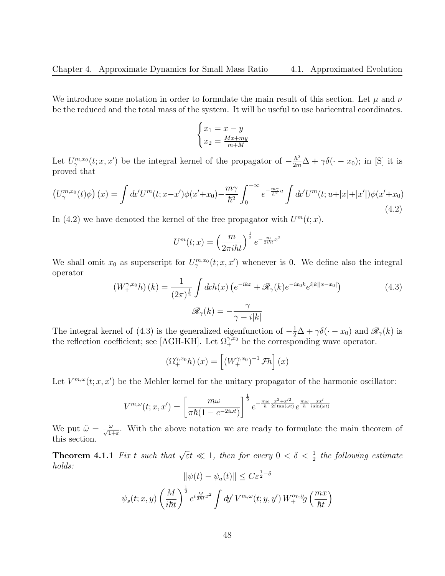We introduce some notation in order to formulate the main result of this section. Let  $\mu$  and  $\nu$ be the reduced and the total mass of the system. It will be useful to use baricentral coordinates.

$$
\begin{cases} x_1 = x - y \\ x_2 = \frac{Mx + my}{m + M} \end{cases}
$$

Let  $U^{m,x_0}_{\gamma}(t; x, x')$  be the integral kernel of the propagator of  $-\frac{\hbar^2}{2m}\Delta + \gamma \delta(\cdot - x_0)$ ; in [S] it is proved that

$$
\left(U_{\gamma}^{m,x_0}(t)\phi\right)(x) = \int dx' U^m(t; x-x')\phi(x'+x_0) - \frac{m\gamma}{\hbar^2} \int_0^{+\infty} e^{-\frac{m\gamma}{\hbar^2}u} \int dx' U^m(t; u+|x|+|x'|)\phi(x'+x_0) \tag{4.2}
$$

In (4.2) we have denoted the kernel of the free propagator with  $U^m(t; x)$ .

$$
U^m(t;x) = \left(\frac{m}{2\pi i\hbar t}\right)^{\frac{1}{2}} e^{-\frac{m}{2i\hbar t}x^2}
$$

We shall omit  $x_0$  as superscript for  $U^{m,x_0}_{\gamma}(t; x, x')$  whenever is 0. We define also the integral operator

$$
(W_{+}^{\gamma,x_{0}}h)(k) = \frac{1}{(2\pi)^{\frac{1}{2}}} \int dx h(x) \left( e^{-ikx} + \mathcal{R}_{\gamma}(k) e^{-ix_{0}k} e^{i|k||x-x_{0}|} \right)
$$
  

$$
\mathcal{R}_{\gamma}(k) = -\frac{\gamma}{\gamma - i|k|}
$$
\n(4.3)

The integral kernel of (4.3) is the generalized eigenfunction of  $-\frac{1}{2}\Delta + \gamma \delta(\cdot - x_0)$  and  $\mathscr{R}_{\gamma}(k)$  is the reflection coefficient; see [AGH-KH]. Let  $\Omega_{+}^{\gamma,x_0}$  be the corresponding wave operator.

$$
\left(\Omega_{+}^{\gamma,x_{0}}h\right)(x)=\left[\left(W_{+}^{\gamma,x_{0}}\right)^{-1}\mathcal{F}h\right](x)
$$

Let  $V^{m,\omega}(t; x, x')$  be the Mehler kernel for the unitary propagator of the harmonic oscillator:

$$
V^{m,\omega}(t;x,x') = \left[\frac{m\omega}{\pi\hbar(1 - e^{-2i\omega t})}\right]^{\frac{1}{2}} e^{-\frac{m\omega}{\hbar} \frac{x^2 + x'^2}{2i\tan(\omega t)}} e^{\frac{m\omega}{\hbar} \frac{xx'}{i\sin(\omega t)}}
$$

We put  $\tilde{\omega} = \frac{\omega}{\sqrt{1+\varepsilon}}$ . With the above notation we are ready to formulate the main theorem of this section.

**Theorem 4.1.1** Fix t such that  $\sqrt{\varepsilon}t \ll 1$ , then for every  $0 < \delta < \frac{1}{2}$  the following estimate holds:

$$
\|\psi(t) - \psi_a(t)\| \le C\varepsilon^{\frac{1}{2}-\delta}
$$
  

$$
\psi_s(t; x, y) \left(\frac{M}{i\hbar t}\right)^{\frac{1}{2}} e^{i\frac{M}{2\hbar t}x^2} \int dy' V^{m,\omega}(t; y, y') W_+^{\alpha_0, y} g\left(\frac{mx}{\hbar t}\right)
$$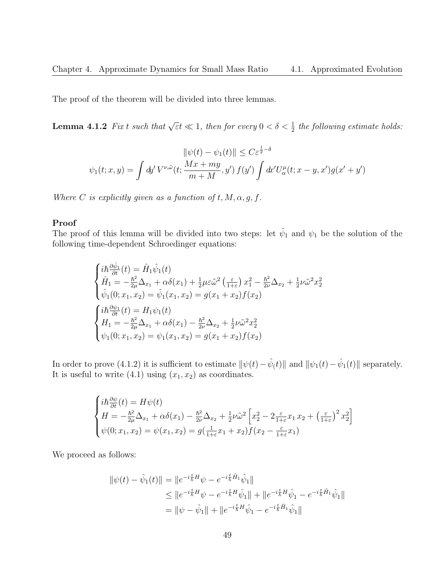The proof of the theorem will be divided into three lemmas.

**Lemma 4.1.2** Fix t such that  $\sqrt{\varepsilon}t \ll 1$ , then for every  $0 < \delta < \frac{1}{2}$  the following estimate holds:

$$
\|\psi(t) - \psi_1(t)\| \le C\varepsilon^{\frac{1}{2}-\delta}
$$
  

$$
\psi_1(t; x, y) = \int dy' V^{\nu, \tilde{\omega}}(t; \frac{Mx + my}{m+M}, y') f(y') \int dx' U^{\mu}_{\alpha}(t; x - y, x') g(x' + y')
$$

Where C is explicitly given as a function of  $t, M, \alpha, g, f$ .

#### Proof

The proof of this lemma will be divided into two steps: let  $\hat{\psi}_1$  and  $\psi_1$  be the solution of the following time-dependent Schroedinger equations:

$$
\begin{cases}\ni\hbar\frac{\partial\hat{\psi}_{1}}{\partial t}(t) = \hat{H}_{1}\hat{\psi}_{1}(t) \\
\hat{H}_{1} = -\frac{\hbar^{2}}{2\mu}\Delta_{x_{1}} + \alpha\delta(x_{1}) + \frac{1}{2}\mu\varepsilon\tilde{\omega}^{2}\left(\frac{\varepsilon}{1+\varepsilon}\right)x_{1}^{2} - \frac{\hbar^{2}}{2\nu}\Delta_{x_{2}} + \frac{1}{2}\nu\tilde{\omega}^{2}x_{2}^{2} \\
\hat{\psi}_{1}(0; x_{1}, x_{2}) = \hat{\psi}_{1}(x_{1}, x_{2}) = g(x_{1} + x_{2})f(x_{2}) \\
\begin{cases}\ni\hbar\frac{\partial\psi_{1}}{\partial t}(t) = H_{1}\psi_{1}(t) \\
H_{1} = -\frac{\hbar^{2}}{2\mu}\Delta_{x_{1}} + \alpha\delta(x_{1}) - \frac{\hbar^{2}}{2\nu}\Delta_{x_{2}} + \frac{1}{2}\nu\tilde{\omega}^{2}x_{2}^{2} \\
\psi_{1}(0; x_{1}, x_{2}) = \psi_{1}(x_{1}, x_{2}) = g(x_{1} + x_{2})f(x_{2})\n\end{cases}\n\tag{4}
$$

In order to prove (4.1.2) it is sufficient to estimate  $\|\psi(t) - \hat{\psi}_t(t)\|$  and  $\|\psi_1(t) - \hat{\psi}_1(t)\|$  separately. It is useful to write  $(4.1)$  using  $(x_1, x_2)$  as coordinates.

$$
\begin{cases}\ni\hbar\frac{\partial\psi}{\partial t}(t) = H\psi(t) \\
H = -\frac{\hbar^2}{2\mu}\Delta_{x_1} + \alpha\delta(x_1) - \frac{\hbar^2}{2\nu}\Delta_{x_2} + \frac{1}{2}\nu\tilde{\omega}^2 \left[x_2^2 - 2\frac{\varepsilon}{1+\varepsilon}x_1\,x_2 + \left(\frac{\varepsilon}{1+\varepsilon}\right)^2 x_2^2\right] \\
\psi(0; x_1, x_2) = \psi(x_1, x_2) = g\left(\frac{1}{1+\varepsilon}x_1 + x_2\right) f\left(x_2 - \frac{\varepsilon}{1+\varepsilon}x_1\right)\n\end{cases}
$$

We proceed as follows:

$$
\begin{aligned} \|\psi(t) - \hat{\psi}_1(t)\| &= \|e^{-i\frac{t}{\hbar}H}\psi - e^{-i\frac{t}{\hbar}\hat{H}_1}\hat{\psi}_1\| \\ &\le \|e^{-i\frac{t}{\hbar}H}\psi - e^{-i\frac{t}{\hbar}H}\hat{\psi}_1\| + \|e^{-i\frac{t}{\hbar}H}\hat{\psi}_1 - e^{-i\frac{t}{\hbar}\hat{H}_1}\hat{\psi}_1\| \\ &= \|\psi - \hat{\psi}_1\| + \|e^{-i\frac{t}{\hbar}H}\hat{\psi}_1 - e^{-i\frac{t}{\hbar}\hat{H}_1}\hat{\psi}_1\| \end{aligned}
$$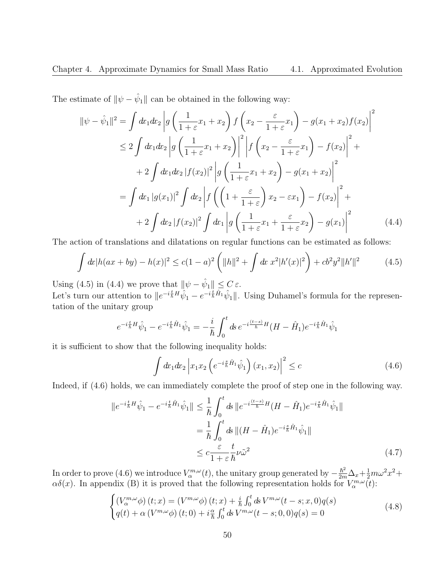The estimate of  $\|\psi - \hat{\psi}_1\|$  can be obtained in the following way:

$$
\|\psi - \hat{\psi}_1\|^2 = \int dx_1 dx_2 \left| g\left(\frac{1}{1+\varepsilon}x_1 + x_2\right) f\left(x_2 - \frac{\varepsilon}{1+\varepsilon}x_1\right) - g(x_1 + x_2)f(x_2) \right|^2
$$
  
\n
$$
\leq 2 \int dx_1 dx_2 \left| g\left(\frac{1}{1+\varepsilon}x_1 + x_2\right) \right|^2 \left| f\left(x_2 - \frac{\varepsilon}{1+\varepsilon}x_1\right) - f(x_2) \right|^2 +
$$
  
\n
$$
+ 2 \int dx_1 dx_2 |f(x_2)|^2 \left| g\left(\frac{1}{1+\varepsilon}x_1 + x_2\right) - g(x_1 + x_2) \right|^2
$$
  
\n
$$
= \int dx_1 |g(x_1)|^2 \int dx_2 \left| f\left(\left(1 + \frac{\varepsilon}{1+\varepsilon}\right)x_2 - \varepsilon x_1\right) - f(x_2) \right|^2 +
$$
  
\n
$$
+ 2 \int dx_2 |f(x_2)|^2 \int dx_1 \left| g\left(\frac{1}{1+\varepsilon}x_1 + \frac{\varepsilon}{1+\varepsilon}x_2\right) - g(x_1) \right|^2 \right|
$$
(4.4)

The action of translations and dilatations on regular functions can be estimated as follows:

$$
\int dx |h(ax + by) - h(x)|^2 \le c(1 - a)^2 \left( ||h||^2 + \int dx \ x^2 |h'(x)|^2 \right) + cb^2 y^2 ||h'||^2 \tag{4.5}
$$

Using (4.5) in (4.4) we prove that  $\|\psi - \hat{\psi}_1\| \leq C \varepsilon$ . Let's turn our attention to  $||e^{-i\frac{t}{\hbar}H}\hat{\psi}_1 - e^{-i\frac{t}{\hbar}\hat{H}_1}\hat{\psi}_1||$ . Using Duhamel's formula for the representation of the unitary group

$$
e^{-i\frac{t}{\hbar}H}\hat{\psi}_1 - e^{-i\frac{t}{\hbar}\hat{H}_1}\hat{\psi}_1 = -\frac{i}{\hbar} \int_0^t ds \, e^{-i\frac{(t-s)}{\hbar}H}(H - \hat{H}_1)e^{-i\frac{s}{\hbar}\hat{H}_1}\hat{\psi}_1
$$

it is sufficient to show that the following inequality holds:

$$
\int dx_1 dx_2 \left| x_1 x_2 \left( e^{-i \frac{s}{\hbar} \hat{H}_1} \hat{\psi}_1 \right) (x_1, x_2) \right|^2 \leq c \tag{4.6}
$$

Indeed, if (4.6) holds, we can immediately complete the proof of step one in the following way.

$$
||e^{-i\frac{t}{\hbar}H}\hat{\psi}_1 - e^{-i\frac{t}{\hbar}\hat{H}_1}\hat{\psi}_1|| \leq \frac{1}{\hbar} \int_0^t ds \, ||e^{-i\frac{(t-s)}{\hbar}H}(H - \hat{H}_1)e^{-i\frac{s}{\hbar}\hat{H}_1}\hat{\psi}_1||
$$
  

$$
= \frac{1}{\hbar} \int_0^t ds \, ||(H - \hat{H}_1)e^{-i\frac{s}{\hbar}\hat{H}_1}\hat{\psi}_1||
$$
  

$$
\leq c \frac{\varepsilon}{1 + \varepsilon} \frac{t}{\hbar} \nu \tilde{\omega}^2
$$
 (4.7)

In order to prove (4.6) we introduce  $V_{\alpha}^{m,\omega}(t)$ , the unitary group generated by  $-\frac{\hbar^2}{2m}\Delta_x + \frac{1}{2}m\omega^2x^2 +$  $\alpha\delta(x)$ . In appendix (B) it is proved that the following representation holds for  $V_{\alpha}^{m,\omega}(t)$ :

$$
\begin{cases}\n(V_{\alpha}^{m,\omega}\phi)(t;x) = (V^{m,\omega}\phi)(t;x) + \frac{i}{\hbar} \int_0^t ds \, V^{m,\omega}(t-s;x,0) q(s) \\
q(t) + \alpha \left(V^{m,\omega}\phi\right)(t;0) + i\frac{\alpha}{\hbar} \int_0^t ds \, V^{m,\omega}(t-s;0,0) q(s) = 0\n\end{cases}
$$
\n(4.8)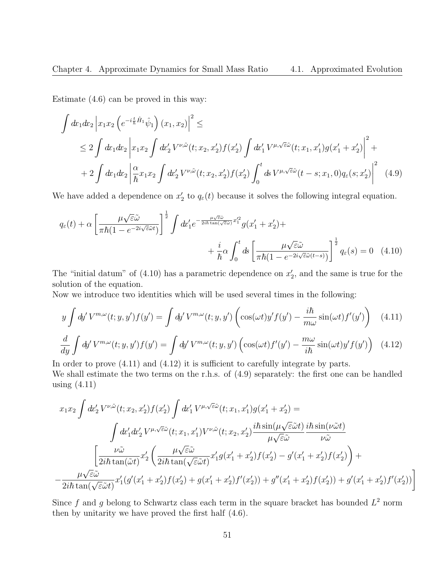Estimate (4.6) can be proved in this way:

$$
\int dx_1 dx_2 \left| x_1 x_2 \left( e^{-i \frac{t}{\hbar} \hat{H}_1} \hat{\psi}_1 \right) (x_1, x_2) \right|^2 \le
$$
\n
$$
\leq 2 \int dx_1 dx_2 \left| x_1 x_2 \int dx'_2 V^{\nu, \tilde{\omega}}(t; x_2, x'_2) f(x'_2) \int dx'_1 V^{\mu, \sqrt{\varepsilon} \tilde{\omega}}(t; x_1, x'_1) g(x'_1 + x'_2) \right|^2 +
$$
\n
$$
+ 2 \int dx_1 dx_2 \left| \frac{\alpha}{\hbar} x_1 x_2 \int dx'_2 V^{\nu, \tilde{\omega}}(t; x_2, x'_2) f(x'_2) \int_0^t ds V^{\mu, \sqrt{\varepsilon} \tilde{\omega}}(t - s; x_1, 0) q_{\varepsilon}(s; x'_2) \right|^2 \tag{4.9}
$$

We have added a dependence on  $x_2'$  to  $q_{\varepsilon}(t)$  because it solves the following integral equation.

$$
q_{\varepsilon}(t) + \alpha \left[ \frac{\mu \sqrt{\varepsilon} \tilde{\omega}}{\pi \hbar (1 - e^{-2i\sqrt{\varepsilon} \tilde{\omega} t})} \right]^{\frac{1}{2}} \int dx_1' e^{-\frac{\mu \sqrt{\varepsilon} \tilde{\omega}}{2i\hbar \tan(\sqrt{\varepsilon} \tilde{\omega})} x_1'^2} g(x_1' + x_2') +
$$

$$
+ \frac{i}{\hbar} \alpha \int_0^t ds \left[ \frac{\mu \sqrt{\varepsilon} \tilde{\omega}}{\pi \hbar (1 - e^{-2i\sqrt{\varepsilon} \tilde{\omega}(t - s)})} \right]^{\frac{1}{2}} q_{\varepsilon}(s) = 0 \quad (4.10)
$$

The "initial datum" of  $(4.10)$  has a parametric dependence on  $x_2'$ , and the same is true for the solution of the equation.

Now we introduce two identities which will be used several times in the following:

$$
y \int dy' V^{m,\omega}(t;y,y') f(y') = \int dy' V^{m,\omega}(t;y,y') \left( \cos(\omega t) y' f(y') - \frac{i\hbar}{m\omega} \sin(\omega t) f'(y') \right) \tag{4.11}
$$

$$
\frac{d}{dy} \int dy' V^{m,\omega}(t; y, y') f(y') = \int dy' V^{m,\omega}(t; y, y') \left( \cos(\omega t) f'(y') - \frac{m\omega}{i\hbar} \sin(\omega t) y' f(y') \right) \tag{4.12}
$$

In order to prove  $(4.11)$  and  $(4.12)$  it is sufficient to carefully integrate by parts.

We shall estimate the two terms on the r.h.s. of  $(4.9)$  separately: the first one can be handled using  $(4.11)$ 

$$
x_1x_2 \int dx_2' V^{\nu,\tilde{\omega}}(t; x_2, x_2') f(x_2') \int dx_1' V^{\mu,\sqrt{\varepsilon\tilde{\omega}}}(t; x_1, x_1') g(x_1' + x_2') =
$$
  

$$
\int dx_1' dx_2' V^{\mu,\sqrt{\varepsilon\tilde{\omega}}}(t; x_1, x_1') V^{\nu,\tilde{\omega}}(t; x_2, x_2') \frac{i\hbar \sin(\mu \sqrt{\varepsilon\tilde{\omega}}t)}{\mu \sqrt{\varepsilon\tilde{\omega}}} \frac{i\hbar \sin(\nu\tilde{\omega}t)}{\nu\tilde{\omega}}
$$
  

$$
\left[ \frac{\nu\tilde{\omega}}{2i\hbar \tan(\tilde{\omega}t)} x_2' \left( \frac{\mu \sqrt{\varepsilon\tilde{\omega}}}{2i\hbar \tan(\sqrt{\varepsilon\tilde{\omega}}t)} x_1' g(x_1' + x_2') f(x_2') - g'(x_1' + x_2') f(x_2') \right) +
$$
  

$$
-\frac{\mu \sqrt{\varepsilon\tilde{\omega}}}{2i\hbar \tan(\sqrt{\varepsilon\tilde{\omega}}t)} x_1' (g'(x_1' + x_2') f(x_2') + g(x_1' + x_2') f'(x_2')) + g''(x_1' + x_2') f(x_2')) + g'(x_1' + x_2') f'(x_2')) \right]
$$

Since f and g belong to Schwartz class each term in the square bracket has bounded  $L^2$  norm then by unitarity we have proved the first half (4.6).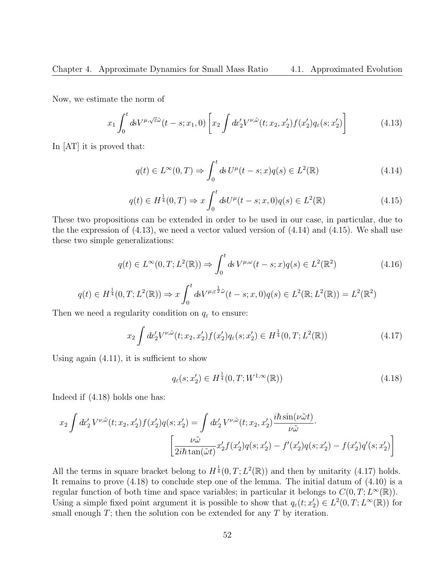Now, we estimate the norm of

$$
x_1 \int_0^t ds V^{\mu,\sqrt{\varepsilon}\tilde{\omega}}(t-s; x_1, 0) \left[ x_2 \int dt'_2 V^{\nu,\tilde{\omega}}(t; x_2, x'_2) f(x'_2) q_{\varepsilon}(s; x'_2) \right]
$$
(4.13)

In [AT] it is proved that:

$$
q(t) \in L^{\infty}(0,T) \Rightarrow \int_0^t ds \, U^{\mu}(t-s;x)q(s) \in L^2(\mathbb{R}) \tag{4.14}
$$

$$
q(t) \in H^{\frac{1}{4}}(0,T) \Rightarrow x \int_0^t ds U^{\mu}(t-s; x,0) q(s) \in L^2(\mathbb{R})
$$
\n(4.15)

These two propositions can be extended in order to be used in our case, in particular, due to the the expression of  $(4.13)$ , we need a vector valued version of  $(4.14)$  and  $(4.15)$ . We shall use these two simple generalizations:

$$
q(t) \in L^{\infty}(0, T; L^{2}(\mathbb{R})) \Rightarrow \int_{0}^{t} ds V^{\mu,\omega}(t-s; x) q(s) \in L^{2}(\mathbb{R}^{2})
$$
\n(4.16)

$$
q(t) \in H^{\frac{1}{4}}(0,T;L^{2}(\mathbb{R})) \Rightarrow x \int_{0}^{t} ds V^{\mu,\varepsilon^{\frac{1}{2}}\tilde{\omega}}(t-s; x,0) q(s) \in L^{2}(\mathbb{R};L^{2}(\mathbb{R})) = L^{2}(\mathbb{R}^{2})
$$

Then we need a regularity condition on  $q_{\varepsilon}$  to ensure:

$$
x_2 \int dx'_2 V^{\nu,\tilde{\omega}}(t; x_2, x'_2) f(x'_2) q_{\varepsilon}(s; x'_2) \in H^{\frac{1}{4}}(0, T; L^2(\mathbb{R}))
$$
\n(4.17)

Using again  $(4.11)$ , it is sufficient to show

$$
q_{\varepsilon}(s; x_2') \in H^{\frac{1}{4}}(0, T; W^{1, \infty}(\mathbb{R}))
$$
\n(4.18)

Indeed if (4.18) holds one has:

$$
x_2 \int d\mathbf{r}_2' V^{\nu,\tilde{\omega}}(t;x_2,x_2') f(x_2') q(s;x_2') = \int d\mathbf{r}_2' V^{\nu,\tilde{\omega}}(t;x_2,x_2') \frac{i\hbar \sin(\nu\tilde{\omega} t)}{\nu\tilde{\omega}}.
$$

$$
\left[ \frac{\nu\tilde{\omega}}{2i\hbar \tan(\tilde{\omega} t)} x_2' f(x_2') q(s;x_2') - f'(x_2') q(s;x_2') - f(x_2') q'(s;x_2') \right]
$$

All the terms in square bracket belong to  $H^{\frac{1}{4}}(0,T;L^2(\mathbb{R}))$  and then by unitarity (4.17) holds. It remains to prove (4.18) to conclude step one of the lemma. The initial datum of (4.10) is a regular function of both time and space variables; in particular it belongs to  $C(0,T;L^{\infty}(\mathbb{R}))$ . Using a simple fixed point argument it is possible to show that  $q_{\varepsilon}(t; x_2') \in L^2(0, T; L^{\infty}(\mathbb{R}))$  for small enough  $T$ ; then the solution con be extended for any  $T$  by iteration.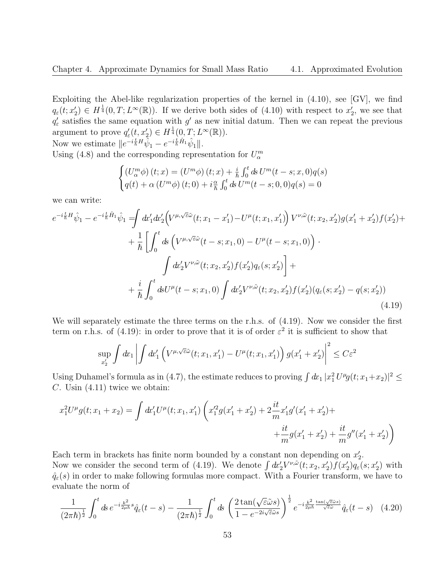Exploiting the Abel-like regularization properties of the kernel in (4.10), see [GV], we find  $q_{\varepsilon}(t; x_2') \in H^{\frac{1}{4}}(0,T; L^{\infty}(\mathbb{R}))$ . If we derive both sides of (4.10) with respect to  $x_2'$ , we see that  $q'_{\varepsilon}$  satisfies the same equation with  $g'$  as new initial datum. Then we can repeat the previous argument to prove  $q'_{\varepsilon}(t, x'_{2}) \in H^{\frac{1}{4}}(0, T; L^{\infty}(\mathbb{R}))$ . Now we estimate  $||e^{-i\frac{t}{\hbar}H}\hat{\psi}_1 - e^{-i\frac{t}{\hbar}\hat{H}_1}\hat{\psi}_1||$ .

Using (4.8) and the corresponding representation for  $U^m_\alpha$ 

$$
\begin{cases}\n(U_{\alpha}^{m}\phi)(t;x) = (U^{m}\phi)(t;x) + \frac{i}{\hbar} \int_{0}^{t} ds \, U^{m}(t-s;x,0)q(s) \\
q(t) + \alpha \left( U^{m}\phi \right)(t;0) + i\frac{\alpha}{\hbar} \int_{0}^{t} ds \, U^{m}(t-s;0,0)q(s) = 0\n\end{cases}
$$

we can write:

$$
e^{-i\frac{t}{\hbar}H}\hat{\psi}_{1} - e^{-i\frac{t}{\hbar}\hat{H}_{1}}\hat{\psi}_{1} = \int dx'_{1}dx'_{2} \Big( V^{\mu,\sqrt{\varepsilon\tilde{\omega}}}(t;x_{1}-x'_{1}) - U^{\mu}(t;x_{1},x'_{1}) \Big) V^{\nu,\tilde{\omega}}(t;x_{2},x'_{2}) g(x'_{1}+x'_{2}) f(x'_{2}) +
$$
  
+ 
$$
\frac{1}{\hbar} \left[ \int_{0}^{t} ds \Big( V^{\mu,\sqrt{\varepsilon\tilde{\omega}}}(t-s;x_{1},0) - U^{\mu}(t-s;x_{1},0) \Big) \cdot \int dx'_{2} V^{\nu,\tilde{\omega}}(t;x_{2},x'_{2}) f(x'_{2}) q_{\varepsilon}(s;x'_{2}) \right] +
$$
  
+ 
$$
\frac{i}{\hbar} \int_{0}^{t} ds U^{\mu}(t-s;x_{1},0) \int dx'_{2} V^{\nu,\tilde{\omega}}(t;x_{2},x'_{2}) f(x'_{2}) (q_{\varepsilon}(s;x'_{2}) - q(s;x'_{2})) \tag{4.19}
$$

We will separately estimate the three terms on the r.h.s. of  $(4.19)$ . Now we consider the first term on r.h.s. of (4.19): in order to prove that it is of order  $\varepsilon^2$  it is sufficient to show that

$$
\sup_{x_2'} \int dx_1 \left| \int dx_1' \left( V^{\mu,\sqrt{\varepsilon} \tilde{\omega}}(t;x_1,x_1') - U^{\mu}(t;x_1,x_1') \right) g(x_1' + x_2') \right|^2 \leq C \varepsilon^2
$$

Using Duhamel's formula as in (4.7), the estimate reduces to proving  $\int dx_1 |x_1^2 U^{\mu} g(t; x_1+x_2)|^2 \leq$ C. Usin  $(4.11)$  twice we obtain:

$$
x_1^2 U^{\mu} g(t; x_1 + x_2) = \int dx_1' U^{\mu}(t; x_1, x_1') \left( x_1'^2 g(x_1' + x_2') + 2 \frac{it}{m} x_1' g'(x_1' + x_2') + \frac{it}{m} g(x_1' + x_2') + \frac{it}{m} g'(x_1' + x_2') \right)
$$

Each term in brackets has finite norm bounded by a constant non depending on  $x_2'$ . Now we consider the second term of (4.19). We denote  $\int dx'_2 V^{\nu,\tilde{\omega}}(t; x_2, x'_2) f(x'_2) q_{\varepsilon}(s; x'_2)$  with  $\hat{q}_{\varepsilon}(s)$  in order to make following formulas more compact. With a Fourier transform, we have to evaluate the norm of

$$
\frac{1}{(2\pi\hbar)^{\frac{1}{2}}} \int_0^t ds \, e^{-i\frac{k^2}{2\mu\hbar}s} \hat{q}_{\varepsilon}(t-s) - \frac{1}{(2\pi\hbar)^{\frac{1}{2}}} \int_0^t ds \, \left(\frac{2\tan(\sqrt{\varepsilon}\tilde{\omega}s)}{1 - e^{-2i\sqrt{\varepsilon}\tilde{\omega}s}}\right)^{\frac{1}{2}} e^{-i\frac{k^2}{2\mu\hbar}\frac{\tan(\sqrt{\varepsilon}\tilde{\omega}s)}{\sqrt{\varepsilon}\tilde{\omega}}} \hat{q}_{\varepsilon}(t-s) \tag{4.20}
$$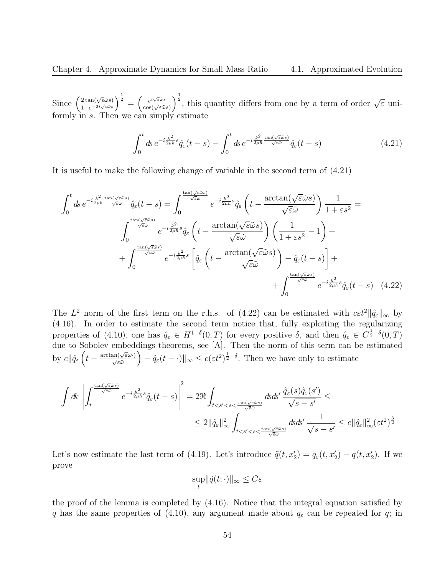Since  $\left(\frac{2\tan(\sqrt{\varepsilon}\tilde{\omega}s)}{1-e^{-2i\sqrt{\varepsilon}\tilde{\omega}s}}\right)$  $\frac{2\tan(\sqrt{\varepsilon}\tilde{\omega}s)}{1-e^{-2i\sqrt{\varepsilon}\tilde{\omega}s}}\bigg)^{\frac{1}{2}}=\bigg(\frac{e^{i\sqrt{\varepsilon}\tilde{\omega}s}}{\cos(\sqrt{\varepsilon}\tilde{\omega})}$  $\frac{e^{i\sqrt{\varepsilon}\tilde{\omega}s}}{\cos(\sqrt{\varepsilon}\tilde{\omega}s)}\Big)^{\frac{1}{2}}$ , this quantity differs from one by a term of order  $\sqrt{\varepsilon}$  uniformly in s. Then we can simply estimate

$$
\int_0^t ds \, e^{-i\frac{k^2}{2\mu\hbar}s} \hat{q}_{\varepsilon}(t-s) - \int_0^t ds \, e^{-i\frac{k^2}{2\mu\hbar}\frac{\tan(\sqrt{\varepsilon}\tilde{\omega}s)}{\sqrt{\varepsilon}\tilde{\omega}}} \hat{q}_{\varepsilon}(t-s) \tag{4.21}
$$

It is useful to make the following change of variable in the second term of (4.21)

$$
\int_{0}^{t} ds \, e^{-i \frac{k^{2}}{2\mu\hbar} \frac{\tan(\sqrt{\varepsilon}\tilde{\omega}s)}{\sqrt{\varepsilon}\tilde{\omega}}} \hat{q}_{\varepsilon}(t-s) = \int_{0}^{\frac{\tan(\sqrt{\varepsilon}\tilde{\omega}s)}{\sqrt{\varepsilon}\tilde{\omega}}} e^{-i \frac{k^{2}}{2\mu\hbar}s} \hat{q}_{\varepsilon}\left(t - \frac{\arctan(\sqrt{\varepsilon}\tilde{\omega}s)}{\sqrt{\varepsilon}\tilde{\omega}}\right) \frac{1}{1 + \varepsilon s^{2}} =
$$
\n
$$
\int_{0}^{\frac{\tan(\sqrt{\varepsilon}\tilde{\omega}s)}{\sqrt{\varepsilon}\tilde{\omega}}} e^{-i \frac{k^{2}}{2\mu\hbar}s} \hat{q}_{\varepsilon}\left(t - \frac{\arctan(\sqrt{\varepsilon}\tilde{\omega}s)}{\sqrt{\varepsilon}\tilde{\omega}}\right) \left(\frac{1}{1 + \varepsilon s^{2}} - 1\right) +
$$
\n
$$
+ \int_{0}^{\frac{\tan(\sqrt{\varepsilon}\tilde{\omega}s)}{\sqrt{\varepsilon}\tilde{\omega}}} e^{-i \frac{k^{2}}{2\mu\hbar}s} \left[\hat{q}_{\varepsilon}\left(t - \frac{\arctan(\sqrt{\varepsilon}\tilde{\omega}s)}{\sqrt{\varepsilon}\tilde{\omega}}\right) - \hat{q}_{\varepsilon}(t - s)\right] +
$$
\n
$$
+ \int_{0}^{\frac{\tan(\sqrt{\varepsilon}\tilde{\omega}s)}{\sqrt{\varepsilon}\tilde{\omega}}} e^{-i \frac{k^{2}}{2\mu\hbar}s} \hat{q}_{\varepsilon}(t - s) \quad (4.22)
$$

The  $L^2$  norm of the first term on the r.h.s. of (4.22) can be estimated with  $c \epsilon t^2 ||\hat{q}_{\epsilon}||_{\infty}$  by (4.16). In order to estimate the second term notice that, fully exploiting the regularizing properties of (4.10), one has  $\hat{q}_{\varepsilon} \in H^{1-\delta}(0,T)$  for every positive  $\delta$ , and then  $\hat{q}_{\varepsilon} \in C^{\frac{1}{2}-\delta}(0,T)$ due to Sobolev embeddings theorems, see [A]. Then the norm of this term can be estimated by  $c\|\hat{q}_{\varepsilon}\left(t - \frac{\arctan(\sqrt{\varepsilon}\tilde{\omega}\cdot)}{\sqrt{\varepsilon}\tilde{\omega}}\right) - \hat{q}_{\varepsilon}(t-\cdot)\|_{\infty} \leq c(\varepsilon t^2)^{\frac{1}{2}-\delta}$ . Then we have only to estimate

$$
\begin{split} \int d\!k\, \left| \int_{t}^{\frac{\tan(\sqrt{\varepsilon}\tilde{\omega} s)}{\sqrt{\varepsilon}\tilde{\omega}}} e^{-i\frac{k^2}{2\mu\hbar}s} \hat{q}_{\varepsilon}(t-s) \right|^2 &= 2\Re \int_{t
$$

Let's now estimate the last term of (4.19). Let's introduce  $\tilde{q}(t, x_2') = q_{\varepsilon}(t, x_2') - q(t, x_2')$ . If we prove

$$
\sup_t \lVert \tilde{q}(t;\cdot)\rVert_\infty \leq C \varepsilon
$$

the proof of the lemma is completed by (4.16). Notice that the integral equation satisfied by q has the same properties of (4.10), any argument made about  $q_{\varepsilon}$  can be repeated for q; in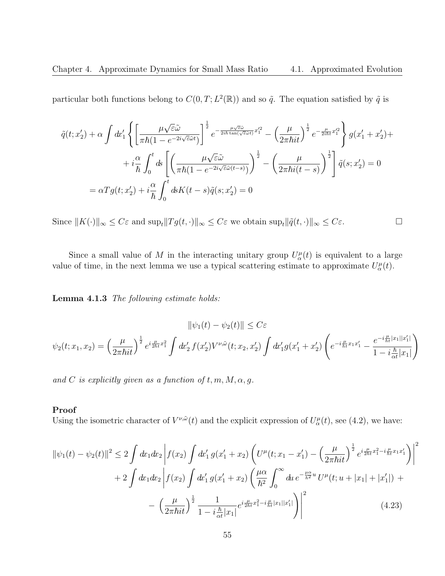particular both functions belong to  $C(0,T;L^2(\mathbb{R}))$  and so  $\tilde{q}$ . The equation satisfied by  $\tilde{q}$  is

$$
\tilde{q}(t;x_2') + \alpha \int dx_1' \left\{ \left[ \frac{\mu \sqrt{\varepsilon} \tilde{\omega}}{\pi \hbar (1 - e^{-2i\sqrt{\varepsilon} \tilde{\omega} t})} \right]^{\frac{1}{2}} e^{-\frac{\mu \sqrt{\varepsilon} \tilde{\omega}}{2i\hbar \tan(\sqrt{\varepsilon} \tilde{\omega} t)} x_1'^2} - \left( \frac{\mu}{2\pi \hbar i t} \right)^{\frac{1}{2}} e^{-\frac{\mu}{2i\hbar t} x_1'^2} \right\} g(x_1' + x_2') +
$$
\n
$$
+ i \frac{\alpha}{\hbar} \int_0^t ds \left[ \left( \frac{\mu \sqrt{\varepsilon} \tilde{\omega}}{\pi \hbar (1 - e^{-2i\sqrt{\varepsilon} \tilde{\omega}(t - s)})} \right)^{\frac{1}{2}} - \left( \frac{\mu}{2\pi \hbar i(t - s)} \right)^{\frac{1}{2}} \right] \tilde{q}(s; x_2') = 0
$$
\n
$$
= \alpha T g(t; x_2') + i \frac{\alpha}{\hbar} \int_0^t ds K(t - s) \tilde{q}(s; x_2') = 0
$$

Since  $||K(\cdot)||_{\infty} \leq C\varepsilon$  and  $\sup_t ||Tg(t, \cdot)||_{\infty} \leq C\varepsilon$  we obtain  $\sup_t ||\tilde{q}(t, \cdot)||_{\infty} \leq C\varepsilon$ .

Since a small value of M in the interacting unitary group  $U^{\mu}_{\alpha}(t)$  is equivalent to a large value of time, in the next lemma we use a typical scattering estimate to approximate  $U^{\mu}_{\alpha}(t)$ .

Lemma 4.1.3 The following estimate holds:

$$
\|\psi_1(t) - \psi_2(t)\| \le C\varepsilon
$$
  

$$
\psi_2(t; x_1, x_2) = \left(\frac{\mu}{2\pi\hbar i t}\right)^{\frac{1}{2}} e^{i\frac{\mu}{2\hbar i}x_1^2} \int dx_2' f(x_2') V^{\nu, \tilde{\omega}}(t; x_2, x_2') \int dx_1' g(x_1' + x_2') \left(e^{-i\frac{\mu}{\hbar i}x_1 x_1'} - \frac{e^{-i\frac{\mu}{\hbar i}|x_1||x_1'|}}{1 - i\frac{\hbar}{\alpha t}|x_1|}\right)
$$

and C is explicitly given as a function of  $t, m, M, \alpha, g$ .

#### Proof

Using the isometric character of  $V^{\nu,\tilde{\omega}}(t)$  and the explicit expression of  $U^{\mu}_{\alpha}(t)$ , see (4.2), we have:

$$
\|\psi_1(t) - \psi_2(t)\|^2 \le 2 \int dx_1 dx_2 \left| f(x_2) \int dx'_1 g(x'_1 + x_2) \left( U^\mu(t; x_1 - x'_1) - \left( \frac{\mu}{2\pi \hbar i t} \right)^{\frac{1}{2}} e^{i \frac{\mu}{2\hbar t} x_1^2 - i \frac{\mu}{\hbar t} x_1 x'_1} \right) \right|^2
$$
  
+ 
$$
2 \int dx_1 dx_2 \left| f(x_2) \int dx'_1 g(x'_1 + x_2) \left( \frac{\mu \alpha}{\hbar^2} \int_0^\infty du \, e^{-\frac{\mu \alpha}{\hbar^2} u} U^\mu(t; u + |x_1| + |x'_1|) + \left( \frac{\mu}{2\pi \hbar i t} \right)^{\frac{1}{2}} \frac{1}{1 - i \frac{\hbar}{\alpha t} |x_1|} e^{i \frac{\mu}{2\hbar t} x_1^2 - i \frac{\mu}{\hbar t} |x_1| |x'_1|} \right) \right|^2
$$
(4.23)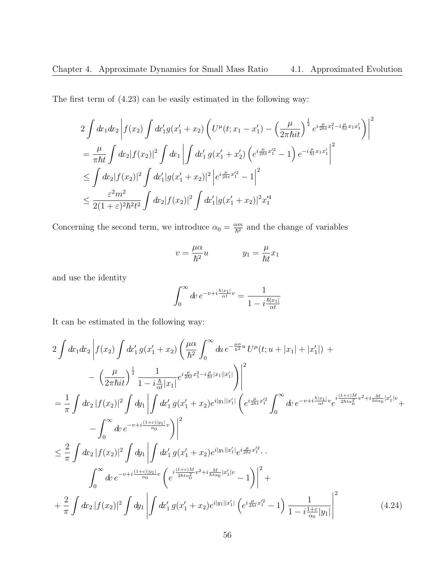The first term of (4.23) can be easily estimated in the following way:

$$
2\int dx_1 dx_2 \left| f(x_2) \int dx_1' g(x_1' + x_2) \left( U^{\mu}(t; x_1 - x_1') - \left( \frac{\mu}{2\pi \hbar i t} \right)^{\frac{1}{2}} e^{i \frac{\mu}{2\hbar t} x_1^2 - i \frac{\mu}{\hbar t} x_1 x_1'} \right) \right|^2
$$
  
\n
$$
= \frac{\mu}{\pi \hbar t} \int dx_2 |f(x_2)|^2 \int dx_1 \left| \int dx_1' g(x_1' + x_2') \left( e^{i \frac{\mu}{2\hbar t} x_1'^2} - 1 \right) e^{-i \frac{\mu}{\hbar t} x_1 x_1'} \right|^2
$$
  
\n
$$
\leq \int dx_2 |f(x_2)|^2 \int dx_1' |g(x_1' + x_2)|^2 \left| e^{i \frac{\mu}{2\hbar t} x_1'^2} - 1 \right|^2
$$
  
\n
$$
\leq \frac{\varepsilon^2 m^2}{2(1 + \varepsilon)^2 \hbar^2 t^2} \int dx_2 |f(x_2)|^2 \int dx_1' |g(x_1' + x_2)|^2 x_1'^4
$$

Concerning the second term, we introduce  $\alpha_0 = \frac{\alpha m}{\hbar^2}$  and the change of variables

$$
v = \frac{\mu \alpha}{\hbar^2} u \qquad \qquad y_1 = \frac{\mu}{\hbar t} x_1
$$

and use the identity

$$
\int_0^\infty dv \, e^{-v + i\frac{\hbar |x_1|}{\alpha t}v} = \frac{1}{1 - i\frac{\hbar |x_1|}{\alpha t}}
$$

It can be estimated in the following way:

$$
2\int dx_1 dx_2 \left| f(x_2) \int dx'_1 g(x'_1 + x_2) \left( \frac{\mu \alpha}{\hbar^2} \int_0^\infty du \, e^{-\frac{\mu \alpha}{\hbar^2} u} U^\mu(t; u + |x_1| + |x'_1|) +
$$
  
\n
$$
- \left( \frac{\mu}{2\pi \hbar i t} \right)^{\frac{1}{2}} \frac{1}{1 - i \frac{\hbar}{\alpha t} |x_1|} e^{i \frac{\mu}{2\hbar i} x_1^2 - i \frac{\mu}{\hbar} |x_1| |x'_1|} \right) \Big|^2
$$
  
\n
$$
= \frac{1}{\pi} \int dx_2 |f(x_2)|^2 \int dy_1 \left| \int dx'_1 g(x'_1 + x_2) e^{i|y_1||x'_1|} \left( e^{i \frac{\mu}{2\hbar i} x_1^2} \int_0^\infty dv \, e^{-v + i \frac{\hbar |x_1|}{\alpha t} v} e^{i \frac{(1+\varepsilon)M}{2\hbar t \alpha_0^2} v^2 + i \frac{M}{\hbar t \alpha_0} |x'_1| v} +
$$
  
\n
$$
- \int_0^\infty dv \, e^{-v + i \frac{(1+\varepsilon)|y_1|}{\alpha_0} v} \right) \Big|^2
$$
  
\n
$$
\leq \frac{2}{\pi} \int dx_2 |f(x_2)|^2 \int dy_1 \left| \int dx'_1 g(x'_1 + x_2) e^{i|y_1||x'_1|} e^{i \frac{\mu}{2\hbar t} x_1^2} \cdot \cdot \cdot
$$
  
\n
$$
\int_0^\infty dv \, e^{-v + i \frac{(1+\varepsilon)|y_1|}{\alpha_0} v} \left( e^{i \frac{(1+\varepsilon)M}{2\hbar t \alpha_0} v^2 + i \frac{M}{\hbar t \alpha_0} |x'_1| v} - 1 \right) \Big|^2 +
$$
  
\n
$$
+ \frac{2}{\pi} \int dx_2 |f(x_2)|^2 \int dy_1 \left| \int dx'_1 g(x'_1 + x_2) e^{i|y_1||x'_1|} \left( e^{i \frac{\mu}{2\hbar t} x_1^2} - 1 \right) \frac{1}{1 - i \frac{1+\vare
$$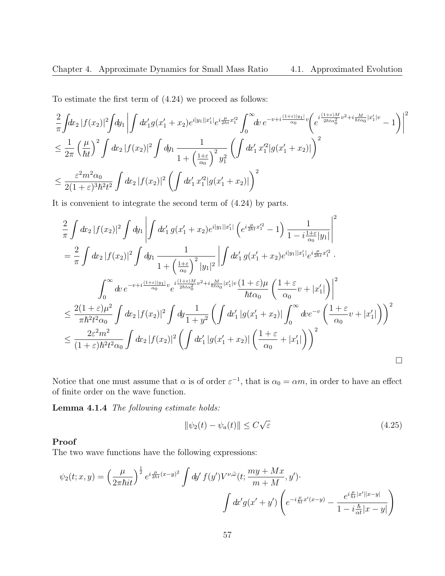To estimate the first term of (4.24) we proceed as follows:

$$
\frac{2}{\pi} \int dx_2 |f(x_2)|^2 \int dy_1 \left| \int dx_1' g(x_1' + x_2) e^{i|y_1||x_1'|} e^{i\frac{\mu}{2\hbar t}x_1'^2} \int_0^\infty dv e^{-v+i\frac{(1+\varepsilon)|y_1|}{\alpha_0}v} \left(e^{i\frac{(1+\varepsilon)M}{2\hbar t\alpha_0}v^2 + i\frac{M}{\hbar t\alpha_0}|x_1'|v} - 1\right) \right|^2
$$
\n
$$
\leq \frac{1}{2\pi} \left(\frac{\mu}{\hbar t}\right)^2 \int dx_2 |f(x_2)|^2 \int dy_1 \frac{1}{1 + \left(\frac{1+\varepsilon}{\alpha_0}\right)^2 y_1^2} \left(\int dx_1' x_1'^2 |g(x_1' + x_2)|\right)^2
$$
\n
$$
\leq \frac{\varepsilon^2 m^2 \alpha_0}{2(1+\varepsilon)^3 \hbar^2 t^2} \int dx_2 |f(x_2)|^2 \left(\int dx_1' x_1'^2 |g(x_1' + x_2)|\right)^2
$$

It is convenient to integrate the second term of (4.24) by parts.

$$
\frac{2}{\pi} \int dx_2 |f(x_2)|^2 \int dy_1 \left| \int dx'_1 g(x'_1 + x_2) e^{i|y_1||x'_1|} \left( e^{i\frac{\mu}{2ht}x_1'^2} - 1 \right) \frac{1}{1 - i\frac{1+\varepsilon}{\alpha_0}|y_1|} \right|^2
$$
\n
$$
= \frac{2}{\pi} \int dx_2 |f(x_2)|^2 \int dy_1 \frac{1}{1 + \left(\frac{1+\varepsilon}{\alpha_0}\right)^2 |y_1|^2} \left| \int dx'_1 g(x'_1 + x_2) e^{i|y_1||x'_1|} e^{i\frac{\mu}{2ht}x_1'^2}.
$$
\n
$$
\int_0^\infty dv e^{-v + i\frac{(1+\varepsilon)|y_1|}{\alpha_0}v} e^{i\frac{(1+\varepsilon)M}{2ht\alpha_0}v^2 + i\frac{M}{ht\alpha_0}|x'_1|v} \frac{(1+\varepsilon)\mu}{\hbar t\alpha_0} \left(\frac{1+\varepsilon}{\alpha_0}v + |x'_1|\right) \right|^2
$$
\n
$$
\leq \frac{2(1+\varepsilon)\mu^2}{\pi\hbar^2 t^2 \alpha_0} \int dx_2 |f(x_2)|^2 \int dy \frac{1}{1 + y^2} \left( \int dx'_1 |g(x'_1 + x_2)| \int_0^\infty dv e^{-v} \left(\frac{1+\varepsilon}{\alpha_0}v + |x'_1|\right) \right)^2
$$
\n
$$
\leq \frac{2\varepsilon^2 m^2}{(1+\varepsilon)\hbar^2 t^2 \alpha_0} \int dx_2 |f(x_2)|^2 \left( \int dx'_1 |g(x'_1 + x_2)| \left(\frac{1+\varepsilon}{\alpha_0} + |x'_1|\right) \right)^2
$$

Notice that one must assume that  $\alpha$  is of order  $\varepsilon^{-1}$ , that is  $\alpha_0 = \alpha m$ , in order to have an effect of finite order on the wave function.

Lemma 4.1.4 The following estimate holds:

$$
\|\psi_2(t) - \psi_a(t)\| \le C\sqrt{\varepsilon}
$$
\n(4.25)

#### Proof

The two wave functions have the following expressions:

$$
\psi_2(t; x, y) = \left(\frac{\mu}{2\pi\hbar i t}\right)^{\frac{1}{2}} e^{i\frac{\mu}{2\hbar t}(x-y)^2} \int dy' f(y') V^{\nu, \tilde{\omega}}(t; \frac{my + Mx}{m+M}, y').
$$

$$
\int dx' g(x' + y') \left(e^{-i\frac{\mu}{\hbar t}x'(x-y)} - \frac{e^{i\frac{\mu}{\hbar t}|x'||x-y|}}{1 - i\frac{\hbar}{\alpha t}|x-y|}\right)
$$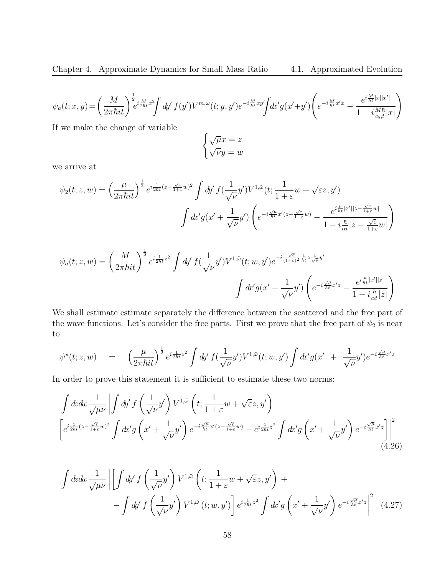Chapter 4. Approximate Dynamics for Small Mass Ratio 4.1. Approximated Evolution

$$
\psi_a(t;x,y)\!=\!\left(\frac{M}{2\pi\hbar i t}\right)^{\frac{1}{2}}\!\!\!\!\!e^{i\frac{M}{2\hbar t}x^2}\!\!\!\!\int dy'\,f(y')V^{m,\omega}(t;y,y')e^{-i\frac{M}{\hbar t}xy'}\!\!\!\!\int\!\!dt'g(x'\!+\!y')\!\left(e^{-i\frac{M}{\hbar t}x'x}-\frac{e^{i\frac{M}{\hbar t}|x||x'|}}{1-i\frac{M\hbar}{\alpha_0 t}|x|}\right)
$$

If we make the change of variable

$$
\begin{cases} \sqrt{\mu}x = z\\ \sqrt{\nu}y = w \end{cases}
$$

we arrive at

$$
\psi_2(t; z, w) = \left(\frac{\mu}{2\pi\hbar i t}\right)^{\frac{1}{2}} e^{i\frac{1}{2\hbar t}(z - \frac{\sqrt{\varepsilon}}{1+\varepsilon}w)^2} \int dy' f(\frac{1}{\sqrt{\nu}}y') V^{1,\tilde{\omega}}(t; \frac{1}{1+\varepsilon}w + \sqrt{\varepsilon}z, y')
$$

$$
\int dx' g(x' + \frac{1}{\sqrt{\nu}}y') \left(e^{-i\frac{\sqrt{\mu}}{\hbar t}x'(z - \frac{\sqrt{\varepsilon}}{1+\varepsilon}w)} - \frac{e^{i\frac{\mu}{\hbar t}|x'||z - \frac{\sqrt{\varepsilon}}{1+\varepsilon}w|}}{1 - i\frac{\hbar}{\alpha t}|z - \frac{\sqrt{\varepsilon}}{1+\varepsilon}w|}\right)
$$

$$
\psi_a(t;z,w) = \left(\frac{M}{2\pi\hbar i t}\right)^{\frac{1}{2}} e^{i\frac{1}{2\hbar i}z^2} \int dy' f(\frac{1}{\sqrt{\nu}}y')V^{1,\tilde{\omega}}(t;w,y') e^{-i\frac{\sqrt{\varepsilon}}{(1+\varepsilon)^2}\frac{1}{\hbar t}z\frac{1}{\sqrt{\nu}}y'}\n\int dx' g(x' + \frac{1}{\sqrt{\nu}}y') \left(e^{-i\frac{\sqrt{\mu}}{\hbar t}x'z} - \frac{e^{i\frac{\mu}{\hbar t}|x'||z|}}{1 - i\frac{\hbar}{\alpha t}|z|}\right)
$$

We shall estimate estimate separately the difference between the scattered and the free part of the wave functions. Let's consider the free parts. First we prove that the free part of  $\psi_2$  is near to

$$
\psi^{\star}(t;z,w) = \left(\frac{\mu}{2\pi\hbar i t}\right)^{\frac{1}{2}} e^{i\frac{1}{2\hbar i}z^{2}} \int dy' f(\frac{1}{\sqrt{\nu}}y')V^{1,\tilde{\omega}}(t;w,y') \int dx' g(x' + \frac{1}{\sqrt{\nu}}y')e^{-i\frac{\sqrt{\mu}}{\hbar t}x'z}
$$

In order to prove this statement it is sufficient to estimate these two norms:

$$
\int dx \, dw \frac{1}{\sqrt{\mu \nu}} \left| \int dy' \, f\left(\frac{1}{\sqrt{\nu}} y'\right) V^{1,\tilde{\omega}} \left(t; \frac{1}{1+\varepsilon} w + \sqrt{\varepsilon} z, y'\right) \right|
$$
\n
$$
\left[ e^{i \frac{1}{2\hbar t} (z - \frac{\sqrt{\varepsilon}}{1+\varepsilon} w)^2} \int dx' g\left(x' + \frac{1}{\sqrt{\nu}} y'\right) e^{-i \frac{\sqrt{\mu}}{\hbar t} x'(z - \frac{\sqrt{\varepsilon}}{1+\varepsilon} w)} - e^{i \frac{1}{2\hbar t} z^2} \int dx' g\left(x' + \frac{1}{\sqrt{\nu}} y'\right) e^{-i \frac{\sqrt{\mu}}{\hbar t} x' z} \right] \right|^2
$$
\n(4.26)

$$
\int dx \, dw \frac{1}{\sqrt{\mu \nu}} \left| \left[ \int dy' f\left(\frac{1}{\sqrt{\nu}} y'\right) V^{1,\tilde{\omega}} \left(t; \frac{1}{1+\varepsilon} w + \sqrt{\varepsilon} z, y'\right) + - \int dy' f\left(\frac{1}{\sqrt{\nu}} y'\right) V^{1,\tilde{\omega}} \left(t; w, y'\right) \right] e^{i\frac{1}{2\hbar t}z^2} \int dx' g\left(x' + \frac{1}{\sqrt{\nu}} y'\right) e^{-i\frac{\sqrt{\mu}}{\hbar t}x'z} \right|^2 \tag{4.27}
$$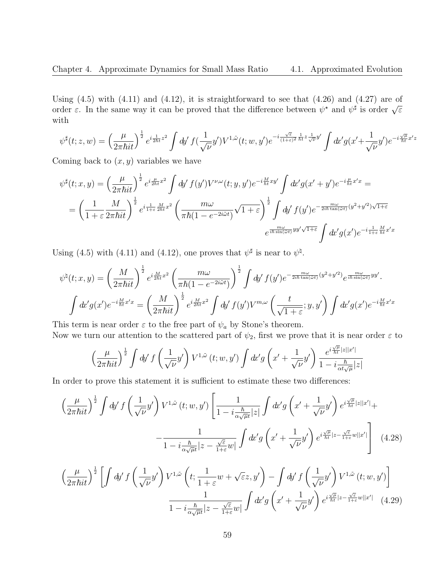Using  $(4.5)$  with  $(4.11)$  and  $(4.12)$ , it is straightforward to see that  $(4.26)$  and  $(4.27)$  are of order  $\varepsilon$ . In the same way it can be proved that the difference between  $\psi^*$  and  $\psi^{\sharp}$  is order  $\sqrt{\varepsilon}$ with

$$
\psi^\sharp(t;z,w)=\left(\frac{\mu}{2\pi\hbar i t}\right)^{\frac{1}{2}}e^{i\frac{1}{2\hbar t}z^2}\int dy'\,f(\frac{1}{\sqrt{\nu}}y')V^{1,\tilde\omega}(t;w,y')e^{-i\frac{\sqrt{\varepsilon}}{(1+\varepsilon)^2}\frac{1}{\hbar t}z\frac{1}{\sqrt{\nu}}y'}\int dx'g(x'+\frac{1}{\sqrt{\nu}}y')e^{-i\frac{\sqrt{\mu}}{\hbar t}x'z}
$$

Coming back to  $(x, y)$  variables we have

$$
\psi^{\sharp}(t;x,y) = \left(\frac{\mu}{2\pi\hbar i t}\right)^{\frac{1}{2}} e^{i\frac{\mu}{2\hbar i}x^{2}} \int dy' f(y') V^{\nu,\omega}(t;y,y') e^{-i\frac{M}{\hbar i}xy'} \int dx' g(x'+y') e^{-i\frac{\mu}{\hbar i}x'x} =
$$
  

$$
= \left(\frac{1}{1+\varepsilon} \frac{M}{2\pi\hbar i t}\right)^{\frac{1}{2}} e^{i\frac{1}{1+\varepsilon} \frac{M}{2\hbar t}x^{2}} \left(\frac{m\omega}{\pi\hbar(1-e^{-2i\tilde{\omega}t})} \sqrt{1+\varepsilon}\right)^{\frac{1}{2}} \int dy' f(y') e^{-\frac{m\omega}{2i\hbar \tan(\tilde{\omega}t)} (y^{2}+y'^{2})\sqrt{1+\varepsilon}} e^{\frac{m\omega}{i\hbar \sin(\tilde{\omega}t)} yy'\sqrt{1+\varepsilon}} \int dx' g(x') e^{-i\frac{1}{1+\varepsilon} \frac{M}{\hbar t}x'x}
$$

Using (4.5) with (4.11) and (4.12), one proves that  $\psi^{\sharp}$  is near to  $\psi^{\sharp}$ .

$$
\psi^{\natural}(t;x,y) = \left(\frac{M}{2\pi\hbar i t}\right)^{\frac{1}{2}} e^{i\frac{M}{2\hbar i}x^{2}} \left(\frac{m\omega}{\pi\hbar(1-e^{-2i\tilde{\omega}t})}\right)^{\frac{1}{2}} \int dy' f(y') e^{-\frac{m\omega}{2i\hbar \tan(\tilde{\omega}t)}(y^{2}+y'^{2})} e^{\frac{m\omega}{i\hbar \sin(\tilde{\omega}t)}yy'}.
$$

$$
\int dx' g(x') e^{-i\frac{M}{\hbar i}x'x} = \left(\frac{M}{2\pi\hbar i t}\right)^{\frac{1}{2}} e^{i\frac{M}{2\hbar i}x^{2}} \int dy' f(y') V^{m,\omega} \left(\frac{t}{\sqrt{1+\varepsilon}}; y, y'\right) \int dx' g(x') e^{-i\frac{M}{\hbar t}x'x}
$$

This term is near order  $\varepsilon$  to the free part of  $\psi_a$  by Stone's theorem. Now we turn our attention to the scattered part of  $\psi_2$ , first we prove that it is near order  $\varepsilon$  to

$$
\left(\frac{\mu}{2\pi\hbar i t}\right)^{\frac{1}{2}}\int dy'\,f\left(\frac{1}{\sqrt{\nu}}y'\right)V^{1,\tilde{\omega}}\left(t; w, y'\right)\int dt' g\left(x'+\frac{1}{\sqrt{\nu}}y'\right)\frac{e^{i\frac{\sqrt{\mu}}{\hbar t}|z||x'|}}{1-i\frac{\hbar}{\alpha t\sqrt{\mu}}|z|}
$$

In order to prove this statement it is sufficient to estimate these two differences:

$$
\left(\frac{\mu}{2\pi\hbar i t}\right)^{\frac{1}{2}} \int dy' f\left(\frac{1}{\sqrt{\nu}} y'\right) V^{1,\tilde{\omega}}(t; w, y') \left[\frac{1}{1 - i\frac{\hbar}{\alpha\sqrt{\mu}t} |z|} \int dx' g\left(x' + \frac{1}{\sqrt{\nu}} y'\right) e^{i\frac{\sqrt{\mu}}{\hbar t} |z||x'|} + \frac{1}{1 - i\frac{\hbar}{\alpha\sqrt{\mu}t} |z - \frac{\sqrt{\varepsilon}}{1 + \varepsilon} w|} \int dx' g\left(x' + \frac{1}{\sqrt{\nu}} y'\right) e^{i\frac{\sqrt{\mu}}{\hbar t} |z - \frac{\sqrt{\varepsilon}}{1 + \varepsilon} w||x'|} \right] \tag{4.28}
$$

$$
\left(\frac{\mu}{2\pi\hbar i t}\right)^{\frac{1}{2}} \left[\int dy' f\left(\frac{1}{\sqrt{\nu}}y'\right) V^{1,\tilde{\omega}}\left(t; \frac{1}{1+\varepsilon}w+\sqrt{\varepsilon}z, y'\right) - \int dy' f\left(\frac{1}{\sqrt{\nu}}y'\right) V^{1,\tilde{\omega}}\left(t; w, y'\right)\right] \frac{1}{1-i\frac{\hbar}{\alpha\sqrt{\mu}t}|z-\frac{\sqrt{\varepsilon}}{1+\varepsilon}w|} \int dx' g\left(x'+\frac{1}{\sqrt{\nu}}y'\right) e^{i\frac{\sqrt{\mu}}{\hbar t}|z-\frac{\sqrt{\varepsilon}}{1+\varepsilon}w||x'|} \quad (4.29)
$$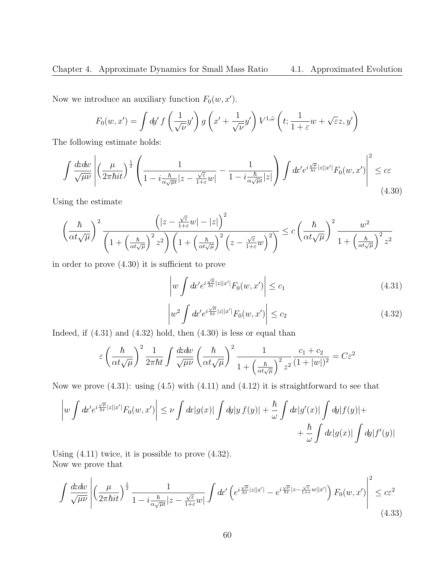Chapter 4. Approximate Dynamics for Small Mass Ratio 4.1. Approximated Evolution

Now we introduce an auxiliary function  $F_0(w, x')$ .

$$
F_0(w, x') = \int dy' f\left(\frac{1}{\sqrt{\nu}} y'\right) g\left(x' + \frac{1}{\sqrt{\nu}} y'\right) V^{1, \tilde{\omega}}\left(t; \frac{1}{1+\varepsilon} w + \sqrt{\varepsilon} z, y'\right)
$$

The following estimate holds:

$$
\int \frac{dx \, dw}{\sqrt{\mu \nu}} \left| \left( \frac{\mu}{2\pi \hbar i t} \right)^{\frac{1}{2}} \left( \frac{1}{1 - i \frac{\hbar}{\alpha \sqrt{\mu} t} |z - \frac{\sqrt{\varepsilon}}{1 + \varepsilon} w|} - \frac{1}{1 - i \frac{\hbar}{\alpha \sqrt{\mu} t} |z|} \right) \int dx' e^{i \frac{\sqrt{\mu}}{\hbar t} |z| |x'|} F_0(w, x') \right|^2 \leq c\varepsilon
$$
\n(4.30)

Using the estimate

$$
\left(\frac{\hbar}{\alpha t \sqrt{\mu}}\right)^2 \frac{\left(|z - \frac{\sqrt{\varepsilon}}{1+\varepsilon}w| - |z|\right)^2}{\left(1 + \left(\frac{\hbar}{\alpha t \sqrt{\mu}}\right)^2 z^2\right) \left(1 + \left(\frac{\hbar}{\alpha t \sqrt{\mu}}\right)^2 \left(z - \frac{\sqrt{\varepsilon}}{1+\varepsilon}w\right)^2\right)} \leq c \left(\frac{\hbar}{\alpha t \sqrt{\mu}}\right)^2 \frac{w^2}{1 + \left(\frac{\hbar}{\alpha t \sqrt{\mu}}\right)^2 z^2}
$$

in order to prove (4.30) it is sufficient to prove

$$
\left| w \int dv' e^{i \frac{\sqrt{\mu}}{\hbar t} |z| |x'|} F_0(w, x') \right| \le c_1 \tag{4.31}
$$

$$
\left| w^2 \int dv' e^{i \frac{\sqrt{\mu}}{\hbar t} |z| |x'|} F_0(w, x') \right| \le c_2 \tag{4.32}
$$

Indeed, if  $(4.31)$  and  $(4.32)$  hold, then  $(4.30)$  is less or equal than

$$
\varepsilon \left(\frac{\hbar}{\alpha t \sqrt{\mu}}\right)^2 \frac{1}{2\pi \hbar t} \int \frac{dz dv}{\sqrt{\mu \nu}} \left(\frac{\hbar}{\alpha t \sqrt{\mu}}\right)^2 \frac{1}{1 + \left(\frac{\hbar}{\alpha t \sqrt{\mu}}\right)^2 z^2} \frac{c_1 + c_2}{(1 + |w|)^2} = C\varepsilon^2
$$

Now we prove  $(4.31)$ : using  $(4.5)$  with  $(4.11)$  and  $(4.12)$  it is straightforward to see that

$$
\left|w\int dv'e^{i\frac{\sqrt{\mu}}{\hbar t}|z||x'|}F_0(w,x')\right|\leq\nu\int dv|g(x)|\int dy|y\,f(y)|+\frac{\hbar}{\omega}\int dv|g'(x)|\int dy|f(y)|+\frac{\hbar}{\omega}\int dv|g(x)|\int dy|f'(y)|
$$

Using (4.11) twice, it is possible to prove (4.32). Now we prove that

$$
\int \frac{dz dv}{\sqrt{\mu\nu}} \left| \left(\frac{\mu}{2\pi\hbar i t}\right)^{\frac{1}{2}} \frac{1}{1 - i\frac{\hbar}{\alpha\sqrt{\mu}t} |z - \frac{\sqrt{\varepsilon}}{1+\varepsilon}w|} \int dt' \left(e^{i\frac{\sqrt{\mu}}{\hbar t}|z||x'|} - e^{i\frac{\sqrt{\mu}}{\hbar t}|z - \frac{\sqrt{\varepsilon}}{1+\varepsilon}w||x'|}\right) F_0(w, x') \right|^2 \leq c\varepsilon^2
$$
\n(4.33)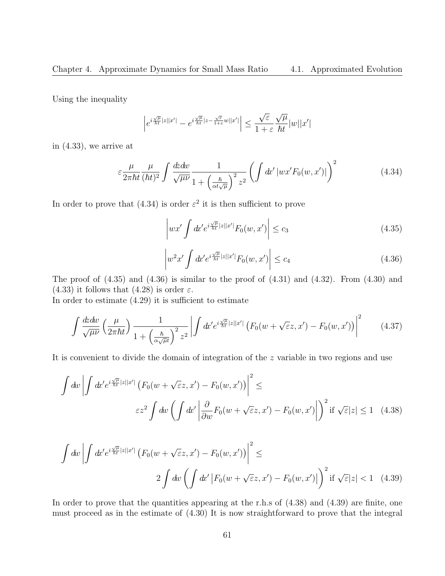Using the inequality

$$
\left|e^{i\frac{\sqrt{\mu}}{\hbar t}|z||x'|}-e^{i\frac{\sqrt{\mu}}{\hbar t}|z-\frac{\sqrt{\varepsilon}}{1+\varepsilon}w||x'|}\right|\leq \frac{\sqrt{\varepsilon}}{1+\varepsilon}\frac{\sqrt{\mu}}{\hbar t}|w||x'|
$$

in (4.33), we arrive at

$$
\varepsilon \frac{\mu}{2\pi\hbar t} \frac{\mu}{(\hbar t)^2} \int \frac{dz dv}{\sqrt{\mu\nu}} \frac{1}{1 + \left(\frac{\hbar}{\alpha t \sqrt{\mu}}\right)^2 z^2} \left(\int dv' |wx' F_0(w, x')|\right)^2 \tag{4.34}
$$

In order to prove that (4.34) is order  $\varepsilon^2$  it is then sufficient to prove

$$
\left| wx' \int dx' e^{i \frac{\sqrt{\mu}}{\hbar t} |z| |x'|} F_0(w, x') \right| \le c_3 \tag{4.35}
$$

$$
\left| w^2 x' \int dx' e^{i \frac{\sqrt{\mu}}{\hbar t} |z| |x'|} F_0(w, x') \right| \le c_4 \tag{4.36}
$$

The proof of  $(4.35)$  and  $(4.36)$  is similar to the proof of  $(4.31)$  and  $(4.32)$ . From  $(4.30)$  and (4.33) it follows that (4.28) is order  $\varepsilon$ .

In order to estimate (4.29) it is sufficient to estimate

$$
\int \frac{dz dv}{\sqrt{\mu\nu}} \left(\frac{\mu}{2\pi\hbar t}\right) \frac{1}{1 + \left(\frac{\hbar}{\alpha\sqrt{\mu}t}\right)^2 z^2} \left| \int dx' e^{i\frac{\sqrt{\mu}}{\hbar t}|z||x'|} \left(F_0(w + \sqrt{\varepsilon}z, x') - F_0(w, x')\right) \right|^2 \tag{4.37}
$$

It is convenient to divide the domain of integration of the z variable in two regions and use

$$
\int dw \left| \int dv' e^{i \frac{\sqrt{\mu}}{\hbar t} |z||x'|} \left( F_0(w + \sqrt{\varepsilon} z, x') - F_0(w, x') \right) \right|^2 \le
$$
  

$$
\varepsilon z^2 \int dw \left( \int dx' \left| \frac{\partial}{\partial w} F_0(w + \sqrt{\varepsilon} z, x') - F_0(w, x') \right| \right)^2 \text{if } \sqrt{\varepsilon} |z| \le 1 \quad (4.38)
$$

$$
\int dw \left| \int dv' e^{i \frac{\sqrt{\mu}}{\hbar t} |z||x'|} \left( F_0(w + \sqrt{\varepsilon} z, x') - F_0(w, x') \right) \right|^2 \le
$$
  

$$
2 \int dw \left( \int dv' \left| F_0(w + \sqrt{\varepsilon} z, x') - F_0(w, x') \right| \right)^2 \text{if } \sqrt{\varepsilon} |z| < 1 \quad (4.39)
$$

In order to prove that the quantities appearing at the r.h.s of  $(4.38)$  and  $(4.39)$  are finite, one must proceed as in the estimate of (4.30) It is now straightforward to prove that the integral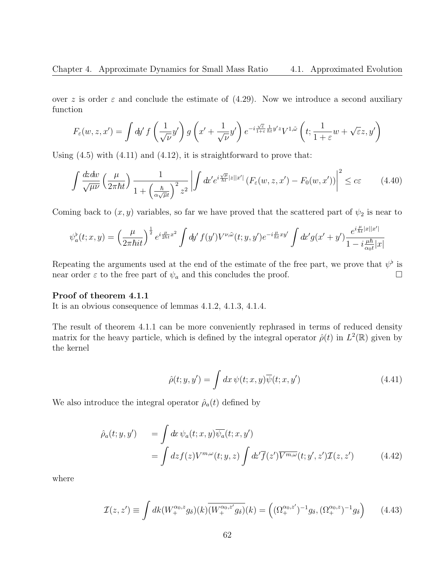over z is order  $\varepsilon$  and conclude the estimate of (4.29). Now we introduce a second auxiliary function

$$
F_{\varepsilon}(w, z, x') = \int dy' f\left(\frac{1}{\sqrt{\nu}}y'\right)g\left(x' + \frac{1}{\sqrt{\nu}}y'\right)e^{-i\frac{\sqrt{\varepsilon}}{1+\varepsilon}\frac{1}{\hbar t}y'z}V^{1, \tilde{\omega}}\left(t; \frac{1}{1+\varepsilon}w + \sqrt{\varepsilon}z, y'\right)
$$

Using  $(4.5)$  with  $(4.11)$  and  $(4.12)$ , it is straightforward to prove that:

$$
\int \frac{dxdw}{\sqrt{\mu\nu}} \left(\frac{\mu}{2\pi\hbar t}\right) \frac{1}{1 + \left(\frac{\hbar}{\alpha\sqrt{\mu}t}\right)^2 z^2} \left| \int dt' e^{i\frac{\sqrt{\mu}}{\hbar t}|z||x'|} \left(F_\varepsilon(w, z, x') - F_0(w, x')\right) \right|^2 \leq c\varepsilon \tag{4.40}
$$

Coming back to  $(x, y)$  variables, so far we have proved that the scattered part of  $\psi_2$  is near to

$$
\psi_a^{\flat}(t;x,y) = \left(\frac{\mu}{2\pi\hbar i t}\right)^{\frac{1}{2}} e^{i\frac{\mu}{2\hbar t}x^2} \int dy' f(y') V^{\nu,\tilde{\omega}}(t;y,y') e^{-i\frac{\mu}{\hbar t}xy'} \int dx' g(x'+y') \frac{e^{i\frac{\mu}{\hbar t}|x||x'|}}{1-i\frac{\mu\hbar}{\alpha_0 t}|x|}
$$

Repeating the arguments used at the end of the estimate of the free part, we prove that  $\psi^{\flat}$  is near order  $\varepsilon$  to the free part of  $\psi_a$  and this concludes the proof.

#### Proof of theorem 4.1.1

It is an obvious consequence of lemmas 4.1.2, 4.1.3, 4.1.4.

The result of theorem 4.1.1 can be more conveniently rephrased in terms of reduced density matrix for the heavy particle, which is defined by the integral operator  $\hat{\rho}(t)$  in  $L^2(\mathbb{R})$  given by the kernel

$$
\hat{\rho}(t; y, y') = \int dx \, \psi(t; x, y)\overline{\psi}(t; x, y')
$$
\n(4.41)

We also introduce the integral operator  $\hat{\rho}_a(t)$  defined by

$$
\hat{\rho}_a(t; y, y') = \int dx \, \psi_a(t; x, y) \overline{\psi_a}(t; x, y')
$$
  
= 
$$
\int dz f(z) V^{m, \omega}(t; y, z) \int dz' \overline{f}(z') \overline{V^{m, \omega}}(t; y', z') \mathcal{I}(z, z')
$$
(4.42)

where

$$
\mathcal{I}(z, z') \equiv \int dk (W_+^{\alpha_0, z} g_\delta)(k) \overline{(W_+^{\alpha_0, z'} g_\delta)}(k) = \left( (\Omega_+^{\alpha_0, z'})^{-1} g_\delta, (\Omega_+^{\alpha_0, z})^{-1} g_\delta \right) \tag{4.43}
$$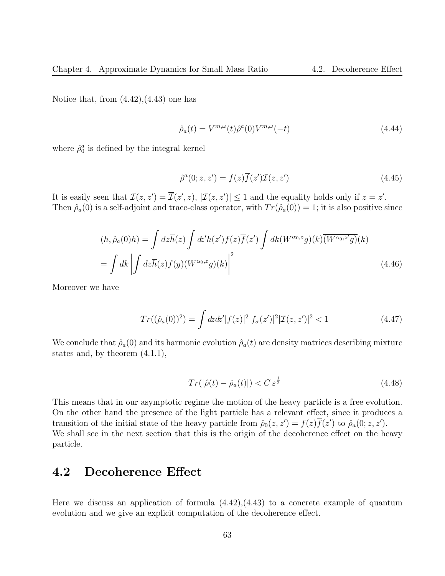Notice that, from  $(4.42)$ , $(4.43)$  one has

$$
\hat{\rho}_a(t) = V^{m,\omega}(t)\hat{\rho}^a(0)V^{m,\omega}(-t)
$$
\n(4.44)

where  $\hat{\rho}_0^a$  is defined by the integral kernel

$$
\hat{\rho}^a(0; z, z') = f(z)\overline{f}(z')\mathcal{I}(z, z')
$$
\n(4.45)

It is easily seen that  $\mathcal{I}(z, z') = \overline{\mathcal{I}}(z', z), |\mathcal{I}(z, z')| \leq 1$  and the equality holds only if  $z = z'$ . Then  $\hat{\rho}_a(0)$  is a self-adjoint and trace-class operator, with  $Tr(\hat{\rho}_a(0)) = 1$ ; it is also positive since

$$
(h, \hat{\rho}_a(0)h) = \int dz \overline{h}(z) \int dz' h(z') f(z) \overline{f}(z') \int dk (W^{\alpha_0, z} g)(k) \overline{(W^{\alpha_0, z'} g)}(k)
$$

$$
= \int dk \left| \int dz \overline{h}(z) f(y) (W^{\alpha_0, z} g)(k) \right|^2 \tag{4.46}
$$

Moreover we have

$$
Tr((\hat{\rho}_a(0))^2) = \int dx \, dz' |f(z)|^2 |f_\sigma(z')|^2 |\mathcal{I}(z, z')|^2 < 1 \tag{4.47}
$$

We conclude that  $\hat{\rho}_a(0)$  and its harmonic evolution  $\hat{\rho}_a(t)$  are density matrices describing mixture states and, by theorem (4.1.1),

$$
Tr(|\hat{\rho}(t) - \hat{\rho}_a(t)|) < C \, \varepsilon^{\frac{1}{2}} \tag{4.48}
$$

This means that in our asymptotic regime the motion of the heavy particle is a free evolution. On the other hand the presence of the light particle has a relevant effect, since it produces a transition of the initial state of the heavy particle from  $\hat{\rho}_0(z, z') = f(z)\overline{f}(z')$  to  $\hat{\rho}_a(0; z, z')$ . We shall see in the next section that this is the origin of the decoherence effect on the heavy particle.

### 4.2 Decoherence Effect

Here we discuss an application of formula  $(4.42)$ , $(4.43)$  to a concrete example of quantum evolution and we give an explicit computation of the decoherence effect.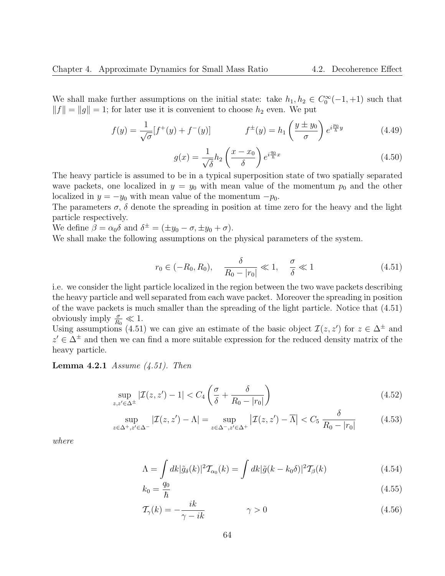We shall make further assumptions on the initial state: take  $h_1, h_2 \in C_0^{\infty}(-1, +1)$  such that  $||f|| = ||g|| = 1$ ; for later use it is convenient to choose  $h_2$  even. We put

$$
f(y) = \frac{1}{\sqrt{\sigma}} [f^+(y) + f^-(y)] \qquad f^{\pm}(y) = h_1 \left( \frac{y \pm y_0}{\sigma} \right) e^{i \frac{p_0}{h} y} \qquad (4.49)
$$

$$
g(x) = \frac{1}{\sqrt{\delta}} h_2 \left( \frac{x - x_0}{\delta} \right) e^{i \frac{q_0}{\hbar} x} \tag{4.50}
$$

The heavy particle is assumed to be in a typical superposition state of two spatially separated wave packets, one localized in  $y = y_0$  with mean value of the momentum  $p_0$  and the other localized in  $y = -y_0$  with mean value of the momentum  $-p_0$ .

The parameters  $\sigma$ ,  $\delta$  denote the spreading in position at time zero for the heavy and the light particle respectively.

We define  $\beta = \alpha_0 \delta$  and  $\delta^{\pm} = (\pm y_0 - \sigma, \pm y_0 + \sigma)$ .

We shall make the following assumptions on the physical parameters of the system.

$$
r_0 \in (-R_0, R_0), \quad \frac{\delta}{R_0 - |r_0|} \ll 1, \quad \frac{\sigma}{\delta} \ll 1
$$
 (4.51)

i.e. we consider the light particle localized in the region between the two wave packets describing the heavy particle and well separated from each wave packet. Moreover the spreading in position of the wave packets is much smaller than the spreading of the light particle. Notice that (4.51) obviously imply  $\frac{\sigma}{R_0} \ll 1$ .

Using assumptions (4.51) we can give an estimate of the basic object  $\mathcal{I}(z, z')$  for  $z \in \Delta^{\pm}$  and  $z' \in \Delta^{\pm}$  and then we can find a more suitable expression for the reduced density matrix of the heavy particle.

#### **Lemma 4.2.1** Assume  $(4.51)$ . Then

$$
\sup_{z,z'\in\Delta^{\pm}}|\mathcal{I}(z,z')-1| < C_4\left(\frac{\sigma}{\delta} + \frac{\delta}{R_0 - |r_0|}\right) \tag{4.52}
$$

$$
\sup_{z \in \Delta^+, z' \in \Delta^-} |\mathcal{I}(z, z') - \Lambda| = \sup_{z \in \Delta^-, z' \in \Delta^+} |\mathcal{I}(z, z') - \overline{\Lambda}| < C_5 \frac{\delta}{R_0 - |r_0|} \tag{4.53}
$$

where

$$
\Lambda = \int dk |\tilde{g}_{\delta}(k)|^2 \mathcal{T}_{\alpha_0}(k) = \int dk |\tilde{g}(k - k_0 \delta)|^2 \mathcal{T}_{\beta}(k)
$$
\n(4.54)

$$
k_0 = \frac{q_0}{\hbar} \tag{4.55}
$$

$$
\mathcal{T}_{\gamma}(k) = -\frac{ik}{\gamma - ik} \qquad \qquad \gamma > 0 \tag{4.56}
$$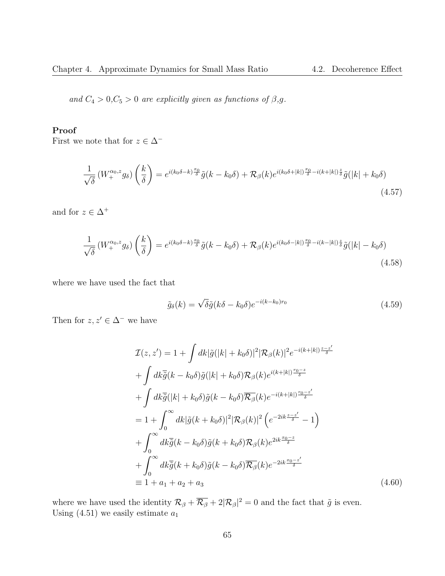and  $C_4 > 0, C_5 > 0$  are explicitly given as functions of  $\beta, g$ .

#### Proof

First we note that for  $z\in\Delta^-$ 

$$
\frac{1}{\sqrt{\delta}}\left(W_{+}^{\alpha_{0},z}g_{\delta}\right)\left(\frac{k}{\delta}\right) = e^{i(k_{0}\delta-k)\frac{x_{0}}{\delta}}\tilde{g}(k-k_{0}\delta) + \mathcal{R}_{\beta}(k)e^{i(k_{0}\delta+|k|)\frac{x_{0}}{\delta}-i(k+|k|)\frac{z}{\delta}}\tilde{g}(|k|+k_{0}\delta)
$$
\n
$$
\tag{4.57}
$$

and for  $z\in \Delta^+$ 

$$
\frac{1}{\sqrt{\delta}} \left( W_+^{\alpha_0, z} g_\delta \right) \left( \frac{k}{\delta} \right) = e^{i(k_0 \delta - k) \frac{x_0}{\delta}} \tilde{g}(k - k_0 \delta) + \mathcal{R}_{\beta}(k) e^{i(k_0 \delta - |k|) \frac{x_0}{\delta} - i(k - |k|) \frac{z}{\delta}} \tilde{g}(|k| - k_0 \delta)
$$
\n
$$
\tag{4.58}
$$

where we have used the fact that

$$
\tilde{g}_{\delta}(k) = \sqrt{\delta} \tilde{g}(k\delta - k_0\delta)e^{-i(k-k_0)r_0}
$$
\n(4.59)

Then for  $z, z' \in \Delta^-$  we have

$$
\mathcal{I}(z, z') = 1 + \int dk |\tilde{g}(|k| + k_0 \delta)|^2 |\mathcal{R}_{\beta}(k)|^2 e^{-i(k+|k|)\frac{z-z'}{\delta}}
$$
  
+ 
$$
\int dk \overline{\tilde{g}}(k - k_0 \delta) \tilde{g}(|k| + k_0 \delta) \mathcal{R}_{\beta}(k) e^{i(k+|k|)\frac{r_0-z}{\delta}}
$$
  
+ 
$$
\int dk \overline{\tilde{g}}(|k| + k_0 \delta) \tilde{g}(k - k_0 \delta) \overline{\mathcal{R}_{\beta}}(k) e^{-i(k+|k|)\frac{r_0-z'}{\delta}}
$$
  
= 
$$
1 + \int_0^\infty dk |\tilde{g}(k + k_0 \delta)|^2 |\mathcal{R}_{\beta}(k)|^2 \left( e^{-2ik\frac{z-z'}{\delta}} - 1 \right)
$$
  
+ 
$$
\int_0^\infty dk \overline{\tilde{g}}(k - k_0 \delta) \tilde{g}(k + k_0 \delta) \mathcal{R}_{\beta}(k) e^{2ik\frac{x_0-z'}{\delta}}
$$
  
+ 
$$
\int_0^\infty dk \overline{\tilde{g}}(k + k_0 \delta) \tilde{g}(k - k_0 \delta) \overline{\mathcal{R}_{\beta}}(k) e^{-2ik\frac{x_0-z'}{\delta}}
$$
  
equiv 1 + a<sub>1</sub> + a<sub>2</sub> + a<sub>3</sub> (4.60)

where we have used the identity  $\mathcal{R}_{\beta} + \overline{\mathcal{R}_{\beta}} + 2|\mathcal{R}_{\beta}|^2 = 0$  and the fact that  $\tilde{g}$  is even. Using  $(4.51)$  we easily estimate  $a_1$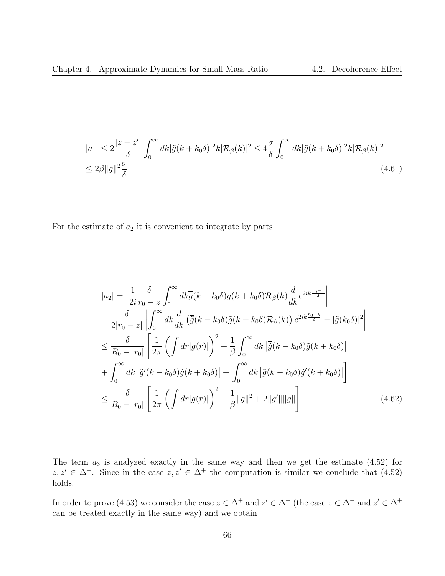$$
|a_1| \le 2\frac{|z-z'|}{\delta} \int_0^\infty dk |\tilde{g}(k+k_0\delta)|^2 k |\mathcal{R}_{\beta}(k)|^2 \le 4\frac{\sigma}{\delta} \int_0^\infty dk |\tilde{g}(k+k_0\delta)|^2 k |\mathcal{R}_{\beta}(k)|^2
$$
  

$$
\le 2\beta \|g\|^2 \frac{\sigma}{\delta}
$$
 (4.61)

For the estimate of  $a_2$  it is convenient to integrate by parts

$$
|a_{2}| = \left| \frac{1}{2i} \frac{\delta}{r_{0} - z} \int_{0}^{\infty} dk \overline{\tilde{g}}(k - k_{0}\delta) \tilde{g}(k + k_{0}\delta) \mathcal{R}_{\beta}(k) \frac{d}{dk} e^{2ik \frac{r_{0} - z}{\delta}} \right|
$$
  
\n
$$
= \frac{\delta}{2|r_{0} - z|} \left| \int_{0}^{\infty} dk \frac{d}{dk} (\overline{\tilde{g}}(k - k_{0}\delta) \tilde{g}(k + k_{0}\delta) \mathcal{R}_{\beta}(k)) e^{2ik \frac{r_{0} - y}{\delta}} - |\tilde{g}(k_{0}\delta)|^{2} \right|
$$
  
\n
$$
\leq \frac{\delta}{R_{0} - |r_{0}|} \left[ \frac{1}{2\pi} \left( \int dr |g(r)| \right)^{2} + \frac{1}{\beta} \int_{0}^{\infty} dk \left| \overline{\tilde{g}}(k - k_{0}\delta) \tilde{g}(k + k_{0}\delta) \right|
$$
  
\n
$$
+ \int_{0}^{\infty} dk \left| \overline{\tilde{g}}(k - k_{0}\delta) \tilde{g}(k + k_{0}\delta) \right| + \int_{0}^{\infty} dk \left| \overline{\tilde{g}}(k - k_{0}\delta) \tilde{g}'(k + k_{0}\delta) \right| \right]
$$
  
\n
$$
\leq \frac{\delta}{R_{0} - |r_{0}|} \left[ \frac{1}{2\pi} \left( \int dr |g(r)| \right)^{2} + \frac{1}{\beta} ||g||^{2} + 2||\tilde{g}'|| ||g|| \right]
$$
(4.62)

The term  $a_3$  is analyzed exactly in the same way and then we get the estimate  $(4.52)$  for z, z' ∈  $\Delta^-$ . Since in the case  $z, z' \in \Delta^+$  the computation is similar we conclude that (4.52) holds.

In order to prove (4.53) we consider the case  $z \in \Delta^+$  and  $z' \in \Delta^-$  (the case  $z \in \Delta^-$  and  $z' \in \Delta^+$ can be treated exactly in the same way) and we obtain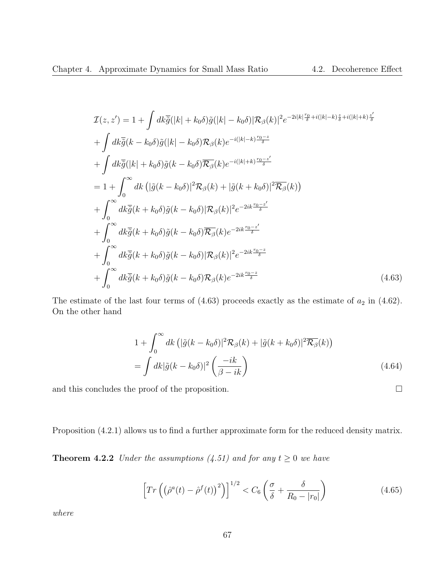$$
\mathcal{I}(z, z') = 1 + \int dk \overline{\tilde{g}}(|k| + k_0 \delta) \tilde{g}(|k| - k_0 \delta) |\mathcal{R}_{\beta}(k)|^2 e^{-2i|k|\frac{r_0}{\delta} + i(|k| - k) \frac{z}{\delta} + i(|k| + k) \frac{z'}{\delta}} \n+ \int dk \overline{\tilde{g}}(k - k_0 \delta) \tilde{g}(|k| - k_0 \delta) \mathcal{R}_{\beta}(k) e^{-i(|k| - k) \frac{r_0 - z'}{\delta}} \n+ \int dk \overline{\tilde{g}}(|k| + k_0 \delta) \tilde{g}(k - k_0 \delta) \overline{\mathcal{R}_{\beta}}(k) e^{-i(|k| + k) \frac{r_0 - z'}{\delta}} \n= 1 + \int_0^\infty dk \left( |\tilde{g}(k - k_0 \delta)|^2 \mathcal{R}_{\beta}(k) + |\tilde{g}(k + k_0 \delta)|^2 \overline{\mathcal{R}_{\beta}}(k) \right) \n+ \int_0^\infty dk \overline{\tilde{g}}(k + k_0 \delta) \tilde{g}(k - k_0 \delta) |\mathcal{R}_{\beta}(k)|^2 e^{-2ik \frac{r_0 - z'}{\delta}} \n+ \int_0^\infty dk \overline{\tilde{g}}(k + k_0 \delta) \tilde{g}(k - k_0 \delta) \overline{\mathcal{R}_{\beta}}(k) e^{-2ik \frac{r_0 - z'}{\delta}} \n+ \int_0^\infty dk \overline{\tilde{g}}(k + k_0 \delta) \tilde{g}(k - k_0 \delta) |\mathcal{R}_{\beta}(k)|^2 e^{-2ik \frac{r_0 - z}{\delta}} \n+ \int_0^\infty dk \overline{\tilde{g}}(k + k_0 \delta) \tilde{g}(k - k_0 \delta) \mathcal{R}_{\beta}(k) e^{-2ik \frac{r_0 - z}{\delta}} \qquad (4.63)
$$

The estimate of the last four terms of  $(4.63)$  proceeds exactly as the estimate of  $a_2$  in  $(4.62)$ . On the other hand

$$
1 + \int_0^\infty dk \left( |\tilde{g}(k - k_0 \delta)|^2 \mathcal{R}_{\beta}(k) + |\tilde{g}(k + k_0 \delta)|^2 \overline{\mathcal{R}_{\beta}}(k) \right)
$$
  
= 
$$
\int dk |\tilde{g}(k - k_0 \delta)|^2 \left( \frac{-ik}{\beta - ik} \right)
$$
(4.64)

and this concludes the proof of the proposition.  $\Box$ 

Proposition (4.2.1) allows us to find a further approximate form for the reduced density matrix.

**Theorem 4.2.2** Under the assumptions (4.51) and for any  $t \ge 0$  we have

$$
\left[Tr\left(\left(\hat{\rho}^{a}(t) - \hat{\rho}^{f}(t)\right)^{2}\right)\right]^{1/2} < C_{6}\left(\frac{\sigma}{\delta} + \frac{\delta}{R_{0} - |r_{0}|}\right) \tag{4.65}
$$

where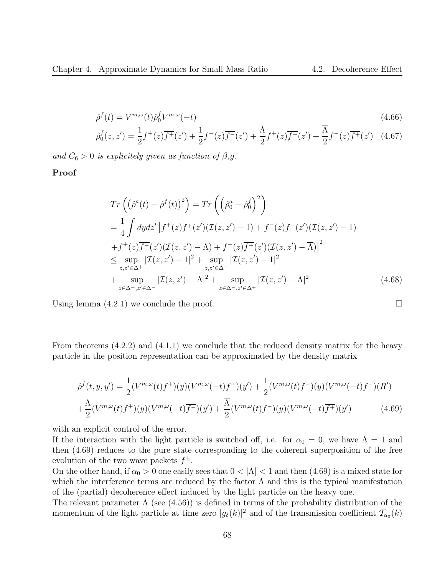$$
\hat{\rho}^f(t) = V^{m,\omega}(t)\hat{\rho}_0^f V^{m,\omega}(-t)
$$
\n(4.66)

$$
\hat{\rho}_0^f(z, z') = \frac{1}{2} f^+(z) \overline{f^+}(z') + \frac{1}{2} f^-(z) \overline{f^-(z')} + \frac{\Lambda}{2} f^+(z) \overline{f^-(z')} + \frac{\overline{\Lambda}}{2} f^-(z) \overline{f^+(z')} \tag{4.67}
$$

and  $C_6 > 0$  is explicitely given as function of  $\beta, g$ .

Proof

$$
Tr\left((\hat{\rho}^{a}(t) - \hat{\rho}^{f}(t))^{2}\right) = Tr\left((\hat{\rho}_{0}^{a} - \hat{\rho}_{0}^{f})^{2}\right)
$$
  
\n
$$
= \frac{1}{4} \int dydz'\left|f^{+}(z)\overline{f^{+}}(z')(\mathcal{I}(z,z') - 1) + f^{-}(z)\overline{f^{-}}(z')(\mathcal{I}(z,z') - 1) + f^{+}(z)\overline{f^{-}}(z')(\mathcal{I}(z,z') - \overline{\Lambda})\right|^{2}
$$
  
\n
$$
\leq \sup_{z,z'\in\Delta^{+}} |\mathcal{I}(z,z') - 1|^{2} + \sup_{z,z'\in\Delta^{-}} |\mathcal{I}(z,z') - 1|^{2}
$$
  
\n
$$
+ \sup_{z\in\Delta^{+},z'\in\Delta^{-}} |\mathcal{I}(z,z') - \Lambda|^{2} + \sup_{z\in\Delta^{-},z'\in\Delta^{+}} |\mathcal{I}(z,z') - \overline{\Lambda}|^{2}
$$
(4.68)

Using lemma  $(4.2.1)$  we conclude the proof.

From theorems (4.2.2) and (4.1.1) we conclude that the reduced density matrix for the heavy particle in the position representation can be approximated by the density matrix

$$
\hat{\rho}^{f}(t,y,y') = \frac{1}{2} (V^{m,\omega}(t)f^{+})(y)(V^{m,\omega}(-t)\overline{f^{+}})(y') + \frac{1}{2} (V^{m,\omega}(t)f^{-})(y)(V^{m,\omega}(-t)\overline{f^{-}})(R')
$$
  
 
$$
+ \frac{\Lambda}{2} (V^{m,\omega}(t)f^{+})(y)(V^{m,\omega}(-t)\overline{f^{-}})(y') + \frac{\overline{\Lambda}}{2} (V^{m,\omega}(t)f^{-})(y)(V^{m,\omega}(-t)\overline{f^{+}})(y') \qquad (4.69)
$$

with an explicit control of the error.

If the interaction with the light particle is switched off, i.e. for  $\alpha_0 = 0$ , we have  $\Lambda = 1$  and then (4.69) reduces to the pure state corresponding to the coherent superposition of the free evolution of the two wave packets  $f^{\pm}$ .

On the other hand, if  $\alpha_0 > 0$  one easily sees that  $0 < |\Lambda| < 1$  and then (4.69) is a mixed state for which the interference terms are reduced by the factor  $\Lambda$  and this is the typical manifestation of the (partial) decoherence effect induced by the light particle on the heavy one.

The relevant parameter  $\Lambda$  (see (4.56)) is defined in terms of the probability distribution of the momentum of the light particle at time zero  $|g_\delta(k)|^2$  and of the transmission coefficient  $\mathcal{T}_{\alpha_0}(k)$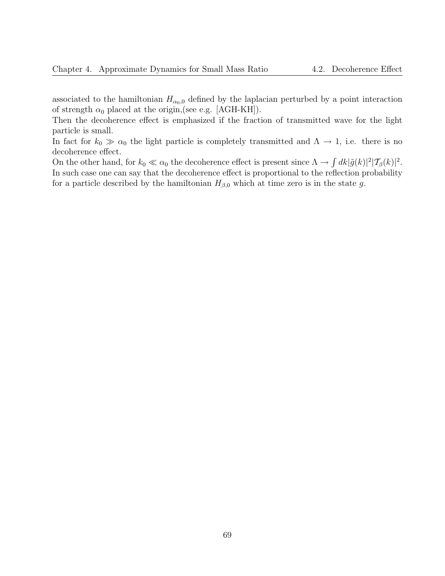associated to the hamiltonian  $H_{\alpha_0,0}$  defined by the laplacian perturbed by a point interaction of strength  $\alpha_0$  placed at the origin, (see e.g. [AGH-KH]).

Then the decoherence effect is emphasized if the fraction of transmitted wave for the light particle is small.

In fact for  $k_0 \gg \alpha_0$  the light particle is completely transmitted and  $\Lambda \to 1$ , i.e. there is no decoherence effect.

On the other hand, for  $k_0 \ll \alpha_0$  the decoherence effect is present since  $\Lambda \to \int dk |\tilde{g}(k)|^2 |\mathcal{T}_{\beta}(k)|^2$ . In such case one can say that the decoherence effect is proportional to the reflection probability for a particle described by the hamiltonian  $H_{\beta,0}$  which at time zero is in the state g.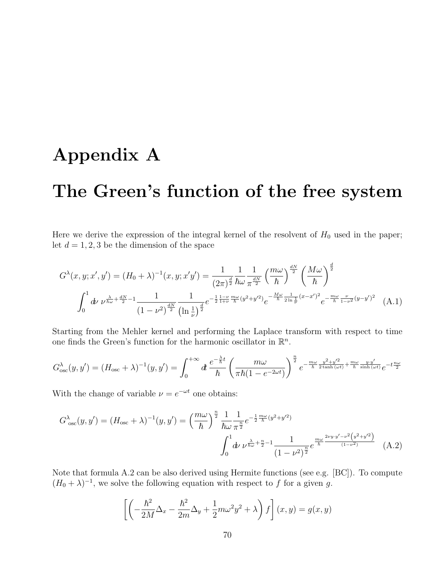## Appendix A

### The Green's function of the free system

Here we derive the expression of the integral kernel of the resolvent of  $H_0$  used in the paper; let  $d = 1, 2, 3$  be the dimension of the space

$$
G^{\lambda}(x, y; x', y') = (H_0 + \lambda)^{-1}(x, y; x'y') = \frac{1}{(2\pi)^{\frac{d}{2}}} \frac{1}{\hbar\omega} \frac{1}{\pi^{\frac{dN}{2}}} \left(\frac{m\omega}{\hbar}\right)^{\frac{dN}{2}} \left(\frac{M\omega}{\hbar}\right)^{\frac{d}{2}}
$$

$$
\int_0^1 d\nu \, \nu^{\frac{\lambda}{\hbar\omega} + \frac{dN}{2} - 1} \frac{1}{(1 - \nu^2)^{\frac{dN}{2}}} \frac{1}{(\ln \frac{1}{\nu})^{\frac{d}{2}}} e^{-\frac{1}{2} \frac{1 - \nu}{1 + \nu} \frac{m\omega}{\hbar} (y^2 + y'^2)} e^{-\frac{M\omega}{\hbar} \frac{1}{2\ln \frac{1}{\nu}} (x - x')^2} e^{-\frac{m\omega}{\hbar} \frac{\nu}{1 - \nu^2} (y - y')^2} \quad (A.1)
$$

Starting from the Mehler kernel and performing the Laplace transform with respect to time one finds the Green's function for the harmonic oscillator in  $\mathbb{R}^n$ .

$$
G_{\text{osc}}^{\lambda}(y, y') = (H_{\text{osc}} + \lambda)^{-1}(y, y') = \int_0^{+\infty} dt \, \frac{e^{-\frac{\lambda}{\hbar}t}}{\hbar} \left(\frac{m\omega}{\pi\hbar(1 - e^{-2\omega t})}\right)^{\frac{n}{2}} e^{-\frac{m\omega}{\hbar} \frac{y^2 + y'^2}{2\tanh(\omega t)} + \frac{m\omega}{\hbar} \frac{y \cdot y'}{\sinh(\omega t)}} e^{-t\frac{n\omega}{2}}
$$

With the change of variable  $\nu = e^{-\omega t}$  one obtains:

$$
G_{\text{osc}}^{\lambda}(y, y') = (H_{\text{osc}} + \lambda)^{-1}(y, y') = \left(\frac{m\omega}{\hbar}\right)^{\frac{n}{2}} \frac{1}{\hbar\omega} \frac{1}{\pi^{\frac{n}{2}}} e^{-\frac{1}{2}\frac{m\omega}{\hbar}(y^2 + y'^2)} \n\int_0^1 \frac{1}{\int_0^1 \omega \nu^{\frac{\lambda}{\hbar\omega} + \frac{n}{2} - 1} \frac{1}{(1 - \nu^2)^{\frac{n}{2}}}} \frac{e^{\frac{m\omega}{\hbar} \frac{2\nu y \cdot y' - \nu^2 (y^2 + y'^2)}{(1 - \nu^2)}}}{(1 - \nu^2)^{\frac{n}{2}}} \tag{A.2}
$$

Note that formula A.2 can be also derived using Hermite functions (see e.g. [BC]). To compute  $(H_0 + \lambda)^{-1}$ , we solve the following equation with respect to f for a given g.

$$
\left[ \left( -\frac{\hbar^2}{2M} \Delta_x - \frac{\hbar^2}{2m} \Delta_y + \frac{1}{2} m \omega^2 y^2 + \lambda \right) f \right] (x, y) = g(x, y)
$$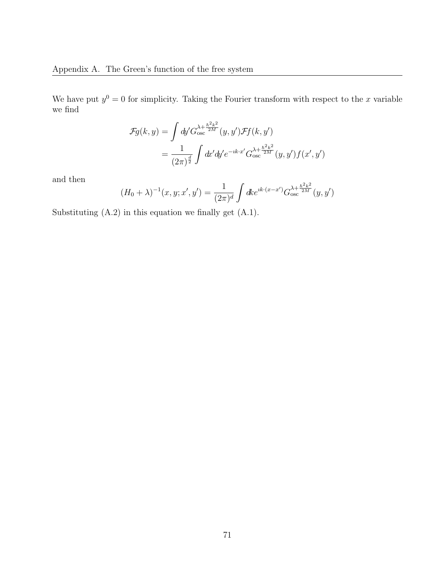We have put  $y^0 = 0$  for simplicity. Taking the Fourier transform with respect to the x variable we find

$$
\mathcal{F}g(k,y) = \int dy' G_{\text{osc}}^{\lambda + \frac{\hbar^2 k^2}{2M}}(y, y') \mathcal{F}f(k, y')
$$
  
= 
$$
\frac{1}{(2\pi)^{\frac{d}{2}}} \int dx' dy' e^{-ik \cdot x'} G_{\text{osc}}^{\lambda + \frac{\hbar^2 k^2}{2M}}(y, y') f(x', y')
$$

and then

$$
(H_0 + \lambda)^{-1}(x, y; x', y') = \frac{1}{(2\pi)^d} \int d\mathbf{k} e^{i\mathbf{k} \cdot (x - x')} G_{\text{osc}}^{\lambda + \frac{\hbar^2 k^2}{2M}}(y, y')
$$

Substituting (A.2) in this equation we finally get (A.1).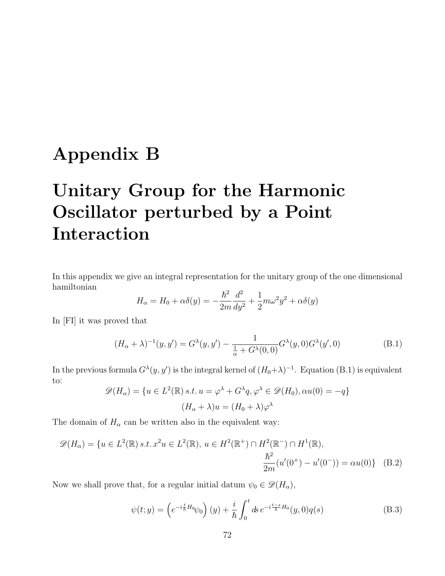## Appendix B

# Unitary Group for the Harmonic Oscillator perturbed by a Point Interaction

In this appendix we give an integral representation for the unitary group of the one dimensional hamiltonian

$$
H_{\alpha} = H_0 + \alpha \delta(y) = -\frac{\hbar^2}{2m} \frac{d^2}{dy^2} + \frac{1}{2} m \omega^2 y^2 + \alpha \delta(y)
$$

In [FI] it was proved that

$$
(H_{\alpha} + \lambda)^{-1}(y, y') = G^{\lambda}(y, y') - \frac{1}{\frac{1}{\alpha} + G^{\lambda}(0, 0)} G^{\lambda}(y, 0) G^{\lambda}(y', 0)
$$
(B.1)

In the previous formula  $G^{\lambda}(y, y')$  is the integral kernel of  $(H_0 + \lambda)^{-1}$ . Equation (B.1) is equivalent to:

$$
\mathscr{D}(H_{\alpha}) = \{ u \in L^{2}(\mathbb{R}) \text{ s.t. } u = \varphi^{\lambda} + G^{\lambda}q, \varphi^{\lambda} \in \mathscr{D}(H_{0}), \alpha u(0) = -q \}
$$

$$
(H_{\alpha} + \lambda)u = (H_{0} + \lambda)\varphi^{\lambda}
$$

The domain of  $H_\alpha$  can be written also in the equivalent way:

$$
\mathscr{D}(H_{\alpha}) = \{ u \in L^{2}(\mathbb{R}) \text{ s.t. } x^{2}u \in L^{2}(\mathbb{R}), u \in H^{2}(\mathbb{R}^{+}) \cap H^{2}(\mathbb{R}^{-}) \cap H^{1}(\mathbb{R}),
$$
  

$$
\frac{\hbar^{2}}{2m}(u'(0^{+}) - u'(0^{-})) = \alpha u(0) \} \quad (B.2)
$$

Now we shall prove that, for a regular initial datum  $\psi_0 \in \mathscr{D}(H_\alpha)$ ,

$$
\psi(t; y) = \left(e^{-i\frac{t}{\hbar}H_0}\psi_0\right)(y) + \frac{i}{\hbar} \int_0^t ds \, e^{-i\frac{t-s}{\hbar}H_0}(y, 0)q(s) \tag{B.3}
$$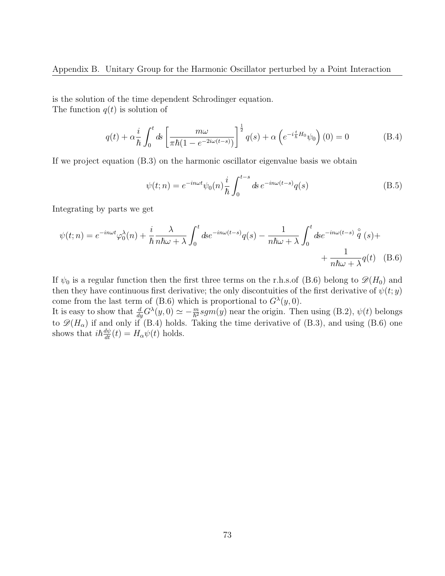is the solution of the time dependent Schrodinger equation. The function  $q(t)$  is solution of

$$
q(t) + \alpha \frac{i}{\hbar} \int_0^t ds \left[ \frac{m\omega}{\pi\hbar(1 - e^{-2i\omega(t-s)})} \right]^{\frac{1}{2}} q(s) + \alpha \left( e^{-i\frac{t}{\hbar}H_0} \psi_0 \right)(0) = 0 \tag{B.4}
$$

If we project equation (B.3) on the harmonic oscillator eigenvalue basis we obtain

$$
\psi(t;n) = e^{-in\omega t}\psi_0(n)\frac{i}{\hbar} \int_0^{t-s} ds \, e^{-in\omega(t-s)}q(s) \tag{B.5}
$$

Integrating by parts we get

$$
\psi(t;n) = e^{-in\omega t} \varphi_0^{\lambda}(n) + \frac{i}{\hbar} \frac{\lambda}{n\hbar\omega + \lambda} \int_0^t ds e^{-in\omega(t-s)} q(s) - \frac{1}{n\hbar\omega + \lambda} \int_0^t ds e^{-in\omega(t-s)} \stackrel{\circ}{q}(s) + \\ + \frac{1}{n\hbar\omega + \lambda} q(t) \quad (B.6)
$$

If  $\psi_0$  is a regular function then the first three terms on the r.h.s.of (B.6) belong to  $\mathscr{D}(H_0)$  and then they have continuous first derivative; the only discontuities of the first derivative of  $\psi(t; y)$ come from the last term of (B.6) which is proportional to  $G^{\lambda}(y,0)$ .

It is easy to show that  $\frac{d}{dy}G^{\lambda}(y,0) \simeq -\frac{m}{\hbar^2}sgm(y)$  near the origin. Then using (B.2),  $\psi(t)$  belongs to  $\mathscr{D}(H_{\alpha})$  if and only if (B.4) holds. Taking the time derivative of (B.3), and using (B.6) one shows that  $i\hbar \frac{d\psi}{dt}(t) = H_{\alpha}\psi(t)$  holds.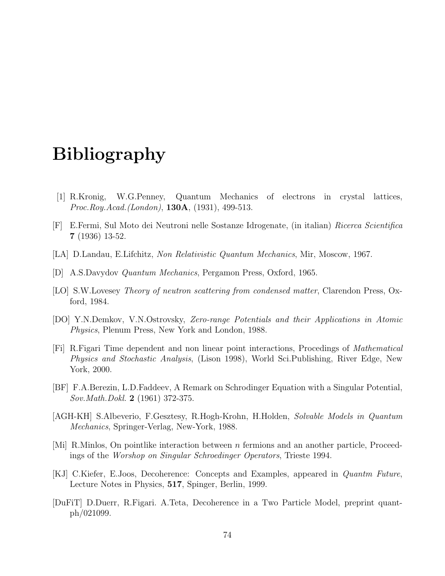## Bibliography

- [1] R.Kronig, W.G.Penney, Quantum Mechanics of electrons in crystal lattices, Proc.Roy.Acad.(London), 130A, (1931), 499-513.
- [F] E.Fermi, Sul Moto dei Neutroni nelle Sostanze Idrogenate, (in italian) Ricerca Scientifica 7 (1936) 13-52.
- [LA] D.Landau, E.Lifchitz, Non Relativistic Quantum Mechanics, Mir, Moscow, 1967.
- [D] A.S.Davydov Quantum Mechanics, Pergamon Press, Oxford, 1965.
- [LO] S.W.Lovesey Theory of neutron scattering from condensed matter, Clarendon Press, Oxford, 1984.
- [DO] Y.N.Demkov, V.N.Ostrovsky, Zero-range Potentials and their Applications in Atomic Physics, Plenum Press, New York and London, 1988.
- [Fi] R.Figari Time dependent and non linear point interactions, Procedings of Mathematical Physics and Stochastic Analysis, (Lison 1998), World Sci.Publishing, River Edge, New York, 2000.
- [BF] F.A.Berezin, L.D.Faddeev, A Remark on Schrodinger Equation with a Singular Potential, Sov.Math.Dokl. 2 (1961) 372-375.
- [AGH-KH] S.Albeverio, F.Gesztesy, R.Hogh-Krohn, H.Holden, Solvable Models in Quantum Mechanics, Springer-Verlag, New-York, 1988.
- [Mi] R.Minlos, On pointlike interaction between n fermions and an another particle, Proceedings of the Worshop on Singular Schroedinger Operators, Trieste 1994.
- [KJ] C.Kiefer, E.Joos, Decoherence: Concepts and Examples, appeared in Quantm Future, Lecture Notes in Physics, 517, Spinger, Berlin, 1999.
- [DuFiT] D.Duerr, R.Figari. A.Teta, Decoherence in a Two Particle Model, preprint quantph/021099.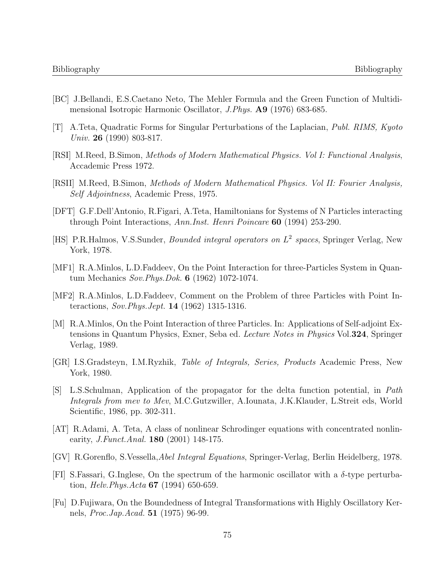- [BC] J.Bellandi, E.S.Caetano Neto, The Mehler Formula and the Green Function of Multidimensional Isotropic Harmonic Oscillator, J.Phys. A9 (1976) 683-685.
- [T] A.Teta, Quadratic Forms for Singular Perturbations of the Laplacian, Publ. RIMS, Kyoto Univ. 26 (1990) 803-817.
- [RSI] M.Reed, B.Simon, Methods of Modern Mathematical Physics. Vol I: Functional Analysis, Accademic Press 1972.
- [RSII] M.Reed, B.Simon, Methods of Modern Mathematical Physics. Vol II: Fourier Analysis, Self Adjointness, Academic Press, 1975.
- [DFT] G.F.Dell'Antonio, R.Figari, A.Teta, Hamiltonians for Systems of N Particles interacting through Point Interactions, Ann.Inst. Henri Poincare 60 (1994) 253-290.
- [HS] P.R.Halmos, V.S.Sunder, *Bounded integral operators on L<sup>2</sup> spaces*, Springer Verlag, New York, 1978.
- [MF1] R.A.Minlos, L.D.Faddeev, On the Point Interaction for three-Particles System in Quantum Mechanics Sov.Phys.Dok. 6 (1962) 1072-1074.
- [MF2] R.A.Minlos, L.D.Faddeev, Comment on the Problem of three Particles with Point Interactions, Sov.Phys.Jept. 14 (1962) 1315-1316.
- [M] R.A.Minlos, On the Point Interaction of three Particles. In: Applications of Self-adjoint Extensions in Quantum Physics, Exner, Seba ed. Lecture Notes in Physics Vol.324, Springer Verlag, 1989.
- [GR] I.S.Gradsteyn, I.M.Ryzhik, Table of Integrals, Series, Products Academic Press, New York, 1980.
- [S] L.S.Schulman, Application of the propagator for the delta function potential, in Path Integrals from mev to Mev, M.C.Gutzwiller, A.Iounata, J.K.Klauder, L.Streit eds, World Scientific, 1986, pp. 302-311.
- [AT] R.Adami, A. Teta, A class of nonlinear Schrodinger equations with concentrated nonlinearity, *J.Funct.Anal.* **180** (2001) 148-175.
- [GV] R.Gorenflo, S.Vessella,Abel Integral Equations, Springer-Verlag, Berlin Heidelberg, 1978.
- [FI] S.Fassari, G.Inglese, On the spectrum of the harmonic oscillator with a  $\delta$ -type perturbation, *Helv.Phys.Acta*  $67$  (1994) 650-659.
- [Fu] D.Fujiwara, On the Boundedness of Integral Transformations with Highly Oscillatory Kernels, Proc.Jap.Acad. 51 (1975) 96-99.